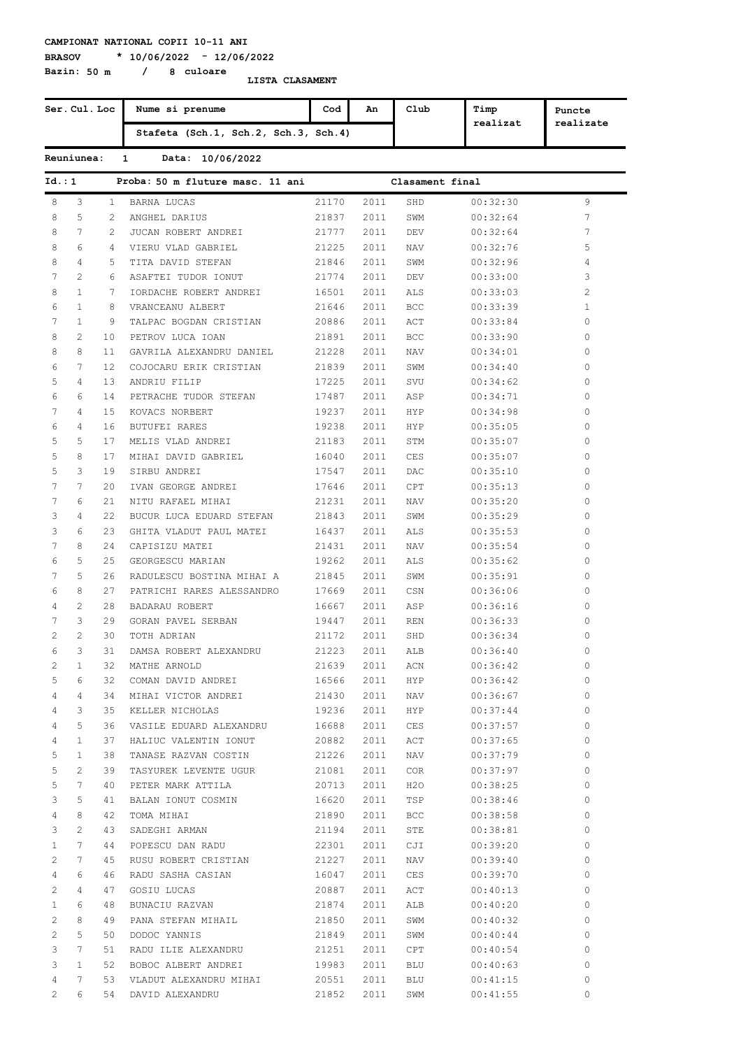**Bazin: 50 m / 8 culoare**

**BRASOV \* 10/06/2022 - 12/06/2022**

|                | Ser. Cul. Loc   |                | Nume si prenume                      | Cod   | An             | Club            | Timp<br>realizat | Puncte         |
|----------------|-----------------|----------------|--------------------------------------|-------|----------------|-----------------|------------------|----------------|
|                |                 |                | Stafeta (Sch.1, Sch.2, Sch.3, Sch.4) |       |                |                 |                  | realizate      |
|                | Reuniunea:      |                | Data: 10/06/2022<br>$\mathbf{1}$     |       |                |                 |                  |                |
| Id.:1          |                 |                | Proba: 50 m fluture masc. 11 ani     |       |                | Clasament final |                  |                |
| 8              | 3               | $\mathbf{1}$   | <b>BARNA LUCAS</b>                   | 21170 | 2011           | SHD             | 00:32:30         | 9              |
| 8              | 5               | $\overline{2}$ | ANGHEL DARIUS                        | 21837 | 2011           | SWM             | 00:32:64         | 7              |
| 8              | 7               | $\overline{2}$ | JUCAN ROBERT ANDREI                  | 21777 | 2011           | DEV             | 00:32:64         | 7              |
| 8              | 6               | 4              | VIERU VLAD GABRIEL                   | 21225 | 2011           | <b>NAV</b>      | 00:32:76         | 5              |
| 8              | 4               | 5              | TITA DAVID STEFAN                    | 21846 | 2011           | SWM             | 00:32:96         | 4              |
| 7              | $\overline{2}$  | 6              | ASAFTEI TUDOR IONUT                  | 21774 | 2011           | DEV             | 00:33:00         | 3              |
| 8              | $\mathbf{1}$    | 7              | IORDACHE ROBERT ANDREI               | 16501 | 2011           | ALS             | 00:33:03         | $\overline{c}$ |
| 6              | $\mathbf{1}$    | 8              | VRANCEANU ALBERT                     | 21646 | 2011           | <b>BCC</b>      | 00:33:39         | $\mathbf{1}$   |
| 7              | $\mathbf{1}$    | 9              | TALPAC BOGDAN CRISTIAN               | 20886 | 2011           | ACT             | 00:33:84         | 0              |
| 8              | 2               | 10             | PETROV LUCA IOAN                     | 21891 | 2011           | <b>BCC</b>      | 00:33:90         | 0              |
| 8              | 8               | 11             | GAVRILA ALEXANDRU DANIEL             | 21228 | 2011           | <b>NAV</b>      | 00:34:01         | 0              |
| 6              | 7               | 12             | COJOCARU ERIK CRISTIAN               | 21839 | 2011           | SWM             | 00:34:40         | 0              |
| 5              | 4               | 13             | ANDRIU FILIP                         | 17225 | 2011           | SVU             | 00:34:62         | 0              |
| 6              | 6               | 14             | PETRACHE TUDOR STEFAN                | 17487 | 2011           | ASP             | 00:34:71         | 0              |
| 7              | 4               | 15             | KOVACS NORBERT                       | 19237 | 2011           | <b>HYP</b>      | 00:34:98         | 0              |
| 6              | 4               | 16             | <b>BUTUFEI RARES</b>                 | 19238 | 2011           | <b>HYP</b>      | 00:35:05         | 0              |
|                | 5               |                |                                      |       |                |                 |                  |                |
| 5              |                 | 17             | MELIS VLAD ANDREI                    | 21183 | 2011           | STM             | 00:35:07         | 0              |
| 5              | 8               | 17             | MIHAI DAVID GABRIEL                  | 16040 | 2011           | CES             | 00:35:07         | 0              |
| 5              | 3               | 19             | SIRBU ANDREI                         | 17547 | 2011           | DAC             | 00:35:10         | 0              |
| 7              | 7               | 20             | IVAN GEORGE ANDREI                   | 17646 | 2011           | CPT             | 00:35:13         | 0              |
| 7              | 6               | 21             | NITU RAFAEL MIHAI                    | 21231 | 2011           | <b>NAV</b>      | 00:35:20         | 0              |
| 3              | 4               | 22             | BUCUR LUCA EDUARD STEFAN             | 21843 | 2011           | SWM             | 00:35:29         | 0              |
| 3              | 6               | 23             | GHITA VLADUT PAUL MATEI              | 16437 | 2011           | ALS             | 00:35:53         | 0              |
| 7              | 8               | 24             | CAPISIZU MATEI                       | 21431 | 2011           | <b>NAV</b>      | 00:35:54         | 0              |
| 6              | 5               | 25             | GEORGESCU MARIAN                     | 19262 | 2011           | ALS             | 00:35:62         | 0              |
| 7              | 5               | 26             | RADULESCU BOSTINA MIHAI A            | 21845 | 2011           | SWM             | 00:35:91         | 0              |
| 6              | 8               | 27             | PATRICHI RARES ALESSANDRO            | 17669 | 2011           | CSN             | 00:36:06         | 0              |
| 4              | 2               | 28             | BADARAU ROBERT                       | 16667 | 2011           | ASP             | 00:36:16         | 0              |
| 7              | 3               | 29             | GORAN PAVEL SERBAN                   | 19447 | 2011           | <b>REN</b>      | 00:36:33         | 0              |
| 2              | 2               | 30             | TOTH ADRIAN                          | 21172 | 2011           | SHD             | 00:36:34         | 0              |
| 6              | $\mathcal{S}$   | 31             | DAMSA ROBERT ALEXANDRU               | 21223 |                | 2011 ALB        | 00:36:40         | 0              |
| 2              | $\mathbf{1}$    | 32             | MATHE ARNOLD                         | 21639 | 2011           | ACN             | 00:36:42         | 0              |
| 5              | 6               | 32             | COMAN DAVID ANDREI                   | 16566 |                | 2011 HYP        | 00:36:42         | $\circ$        |
| 4              | 4               |                | 34 MIHAI VICTOR ANDREI               | 21430 |                | 2011 NAV        | 00:36:67         | $\circ$        |
| 4              | 3               | 35             | KELLER NICHOLAS                      | 19236 |                | 2011 HYP        | 00:37:44         | $\circ$        |
| 4              | 5               | 36             | VASILE EDUARD ALEXANDRU              | 16688 |                | 2011 CES        | 00:37:57         | $\circ$        |
| 4              | $\mathbf{1}$    | 37             | HALIUC VALENTIN IONUT                | 20882 |                | 2011 ACT        | 00:37:65         | $\circ$        |
| 5              | $\mathbf{1}$    | 38             | TANASE RAZVAN COSTIN                 | 21226 | 2011           | NAV             | 00:37:79         | $\circ$        |
| 5              | 2               | 39             | TASYUREK LEVENTE UGUR                | 21081 | 2011           | COR             | 00:37:97         | $\circ$        |
| 5              | $7\phantom{.0}$ | 40             | PETER MARK ATTILA                    | 20713 | 2011           | H20             | 00:38:25         | $\circ$        |
| 3              | 5               | 41             | BALAN IONUT COSMIN                   | 16620 | 2011           | TSP             | 00:38:46         | $\circ$        |
| 4              | 8               | 42             | TOMA MIHAI                           | 21890 | 2011           | BCC             | 00:38:58         | $\circ$        |
|                | 2               | 43             |                                      | 21194 | 2011           |                 |                  | $\circ$        |
| 3              |                 |                | SADEGHI ARMAN                        |       |                | STE             | 00:38:81         | $\circ$        |
| $\mathbf{1}$   | 7               | 44             | POPESCU DAN RADU                     | 22301 | 2011           | CJI             | 00:39:20         |                |
| 2              | 7               | 45             | RUSU ROBERT CRISTIAN                 | 21227 | 2011           | NAV             | 00:39:40         | $\circ$        |
| 4              | 6               | 46             | RADU SASHA CASIAN                    | 16047 |                | 2011 CES        | 00:39:70         | $\circ$        |
| 2              | 4               | 47             | GOSIU LUCAS                          | 20887 |                | 2011 ACT        | 00:40:13         | $\circ$        |
| $\mathbf{1}$   | 6               | 48             | BUNACIU RAZVAN                       | 21874 | 2011           | ALB             | 00:40:20         | $\circ$        |
| 2              | 8               | 49             | PANA STEFAN MIHAIL                   | 21850 | 2011           | SWM             | 00:40:32         | $\circ$        |
| 2              | 5               | 50             | DODOC YANNIS                         | 21849 | 2011           | SWM             | 00:40:44         | 0              |
| 3              | 7               | 51             | RADU ILIE ALEXANDRU                  | 21251 | 2011           | CPT             | 00:40:54         | $\circ$        |
| 3              | $\mathbf{1}$    | 52             | BOBOC ALBERT ANDREI                  | 19983 | 2011           | BLU             | 00:40:63         | 0              |
| 4              | 7               | 53             | VLADUT ALEXANDRU MIHAI               | 20551 | 2011           | BLU             | 00:41:15         | 0              |
| $\overline{2}$ | 6               |                | 54 DAVID ALEXANDRU                   |       | 21852 2011 SWM |                 | 00:41:55         | $\circ$        |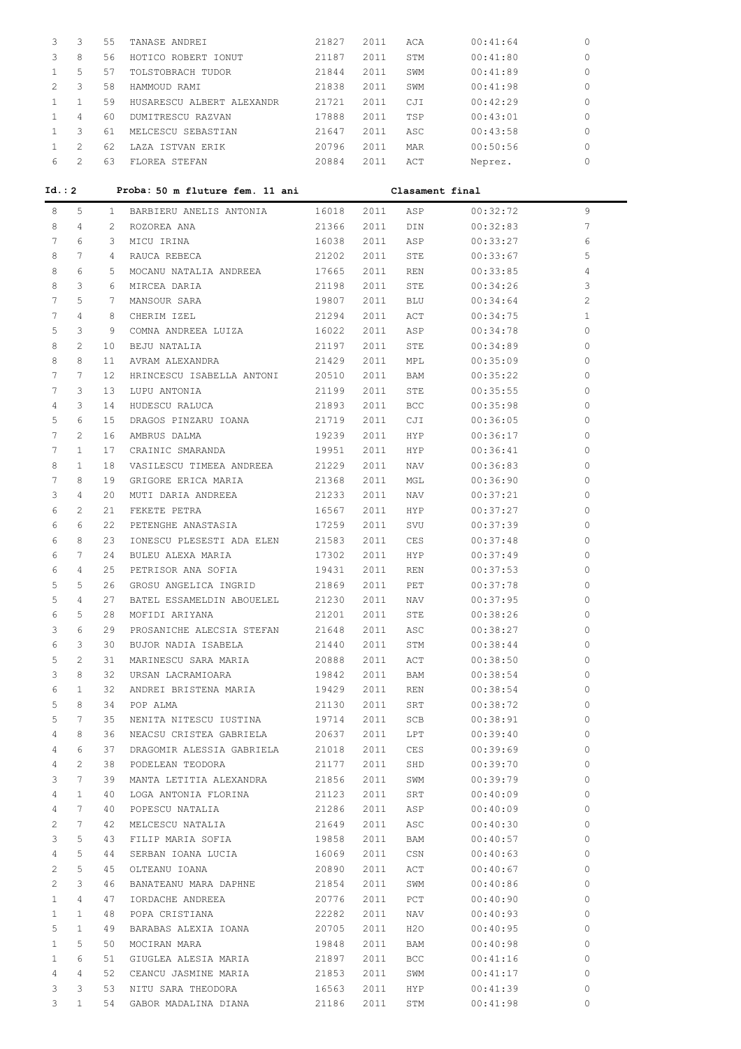|   | 3 | 55 | TANASE ANDREI             | 21827 | 2011  | ACA        | 00:41:64 | 0        |
|---|---|----|---------------------------|-------|-------|------------|----------|----------|
| 3 | 8 | 56 | HOTICO ROBERT IONUT       | 21187 | 2011  | STM        | 00:41:80 | 0        |
|   | 5 | 57 | TOLSTOBRACH TUDOR         | 21844 | 2011  | SWM        | 00:41:89 | $\circ$  |
|   | 3 | 58 | HAMMOUD RAMT              | 21838 | 2011  | SWM        | 00:41:98 | $\Omega$ |
|   |   | 59 | HUSARESCU ALBERT ALEXANDR | 21721 | 2011  | CJI        | 00:42:29 | 0        |
|   | 4 | 60 | DUMITRESCU RAZVAN         | 17888 | 2011  | TSP        | 00:43:01 | 0        |
|   | 3 | 61 | MELCESCU<br>SEBASTIAN     | 21647 | 2011  | ASC        | 00:43:58 | 0        |
|   |   | 62 | LAZA ISTVAN ERIK          | 20796 | 2011  | <b>MAR</b> | 00:50:56 | 0        |
| 6 |   | 63 | FLOREA STEFAN             | 20884 | 2.011 | ACT        | Neprez.  | 0        |

| Id. : 2        |              |       | Proba: 50 m fluture fem. 11 ani    |       |      | Clasament final |          |              |
|----------------|--------------|-------|------------------------------------|-------|------|-----------------|----------|--------------|
| 8              | 5            | $1 -$ | BARBIERU ANELIS ANTONIA 16018 2011 |       |      | ASP             | 00:32:72 | 9            |
| 8              | 4            | 2     | ROZOREA ANA                        | 21366 | 2011 | DIN             | 00:32:83 | 7            |
| 7              | 6            | 3     | MICU IRINA                         | 16038 | 2011 | ASP             | 00:33:27 | 6            |
| 8              | 7            | 4     | RAUCA REBECA                       | 21202 | 2011 | STE             | 00:33:67 | 5            |
| 8              | 6            | 5     | MOCANU NATALIA ANDREEA             | 17665 | 2011 | REN             | 00:33:85 | 4            |
| 8              | 3            | 6     | MIRCEA DARIA                       | 21198 | 2011 | STE             | 00:34:26 | 3            |
| 7              | 5            | 7     | MANSOUR SARA                       | 19807 | 2011 | BLU             | 00:34:64 | $\mathbf{2}$ |
| 7              | 4            | 8     | CHERIM IZEL                        | 21294 | 2011 | ACT             | 00:34:75 | 1            |
| 5              | 3            | 9     | COMNA ANDREEA LUIZA                | 16022 | 2011 | ASP             | 00:34:78 | $\circ$      |
| 8              | 2            | 10    | BEJU NATALIA                       | 21197 | 2011 | STE             | 00:34:89 | 0            |
| 8              | 8            | 11    | AVRAM ALEXANDRA                    | 21429 | 2011 | MPL             | 00:35:09 | 0            |
| 7              | 7            | 12    | HRINCESCU ISABELLA ANTONI          | 20510 | 2011 | BAM             | 00:35:22 | 0            |
| 7              | 3            | 13    | LUPU ANTONIA                       | 21199 | 2011 | STE             | 00:35:55 | 0            |
| 4              | 3            | 14    | HUDESCU RALUCA                     | 21893 | 2011 | <b>BCC</b>      | 00:35:98 | 0            |
| 5              | 6            | 15    | DRAGOS PINZARU IOANA               | 21719 | 2011 | CJI             | 00:36:05 | 0            |
| 7              | 2            | 16    | AMBRUS DALMA                       | 19239 | 2011 | HYP             | 00:36:17 | 0            |
| 7              | $\mathbf{1}$ | 17    | CRAINIC SMARANDA                   | 19951 | 2011 | HYP             | 00:36:41 | 0            |
| 8              | 1            | 18    | VASILESCU TIMEEA ANDREEA           | 21229 | 2011 | NAV             | 00:36:83 | 0            |
| 7              | 8            | 19    | GRIGORE ERICA MARIA                | 21368 | 2011 | MGL             | 00:36:90 | 0            |
| 3              | 4            | 20    | MUTI DARIA ANDREEA                 | 21233 | 2011 | NAV             | 00:37:21 | 0            |
| 6              | 2            | 21    | FEKETE PETRA                       | 16567 | 2011 | HYP             | 00:37:27 | 0            |
| 6              | 6            | 22    | PETENGHE ANASTASIA                 | 17259 | 2011 | SVU             | 00:37:39 | 0            |
| 6              | 8            | 23    | IONESCU PLESESTI ADA ELEN          | 21583 | 2011 | CES             | 00:37:48 | 0            |
| 6              | 7            | 24    | BULEU ALEXA MARIA                  | 17302 | 2011 | HYP             | 00:37:49 | 0            |
| 6              | 4            | 25    | PETRISOR ANA SOFIA                 | 19431 | 2011 | REN             | 00:37:53 | 0            |
| 5              | 5            | 26    | GROSU ANGELICA INGRID              | 21869 | 2011 | PET             | 00:37:78 | 0            |
| 5              | 4            | 27    | BATEL ESSAMELDIN ABOUELEL          | 21230 | 2011 | NAV             | 00:37:95 | 0            |
| 6              | 5            | 28    | MOFIDI ARIYANA                     | 21201 | 2011 | STE             | 00:38:26 | 0            |
| 3              | 6            | 29    | PROSANICHE ALECSIA STEFAN          | 21648 | 2011 | ASC             | 00:38:27 | 0            |
| 6              | 3            | 30    | BUJOR NADIA ISABELA                | 21440 | 2011 | STM             | 00:38:44 | 0            |
| 5              | 2            | 31    | MARINESCU SARA MARIA               | 20888 | 2011 | ACT             | 00:38:50 | 0            |
| 3              | 8            | 32    | URSAN LACRAMIOARA                  | 19842 | 2011 | BAM             | 00:38:54 | 0            |
| 6              | 1            | 32    | ANDREI BRISTENA MARIA              | 19429 | 2011 | REN             | 00:38:54 | 0            |
| 5              | 8            | 34    | POP ALMA                           | 21130 | 2011 | SRT             | 00:38:72 | 0            |
| 5              | 7            | 35    | NENITA NITESCU IUSTINA             | 19714 | 2011 | SCB             | 00:38:91 | 0            |
| $\overline{4}$ | 8            | 36    | NEACSU CRISTEA GABRIELA            | 20637 | 2011 | LPT             | 00:39:40 | $\circ$      |
| 4              | 6            | 37    | DRAGOMIR ALESSIA GABRIELA          | 21018 | 2011 | CES             | 00:39:69 | 0            |
| 4              | 2            | 38    | PODELEAN TEODORA                   | 21177 | 2011 | SHD             | 00:39:70 | 0            |
| 3              | 7            | 39    | MANTA LETITIA ALEXANDRA            | 21856 | 2011 | SWM             | 00:39:79 | 0            |
| 4              | 1            | 40    | LOGA ANTONIA FLORINA               | 21123 | 2011 | SRT             | 00:40:09 | 0            |
| 4              | 7            | 40    | POPESCU NATALIA                    | 21286 | 2011 | ASP             | 00:40:09 | 0            |
| 2              | 7            | 42    | MELCESCU NATALIA                   | 21649 | 2011 | ASC             | 00:40:30 | 0            |
| 3              | 5            | 43    | FILIP MARIA SOFIA                  | 19858 | 2011 | BAM             | 00:40:57 | 0            |
| 4              | 5            | 44    | SERBAN IOANA LUCIA                 | 16069 | 2011 | CSN             | 00:40:63 | 0            |
| 2              | 5            | 45    | OLTEANU IOANA                      | 20890 | 2011 | ACT             | 00:40:67 | 0            |
| 2              | 3            | 46    | BANATEANU MARA DAPHNE              | 21854 | 2011 | SWM             | 00:40:86 | 0            |
| $\mathbf{1}$   | 4            | 47    | IORDACHE ANDREEA                   | 20776 | 2011 | PCT             | 00:40:90 | 0            |
| $\mathbf{1}$   | $\mathbf{1}$ | 48    | POPA CRISTIANA                     | 22282 | 2011 | NAV             | 00:40:93 | 0            |
| 5              | $\mathbf{1}$ | 49    | BARABAS ALEXIA IOANA               | 20705 | 2011 | H2O             | 00:40:95 | 0            |
| $\mathbf{1}$   | 5            | 50    | MOCIRAN MARA                       | 19848 | 2011 | BAM             | 00:40:98 | 0            |
| $\mathbf{1}$   | 6            | 51    | GIUGLEA ALESIA MARIA               | 21897 | 2011 | BCC             | 00:41:16 | 0            |
| 4              | 4            | 52    | CEANCU JASMINE MARIA               | 21853 | 2011 | SWM             | 00:41:17 | 0            |
| 3              | 3            | 53    | NITU SARA THEODORA                 | 16563 | 2011 | HYP             | 00:41:39 | 0            |
| 3              | $\mathbf{1}$ | 54    | GABOR MADALINA DIANA               | 21186 | 2011 | STM             | 00:41:98 | 0            |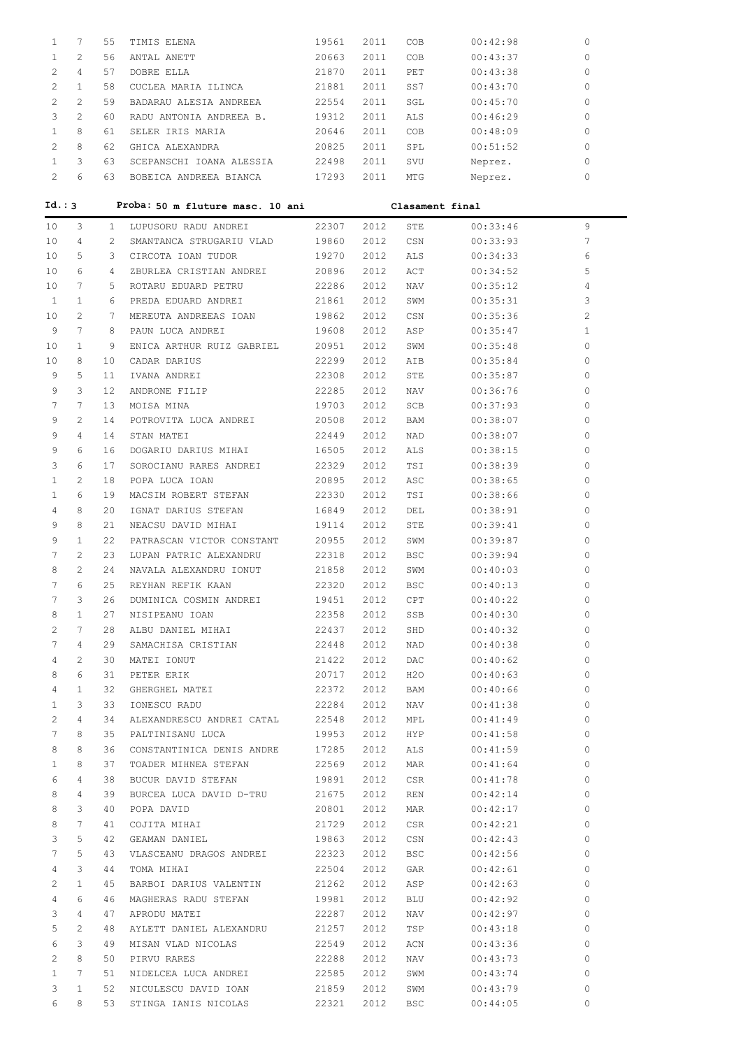| 1              | 7              | 55           | TIMIS ELENA                                 | 19561          | 2011         | COB               | 00:42:98             | $\circ$          |
|----------------|----------------|--------------|---------------------------------------------|----------------|--------------|-------------------|----------------------|------------------|
| $\mathbf{1}$   | 2              | 56           | ANTAL ANETT                                 | 20663          | 2011         | COB               | 00:43:37             | 0                |
| 2              | 4              | 57           | DOBRE ELLA                                  | 21870          | 2011         | PET               | 00:43:38             | 0                |
| 2              | $\mathbf{1}$   | 58           | CUCLEA MARIA ILINCA                         | 21881          | 2011         | SS7               | 00:43:70             | 0                |
| 2              | 2              | 59           | BADARAU ALESIA ANDREEA                      | 22554          | 2011         | SGL               | 00:45:70             | 0                |
| 3              | 2              | 60           | RADU ANTONIA ANDREEA B.                     | 19312          | 2011         | ALS               | 00:46:29             | 0                |
| $\mathbf{1}$   | 8              | 61           | SELER IRIS MARIA                            | 20646          | 2011         | COB               | 00:48:09             | 0                |
| 2              | 8              | 62           | GHICA ALEXANDRA                             | 20825          | 2011         | SPL               | 00:51:52             | 0                |
| $\mathbf{1}$   | 3              | 63           | SCEPANSCHI IOANA ALESSIA                    | 22498          | 2011         | SVU               | Neprez.              | 0                |
| $\overline{2}$ | 6              | 63           | BOBEICA ANDREEA BIANCA                      | 17293          | 2011         | MTG               | Neprez.              | 0                |
|                |                |              |                                             |                |              |                   |                      |                  |
| Id.: 3         |                |              | Proba: 50 m fluture masc. 10 ani            |                |              | Clasament final   |                      |                  |
| 10             | 3              | $\mathbf{1}$ | LUPUSORU RADU ANDREI                        | 22307          | 2012         | STE               | 00:33:46             | 9                |
| 10             | 4              | 2            | SMANTANCA STRUGARIU VLAD                    | 19860          | 2012         | CSN               | 00:33:93             | 7                |
| 10             | 5              | 3            | CIRCOTA IOAN TUDOR                          | 19270          | 2012         | ALS               | 00:34:33             | 6                |
| 10             | 6              | 4            | ZBURLEA CRISTIAN ANDREI                     | 20896          | 2012         | ACT               | 00:34:52             | 5                |
| 10             | 7              | 5            | ROTARU EDUARD PETRU                         | 22286          | 2012         | NAV               | 00:35:12             | 4                |
| 1              | $\mathbf{1}$   | 6            | PREDA EDUARD ANDREI                         | 21861          | 2012         | SWM               | 00:35:31             | 3                |
| 10             | $\mathbf{2}$   | 7            | MEREUTA ANDREEAS IOAN                       | 19862          | 2012         | CSN               | 00:35:36             | 2                |
| 9              | 7              | 8            | PAUN LUCA ANDREI                            | 19608          | 2012         | ASP               | 00:35:47             | $\mathbf{1}$     |
| 10             | $\mathbf{1}$   | 9            | ENICA ARTHUR RUIZ GABRIEL                   | 20951          | 2012         | SWM               | 00:35:48             | 0                |
| 10             | 8              | 10           | CADAR DARIUS                                | 22299          | 2012         | AIB               | 00:35:84             | 0                |
| 9              | 5              | 11           | IVANA ANDREI                                | 22308          | 2012         | STE               | 00:35:87             | 0                |
| 9              | 3              | 12           | ANDRONE FILIP                               | 22285          | 2012         | NAV               | 00:36:76             | 0                |
| 7              | 7              | 13           | MOISA MINA                                  | 19703          | 2012         | SCB               | 00:37:93             | 0                |
| 9              | $\overline{c}$ | 14           | POTROVITA LUCA ANDREI                       | 20508          | 2012         | BAM               | 00:38:07             | 0                |
| 9              | 4              | 14           | STAN MATEI                                  | 22449          | 2012         | NAD               | 00:38:07             | 0                |
| 9              | 6              | 16           | DOGARIU DARIUS MIHAI                        | 16505          | 2012         | ALS               | 00:38:15             | 0                |
| 3              | 6              | 17           | SOROCIANU RARES ANDREI                      | 22329          | 2012         | TSI               | 00:38:39             | 0                |
| $\mathbf{1}$   | 2              | 18           | POPA LUCA IOAN                              | 20895          | 2012         | ASC               | 00:38:65             | 0                |
| 1              | 6              | 19           | MACSIM ROBERT STEFAN                        | 22330          | 2012         | TSI               | 00:38:66             | 0                |
| 4              | 8              | 20           | IGNAT DARIUS STEFAN                         | 16849          | 2012         | DEL               | 00:38:91             | 0                |
| 9              | 8              | 21           | NEACSU DAVID MIHAI                          | 19114          | 2012         | STE               | 00:39:41             | 0                |
| 9              | $\mathbf{1}$   | 22           | PATRASCAN VICTOR CONSTANT                   | 20955          | 2012         | SWM               | 00:39:87             | 0                |
| 7<br>8         | 2<br>2         | 23<br>24     | LUPAN PATRIC ALEXANDRU                      | 22318          | 2012<br>2012 | BSC               | 00:39:94             | 0                |
| 7              | 6              | 25           | NAVALA ALEXANDRU IONUT                      | 21858<br>22320 | 2012         | SWM<br><b>BSC</b> | 00:40:03<br>00:40:13 | 0<br>$\mathbf 0$ |
| 7              | 3              | 26           | REYHAN REFIK KAAN<br>DUMINICA COSMIN ANDREI | 19451          | 2012         | CPT               | 00:40:22             | 0                |
| 8              | $\mathbf{1}$   | 27           | NISIPEANU IOAN                              | 22358          | 2012         | SSB               | 00:40:30             | 0                |
| 2              | 7              | 28           | ALBU DANIEL MIHAI                           | 22437          | 2012         | SHD               | 00:40:32             | $\circ$          |
| 7              | $\overline{4}$ | 29           | SAMACHISA CRISTIAN                          | 22448          | 2012         | NAD               | 00:40:38             | 0                |
| 4              | $\mathbf{2}$   | 30           | MATEI IONUT                                 | 21422          | 2012         | DAC               | 00:40:62             | 0                |
| 8              | 6              | 31           | PETER ERIK                                  | 20717          | 2012         | H20               | 00:40:63             | 0                |
| 4              | $\mathbf{1}$   | 32           | GHERGHEL MATEI                              | 22372          | 2012         | BAM               | 00:40:66             | 0                |
| 1              | 3              | 33           | IONESCU RADU                                | 22284          | 2012         | NAV               | 00:41:38             | 0                |
| 2              | 4              | 34           | ALEXANDRESCU ANDREI CATAL                   | 22548          | 2012         | MPL               | 00:41:49             | 0                |
| 7              | 8              | 35           | PALTINISANU LUCA                            | 19953          | 2012         | HYP               | 00:41:58             | 0                |
| 8              | 8              | 36           | CONSTANTINICA DENIS ANDRE                   | 17285          | 2012         | ALS               | 00:41:59             | 0                |
| 1              | 8              | 37           | TOADER MIHNEA STEFAN                        | 22569          | 2012         | MAR               | 00:41:64             | 0                |
| 6              | 4              | 38           | BUCUR DAVID STEFAN                          | 19891          | 2012         | CSR               | 00:41:78             | 0                |
| 8              | $\overline{4}$ | 39           | BURCEA LUCA DAVID D-TRU                     | 21675          | 2012         | REN               | 00:42:14             | 0                |
| 8              | 3              | 40           | POPA DAVID                                  | 20801          | 2012         | MAR               | 00:42:17             | 0                |
| 8              | 7              | 41           | COJITA MIHAI                                | 21729          | 2012         | CSR               | 00:42:21             | 0                |
| 3              | 5              | 42           | GEAMAN DANIEL                               | 19863          | 2012         | CSN               | 00:42:43             | 0                |
| 7              | 5              | 43           | VLASCEANU DRAGOS ANDREI                     | 22323          | 2012         | BSC               | 00:42:56             | 0                |
| 4              | 3              | 44           | TOMA MIHAI                                  | 22504          | 2012         | GAR               | 00:42:61             | 0                |
| 2              | $\mathbf{1}$   | 45           | BARBOI DARIUS VALENTIN                      | 21262          | 2012         | ASP               | 00:42:63             | 0                |
| 4              | 6              | 46           | MAGHERAS RADU STEFAN                        | 19981          | 2012         | BLU               | 00:42:92             | 0                |
| 3              | $\overline{4}$ | 47           | APRODU MATEI                                | 22287          | 2012         | NAV               | 00:42:97             | 0                |
| 5              | 2              | 48           | AYLETT DANIEL ALEXANDRU                     | 21257          | 2012         | TSP               | 00:43:18             | 0                |
| 6              | 3              | 49           | MISAN VLAD NICOLAS                          | 22549          | 2012         | ACN               | 00:43:36             | 0                |
| 2              | 8              | 50           | PIRVU RARES                                 | 22288          | 2012         | NAV               | 00:43:73             | 0                |
| 1              | 7              | 51           | NIDELCEA LUCA ANDREI                        | 22585          | 2012         | SWM               | 00:43:74             | 0                |
| 3              | $\mathbf{1}$   | 52           | NICULESCU DAVID IOAN                        | 21859          | 2012         | SWM               | 00:43:79             | 0                |
| 6              | 8              | 53           | STINGA IANIS NICOLAS                        | 22321          | 2012         | BSC               | 00:44:05             | 0                |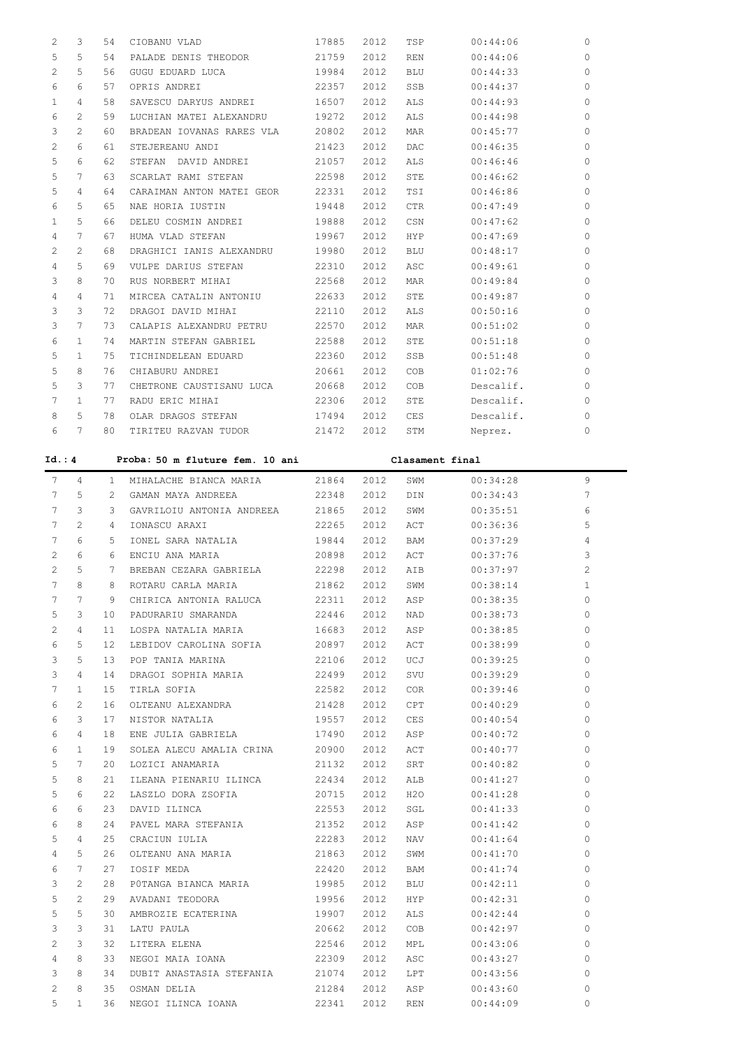| 2            | 3              | 54              | CIOBANU VLAD                    | 17885 | 2012           | TSP             | 00:44:06  | 0           |
|--------------|----------------|-----------------|---------------------------------|-------|----------------|-----------------|-----------|-------------|
| 5            | 5              | 54              | PALADE DENIS THEODOR            | 21759 | 2012           | <b>REN</b>      | 00:44:06  | 0           |
| 2            | 5              | 56              | GUGU EDUARD LUCA                | 19984 | 2012           | <b>BLU</b>      | 00:44:33  | 0           |
| 6            | 6              | 57              | OPRIS ANDREI                    | 22357 | 2012           | SSB             | 00:44:37  | 0           |
| 1            | 4              | 58              | SAVESCU DARYUS ANDREI           | 16507 | 2012           | ALS             | 00:44:93  | 0           |
| 6            | 2              | 59              | LUCHIAN MATEI ALEXANDRU         | 19272 | 2012           | ALS             | 00:44:98  | 0           |
| 3            | 2              | 60              | BRADEAN IOVANAS RARES VLA       | 20802 | 2012           | <b>MAR</b>      | 00:45:77  | 0           |
| 2            | 6              | 61              | STEJEREANU ANDI                 | 21423 | 2012           | DAC             | 00:46:35  | 0           |
| 5            | 6              | 62              | STEFAN DAVID ANDREI             | 21057 | 2012           | ALS             | 00:46:46  | 0           |
| 5            | 7              | 63              | SCARLAT RAMI STEFAN             | 22598 | 2012           | STE             | 00:46:62  | 0           |
| 5            | 4              | 64              | CARAIMAN ANTON MATEI GEOR       | 22331 | 2012           | TSI             | 00:46:86  | 0           |
| 6            | 5              | 65              | NAE HORIA IUSTIN                | 19448 | 2012           | <b>CTR</b>      | 00:47:49  | 0           |
| $\mathbf{1}$ | 5              | 66              | DELEU COSMIN ANDREI             | 19888 | 2012           | CSN             | 00:47:62  | 0           |
| 4            | 7              | 67              | HUMA VLAD STEFAN                | 19967 | 2012           | HYP             | 00:47:69  | 0           |
| 2            | 2              | 68              | DRAGHICI IANIS ALEXANDRU        | 19980 | 2012           | <b>BLU</b>      | 00:48:17  | 0           |
| 4            | 5              | 69              | VULPE DARIUS STEFAN             | 22310 | 2012           | ASC             | 00:49:61  | 0           |
| 3            | 8              | 70              | RUS NORBERT MIHAI               | 22568 | 2012           | <b>MAR</b>      | 00:49:84  | 0           |
| 4            | 4              | 71              | MIRCEA CATALIN ANTONIU          | 22633 | 2012           | STE             | 00:49:87  | 0           |
| 3            | 3              | 72              | DRAGOI DAVID MIHAI              | 22110 | 2012           | ALS             | 00:50:16  | 0           |
| 3            | 7              | 73              | CALAPIS ALEXANDRU PETRU         | 22570 | 2012           | <b>MAR</b>      | 00:51:02  | 0           |
| 6            | $\mathbf{1}$   | 74              | MARTIN STEFAN GABRIEL           | 22588 | 2012           | STE             | 00:51:18  | 0           |
| 5            | $\mathbf{1}$   | 75              | TICHINDELEAN EDUARD             | 22360 | 2012           | SSB             | 00:51:48  | 0           |
| 5            | 8              | 76              | CHIABURU ANDREI                 | 20661 | 2012           | COB             | 01:02:76  | 0           |
| 5            | 3              | 77              | CHETRONE CAUSTISANU LUCA        | 20668 | 2012           | COB             | Descalif. | 0           |
| 7            | $\mathbf{1}$   | 77              | RADU ERIC MIHAI                 | 22306 | 2012           | STE             | Descalif. | 0           |
| 8            | 5              | 78              | OLAR DRAGOS STEFAN              | 17494 | 2012           | CES             | Descalif. | 0           |
| 6            | 7              | 80              | TIRITEU RAZVAN TUDOR            | 21472 | 2012           | STM             | Neprez.   | 0           |
| Id.: 4       |                |                 |                                 |       |                |                 |           |             |
|              |                |                 | Proba: 50 m fluture fem. 10 ani |       |                | Clasament final |           |             |
| 7            | 4              | $\mathbf{1}$    | MIHALACHE BIANCA MARIA          | 21864 | 2012           | SWM             | 00:34:28  | 9           |
| 7            | 5              | 2               | GAMAN MAYA ANDREEA              | 22348 | 2012           | DIN             | 00:34:43  | 7           |
| 7            | 3              | 3               | GAVRILOIU ANTONIA ANDREEA       | 21865 | 2012           | SWM             | 00:35:51  | 6           |
| 7            | 2              | 4               | IONASCU ARAXI                   | 22265 | 2012           | ACT             | 00:36:36  | 5           |
| 7            | 6              | 5               | IONEL SARA NATALIA              | 19844 | 2012           | BAM             | 00:37:29  | 4           |
| 2            | 6              | 6               | ENCIU ANA MARIA                 | 20898 | 2012           | ACT             | 00:37:76  | 3           |
| 2            | 5              | 7               | BREBAN CEZARA GABRIELA          | 22298 | 2012           | AIB             | 00:37:97  | 2           |
| 7            | 8              | 8 <sup>1</sup>  | ROTARU CARLA MARIA              |       | 21862 2012 SWM |                 | 00:38:14  | $\mathbf 1$ |
| 7            | 7              | 9               | CHIRICA ANTONIA RALUCA          | 22311 | 2012           | ASP             | 00:38:35  | 0           |
| 5            | 3              | 10              | PADURARIU SMARANDA              | 22446 | 2012           | NAD             | 00:38:73  | $\circ$     |
| 2            | 4              | 11              | LOSPA NATALIA MARIA             | 16683 | 2012           | ASP             | 00:38:85  | $\circ$     |
| 6            | 5              | 12 <sup>°</sup> | LEBIDOV CAROLINA SOFIA          | 20897 | 2012           | ACT             | 00:38:99  | $\circ$     |
| 3            | 5              | 13 <sup>°</sup> | POP TANIA MARINA                | 22106 | 2012           | UCJ             | 00:39:25  | 0           |
| 3            | 4              | 14              | DRAGOI SOPHIA MARIA             | 22499 | 2012           | SVU             | 00:39:29  | 0           |
| 7            | $\mathbf{1}$   | 15 <sub>1</sub> | TIRLA SOFIA                     | 22582 | 2012           | COR             | 00:39:46  | 0           |
| 6            | 2              | 16              | OLTEANU ALEXANDRA               | 21428 | 2012           | CPT             | 00:40:29  | 0           |
| 6            | 3              | 17              | NISTOR NATALIA                  | 19557 | 2012           | CES             | 00:40:54  | 0           |
| 6            | $\overline{4}$ | 18              | ENE JULIA GABRIELA              | 17490 | 2012           | ASP             | 00:40:72  | 0           |

 6 1 19 SOLEA ALECU AMALIA CRINA 20900 2012 ACT 00:40:77 0 5 7 20 LOZICI ANAMARIA 21132 2012 SRT 00:40:82 0 5 8 21 ILEANA PIENARIU ILINCA 22434 2012 ALB 00:41:27 0 5 6 22 LASZLO DORA ZSOFIA 20715 2012 H2O 00:41:28 0 6 6 23 DAVID ILINCA 22553 2012 SGL 00:41:33 0 6 8 24 PAVEL MARA STEFANIA 21352 2012 ASP 00:41:42 0 5 4 25 CRACIUN IULIA 22283 2012 NAV 00:41:64 0 4 5 26 OLTEANU ANA MARIA 21863 2012 SWM 00:41:70 0 6 7 27 IOSIF MEDA 22420 2012 BAM 00:41:74 0 3 2 28 P0TANGA BIANCA MARIA 19985 2012 BLU 00:42:11 0 5 2 29 AVADANI TEODORA 19956 2012 HYP 00:42:31 0 5 5 30 AMBROZIE ECATERINA 19907 2012 ALS 00:42:44 0 3 3 31 LATU PAULA 20662 2012 COB 00:42:97 0 2 3 32 LITERA ELENA 22546 2012 MPL 00:43:06 0 4 8 33 NEGOI MAIA IOANA 22309 2012 ASC 00:43:27 0 3 8 34 DUBIT ANASTASIA STEFANIA 21074 2012 LPT 00:43:56 0 2 8 35 OSMAN DELIA 21284 2012 ASP 00:43:60 0 5 1 36 NEGOI ILINCA IOANA 22341 2012 REN 00:44:09 0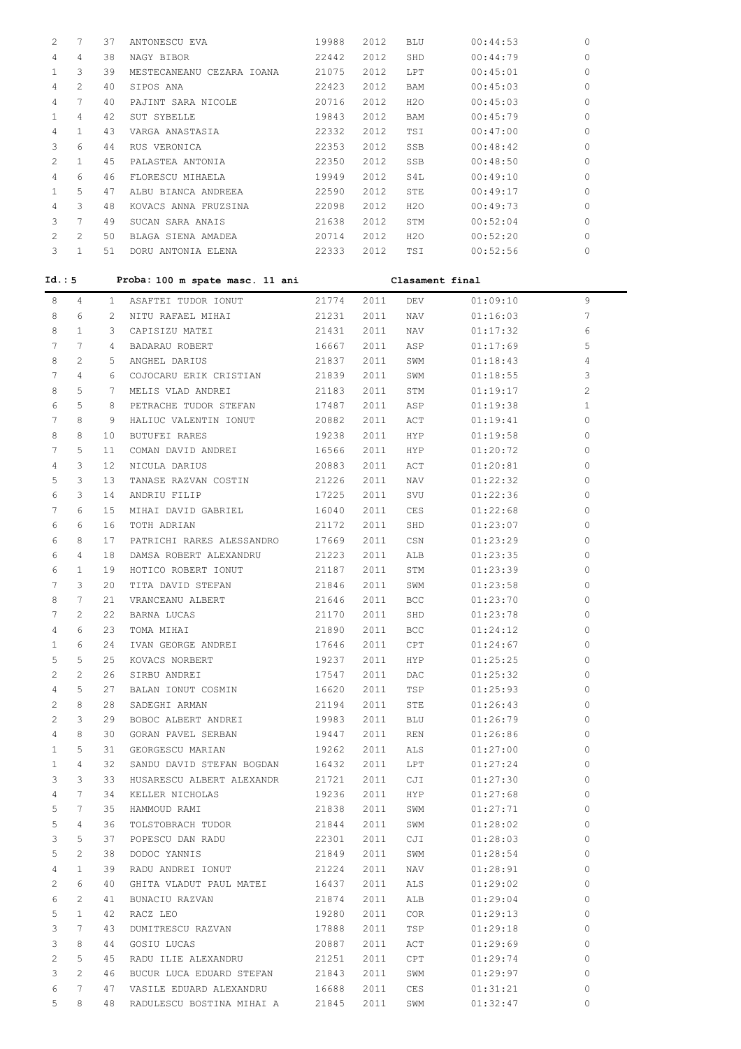| 2      | 7                     | 37             | ANTONESCU EVA                     | 19988          | 2012 | BLU             | 00:44:53             | 0            |
|--------|-----------------------|----------------|-----------------------------------|----------------|------|-----------------|----------------------|--------------|
| 4      | $\overline{4}$        | 38             | NAGY BIBOR                        | 22442          | 2012 | SHD             | 00:44:79             | 0            |
| 1      | 3                     | 39             | MESTECANEANU CEZARA IOANA         | 21075 2012     |      | LPT             | 00:45:01             | 0            |
| 4      | $\overline{c}$        | 40             | SIPOS ANA                         | 22423 2012     |      | BAM             | 00:45:03             | 0            |
| 4      | 7                     | 40             | PAJINT SARA NICOLE                | 20716          | 2012 | H2O             | 00:45:03             | 0            |
| 1      | $\overline{4}$        | 42             | SUT SYBELLE                       | 19843          | 2012 | BAM             | 00:45:79             | 0            |
| 4      | $\mathbf{1}$          | 43             | VARGA ANASTASIA                   | 22332          | 2012 | TSI             | 00:47:00             | 0            |
| 3      | 6                     | 44             | RUS VERONICA                      | 22353          | 2012 | SSB             | 00:48:42             | 0            |
| 2      | $\mathbf{1}$          | 45             | PALASTEA ANTONIA                  | 22350 2012     |      | SSB             | 00:48:50             | 0            |
| 4      | 6                     | 46             | FLORESCU MIHAELA                  | 19949 2012     |      | S4L             | 00:49:10             | 0            |
| 1      | 5                     | 47             | ALBU BIANCA ANDREEA               | 22590 2012     |      | STE             | 00:49:17             | 0            |
| 4      | 3                     | 48             | KOVACS ANNA FRUZSINA              | 22098 2012     |      | H2O             | 00:49:73             | 0            |
| 3      | $7\phantom{.0}$       | 49             | SUCAN SARA ANAIS                  | 21638 2012     |      | STM             | 00:52:04             | 0            |
| 2      | $\mathbf{2}^{\prime}$ | 50             | BLAGA SIENA AMADEA                | 20714 2012     |      | H20             | 00:52:20             | 0            |
| 3      | $\mathbf{1}$          | 51             | DORU ANTONIA ELENA                | 22333          | 2012 | TSI             | 00:52:56             | 0            |
|        |                       |                |                                   |                |      |                 |                      |              |
| Id.: 5 |                       |                | Proba: 100 m spate masc. 11 ani   |                |      | Clasament final |                      |              |
| 8      | $\overline{4}$        | $1 -$          | ASAFTEI TUDOR IONUT               | 21774          | 2011 | DEV             | 01:09:10             | 9            |
| 8      | 6                     | $2^{\circ}$    | NITU RAFAEL MIHAI                 | 21231          | 2011 | NAV             | 01:16:03             | 7            |
| 8      | $\mathbf{1}$          | 3              | CAPISIZU MATEI                    | 21431          | 2011 | NAV             | 01:17:32             | 6            |
| 7      | $7\phantom{.0}$       | $4\phantom{0}$ | BADARAU ROBERT                    | 16667          | 2011 | ASP             | 01:17:69             | 5            |
|        |                       |                |                                   |                |      |                 |                      |              |
| 8      | $\overline{2}$        | 5              | ANGHEL DARIUS                     | 21837          | 2011 | SWM             | 01:18:43             | 4            |
| 7      | $\overline{4}$        | 6              | COJOCARU ERIK CRISTIAN            | 21839          | 2011 | SWM             | 01:18:55             | 3            |
| 8      | 5                     | 7              | MELIS VLAD ANDREI                 | 21183          | 2011 | STM             | 01:19:17             | $\mathbf{2}$ |
| 6      | 5                     | 8              | PETRACHE TUDOR STEFAN             | 17487          | 2011 | ASP             | 01:19:38             | $\mathbf{1}$ |
| 7      | 8                     | 9              | HALIUC VALENTIN IONUT             | 20882          | 2011 | ACT             | 01:19:41             | 0            |
| 8      | 8                     | 10             | <b>BUTUFEI RARES</b>              | 19238          | 2011 | HYP             | 01:19:58             | 0            |
| 7      | 5                     | 11             | COMAN DAVID ANDREI                | 16566          | 2011 | HYP             | 01:20:72             | 0            |
| 4      | 3                     | 12             | NICULA DARIUS                     | 20883          | 2011 | ACT             | 01:20:81             | 0            |
| 5      | 3                     | 13             | TANASE RAZVAN COSTIN              | 21226          | 2011 | NAV             | 01:22:32             | 0            |
| 6      | 3                     | 14             | ANDRIU FILIP                      | 17225          | 2011 | SVU             | 01:22:36             | 0            |
| 7      | 6                     | 15             | MIHAI DAVID GABRIEL               | 16040          | 2011 | CES             | 01:22:68             | 0            |
| 6      | 6                     | 16             | TOTH ADRIAN                       | 21172          | 2011 | SHD             | 01:23:07             | 0            |
| 6      | 8                     | 17             | PATRICHI RARES ALESSANDRO         | 17669          | 2011 | CSN             | 01:23:29             | 0            |
| 6      | $\overline{4}$        | 18             | DAMSA ROBERT ALEXANDRU            | 21223          | 2011 | ALB             | 01:23:35             | 0            |
| 6      | $\mathbf{1}$          | 19             | HOTICO ROBERT IONUT               | 21187          | 2011 | STM             | 01:23:39             | 0            |
| 7      | 3                     | 20             | TITA DAVID STEFAN                 | 21846          | 2011 | SWM             | 01:23:58             | 0            |
| 8      | 7                     | 21             | VRANCEANU ALBERT                  | 21646          | 2011 | BCC             | 01:23:70             | 0            |
| 7      | 2                     | 22             | BARNA LUCAS                       | 21170          | 2011 | SHD             | 01:23:78             | 0            |
| 4      | 6                     | 23             | TOMA MIHAI                        | 21890          | 2011 | BCC             | 01:24:12             | $\circ$      |
| 1      | 6                     | 24             | IVAN GEORGE ANDREI                | 17646          | 2011 | CPT             | 01:24:67             | $\circ$      |
| 5      | 5                     | 25             | KOVACS NORBERT                    | 19237          | 2011 | HYP             | 01:25:25             | $\circ$      |
| 2      | 2                     | 26             | SIRBU ANDREI                      | 17547          | 2011 | DAC             | 01:25:32             | 0            |
| 4      | 5                     | 27             | BALAN IONUT COSMIN                | 16620          | 2011 | TSP             | 01:25:93             | $\circ$      |
| 2      | 8                     | 28             | SADEGHI ARMAN                     | 21194          | 2011 | STE             | 01:26:43             | $\circ$      |
| 2      | 3                     | 29             | BOBOC ALBERT ANDREI               | 19983          | 2011 | BLU             | 01:26:79             | 0            |
| 4      | 8                     | 30             | GORAN PAVEL SERBAN                | 19447          | 2011 | REN             | 01:26:86             | 0            |
| 1      | 5                     | 31             | GEORGESCU MARIAN                  | 19262          | 2011 | ALS             | 01:27:00             | $\circ$      |
| 1      | 4                     | 32             | SANDU DAVID STEFAN BOGDAN         | 16432          | 2011 | LPT             | 01:27:24             | $\circ$      |
| 3      | 3                     | 33             | HUSARESCU ALBERT ALEXANDR         | 21721          | 2011 | CJI             | 01:27:30             | $\circ$      |
| 4      | 7                     | 34             | KELLER NICHOLAS                   | 19236          | 2011 | HYP             | 01:27:68             | $\circ$      |
| 5      | 7                     | 35             | HAMMOUD RAMI                      | 21838          | 2011 | SWM             | 01:27:71             | 0            |
| 5      | 4                     | 36             | TOLSTOBRACH TUDOR                 | 21844          | 2011 | SWM             | 01:28:02             | $\circ$      |
|        |                       |                |                                   |                |      |                 |                      | $\circ$      |
| 3<br>5 | 5<br>2                | 37<br>38       | POPESCU DAN RADU                  | 22301<br>21849 | 2011 | CJI             | 01:28:03<br>01:28:54 | $\circ$      |
|        |                       |                | DODOC YANNIS<br>RADU ANDREI IONUT |                | 2011 | SWM             |                      |              |
| 4      | $\mathbf{1}$          | 39             |                                   | 21224          | 2011 | NAV             | 01:28:91             | 0            |
| 2      | 6                     | 40             | GHITA VLADUT PAUL MATEI           | 16437          | 2011 | ALS             | 01:29:02             | 0            |
| 6      | 2                     | 41             | BUNACIU RAZVAN                    | 21874          | 2011 | ALB             | 01:29:04             | $\circ$      |
| 5      | $\mathbf{1}$          | 42             | RACZ LEO                          | 19280          | 2011 | COR             | 01:29:13             | $\circ$      |
| 3      | 7                     | 43             | DUMITRESCU RAZVAN                 | 17888          | 2011 | TSP             | 01:29:18             | $\circ$      |
| 3      | 8                     | 44             | GOSIU LUCAS                       | 20887          | 2011 | ACT             | 01:29:69             | 0            |
| 2      | 5                     | 45             | RADU ILIE ALEXANDRU               | 21251          | 2011 | CPT             | 01:29:74             | 0            |
| 3      | 2                     | 46             | BUCUR LUCA EDUARD STEFAN          | 21843          | 2011 | SWM             | 01:29:97             | $\circ$      |
| 6      | 7                     | 47             | VASILE EDUARD ALEXANDRU           | 16688          | 2011 | CES             | 01:31:21             | 0            |
| 5      | 8                     | 48             | RADULESCU BOSTINA MIHAI A         | 21845          | 2011 | SWM             | 01:32:47             | 0            |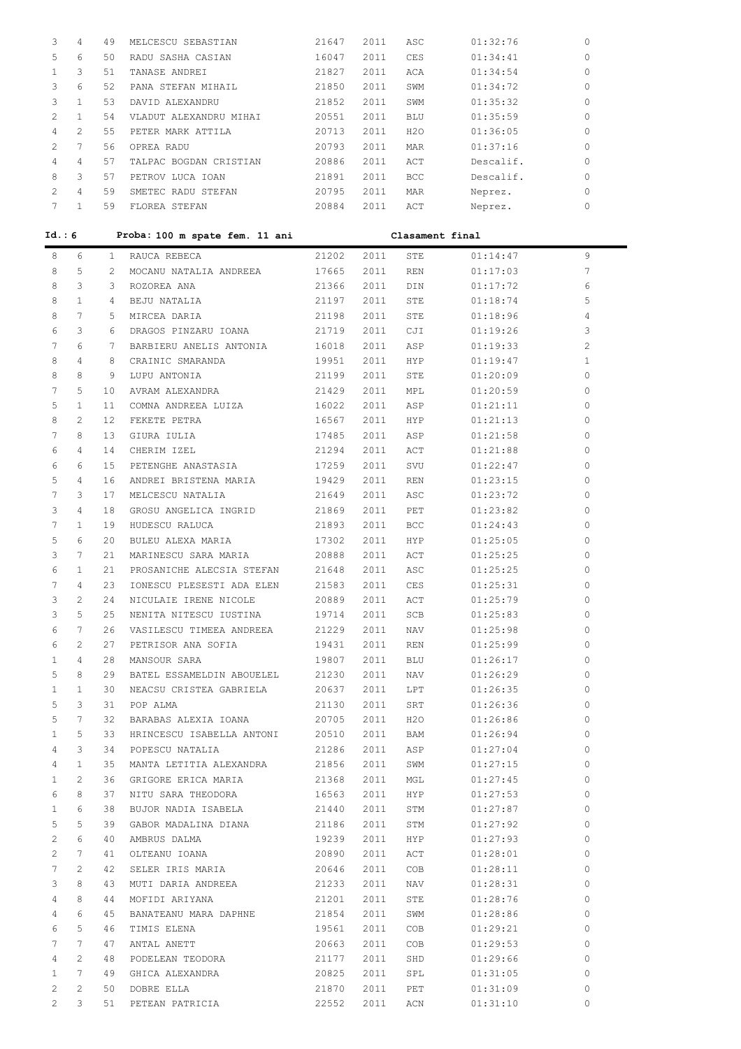| 3              | 4              | 49 | MELCESCU SEBASTIAN     | 21647 | 2011 | ASC        | 01:32:76  | 0        |
|----------------|----------------|----|------------------------|-------|------|------------|-----------|----------|
| 5.             | 6              | 50 | RADU SASHA CASIAN      | 16047 | 2011 | <b>CES</b> | 01:34:41  | 0        |
|                | 3              | 51 | TANASE ANDREI          | 21827 | 2011 | ACA        | 01:34:54  | 0        |
|                | 6              | 52 | PANA STEFAN MIHAIL     | 21850 | 2011 | SWM        | 01:34:72  | $\Omega$ |
| 3              |                | 53 | DAVID ALEXANDRU        | 21852 | 2011 | SWM        | 01:35:32  | 0        |
| $\mathcal{L}$  |                | 54 | VLADUT ALEXANDRU MIHAI | 20551 | 2011 | <b>BLU</b> | 01:35:59  | 0        |
| 4              | $\mathfrak{D}$ | 55 | PETER MARK ATTILA      | 20713 | 2011 | H2O        | 01:36:05  | 0        |
| $\mathfrak{D}$ |                | 56 | OPREA RADU             | 20793 | 2011 | <b>MAR</b> | 01:37:16  | 0        |
| 4              | 4              | 57 | TALPAC BOGDAN CRISTIAN | 20886 | 2011 | ACT        | Descalif. | 0        |
| 8              | 3              | 57 | PETROV LUCA TOAN       | 21891 | 2011 | <b>BCC</b> | Descalif. | 0        |
| $\mathcal{P}$  | 4              | 59 | SMETEC RADU STEFAN     | 20795 | 2011 | MAR        | Neprez.   | $\Omega$ |
|                |                | 59 | FLOREA STEFAN          | 20884 | 2011 | ACT        | Neprez.   | $\Omega$ |

| Id.: 6 |                |              | Proba: 100 m spate fem. 11 ani  |       |      | Clasament final |          |                |
|--------|----------------|--------------|---------------------------------|-------|------|-----------------|----------|----------------|
| 8      | 6              | $\mathbf{1}$ | RAUCA REBECA                    | 21202 | 2011 | STE             | 01:14:47 | 9              |
| 8      | 5              | 2            | MOCANU NATALIA ANDREEA          | 17665 | 2011 | REN             | 01:17:03 | 7              |
| 8      | 3              | 3            | ROZOREA ANA                     | 21366 | 2011 | DIN             | 01:17:72 | 6              |
| 8      | $\mathbf{1}$   | 4            | BEJU NATALIA                    | 21197 | 2011 | <b>STE</b>      | 01:18:74 | 5              |
| 8      | 7              | 5            | MIRCEA DARIA                    | 21198 | 2011 | <b>STE</b>      | 01:18:96 | 4              |
| 6      | 3              | 6            | DRAGOS PINZARU IOANA 21719      |       | 2011 | CJI             | 01:19:26 | 3              |
| 7      | 6              | 7            | BARBIERU ANELIS ANTONIA 16018   |       | 2011 | ASP             | 01:19:33 | $\overline{c}$ |
| 8      | 4              | 8            | CRAINIC SMARANDA                | 19951 | 2011 | HYP             | 01:19:47 | 1              |
| 8      | 8              | 9            | LUPU ANTONIA                    | 21199 | 2011 | STE             | 01:20:09 | $\circ$        |
| 7      | 5              | 10           | AVRAM ALEXANDRA                 | 21429 | 2011 | <b>MPL</b>      | 01:20:59 | 0              |
| 5      | $\mathbf{1}$   | 11           | COMNA ANDREEA LUIZA             | 16022 | 2011 | ASP             | 01:21:11 | 0              |
| 8      | 2.             | 12.          | FEKETE PETRA                    | 16567 | 2011 | HYP             | 01:21:13 | 0              |
| 7      | 8              | 13           | GIURA IULIA                     | 17485 | 2011 | ASP             | 01:21:58 | 0              |
| 6      | 4              | 14           | CHERIM IZEL                     | 21294 | 2011 | ACT             | 01:21:88 | 0              |
| 6      | 6              | 15           | PETENGHE ANASTASIA              | 17259 | 2011 | SVU             | 01:22:47 | 0              |
| 5      | 4              | 16           | ANDREI BRISTENA MARIA           | 19429 | 2011 | <b>REN</b>      | 01:23:15 | 0              |
| 7      | 3              | 17           | MELCESCU NATALIA                | 21649 | 2011 | ASC             | 01:23:72 | 0              |
| 3      | 4              | 18           | GROSU ANGELICA INGRID 21869     |       | 2011 | PET             | 01:23:82 | 0              |
| 7      | $\mathbf{1}$   | 19           | HUDESCU RALUCA                  | 21893 | 2011 | <b>BCC</b>      | 01:24:43 | 0              |
| 5      | 6              | 20           | BULEU ALEXA MARIA               | 17302 | 2011 | HYP             | 01:25:05 | 0              |
| 3      | 7              | 21           | MARINESCU SARA MARIA            | 20888 | 2011 | ACT             | 01:25:25 | 0              |
| 6      | $\mathbf{1}$   | 21           | PROSANICHE ALECSIA STEFAN 21648 |       | 2011 | ASC             | 01:25:25 | 0              |
| 7      | 4              | 23           | IONESCU PLESESTI ADA ELEN       | 21583 | 2011 | CES             | 01:25:31 | 0              |
| 3      | 2              | 24           | NICULAIE IRENE NICOLE           | 20889 | 2011 | ACT             | 01:25:79 | 0              |
| 3      | 5.             | 25           | NENITA NITESCU IUSTINA          | 19714 | 2011 | SCB             | 01:25:83 | 0              |
| 6      | 7              | 26           | VASILESCU TIMEEA ANDREEA 21229  |       | 2011 | NAV             | 01:25:98 | $\mathbf 0$    |
| 6      | $\mathfrak{D}$ | 27           | PETRISOR ANA SOFIA              | 19431 | 2011 | <b>REN</b>      | 01:25:99 | $\mathbf{0}$   |

| 5            | 6            | 20 | BULEU ALEXA MARIA               | 17302 | 2011 | HYP        | 01:25:05 | 0            |
|--------------|--------------|----|---------------------------------|-------|------|------------|----------|--------------|
| 3            | 7            | 21 | MARINESCU SARA MARIA            | 20888 | 2011 | ACT        | 01:25:25 | 0            |
| 6            | 1            | 21 | PROSANICHE ALECSIA STEFAN 21648 |       | 2011 | ASC        | 01:25:25 | 0            |
| 7            | 4            | 23 | IONESCU PLESESTI ADA ELEN 21583 |       | 2011 | CES        | 01:25:31 | $\mathbf{0}$ |
| 3            | 2            | 24 | NICULAIE IRENE NICOLE           | 20889 | 2011 | ACT        | 01:25:79 | 0            |
| 3            | 5            | 25 | NENITA NITESCU IUSTINA          | 19714 | 2011 | SCB        | 01:25:83 | 0            |
| 6            | 7            | 26 | VASILESCU TIMEEA ANDREEA 21229  |       | 2011 | NAV        | 01:25:98 | 0            |
| 6            | 2            | 27 | PETRISOR ANA SOFIA              | 19431 | 2011 | REN        | 01:25:99 | $\circ$      |
| 1            | 4            | 28 | MANSOUR SARA                    | 19807 | 2011 | BLU        | 01:26:17 | 0            |
| 5            | 8            | 29 | BATEL ESSAMELDIN ABOUELEL       | 21230 | 2011 | NAV        | 01:26:29 | 0            |
| 1            | 1            | 30 | NEACSU CRISTEA GABRIELA         | 20637 | 2011 | LPT        | 01:26:35 | 0            |
| 5            | 3            | 31 | POP ALMA                        | 21130 | 2011 | SRT        | 01:26:36 | 0            |
| 5            | 7            | 32 | BARABAS ALEXIA IOANA            | 20705 | 2011 | H2O        | 01:26:86 | 0            |
| $\mathbf{1}$ | 5            | 33 | HRINCESCU ISABELLA ANTONI       | 20510 | 2011 | BAM        | 01:26:94 | 0            |
| 4            | 3            | 34 | POPESCU NATALIA                 | 21286 | 2011 | ASP        | 01:27:04 | 0            |
| 4            | $\mathbf{1}$ | 35 | MANTA LETITIA ALEXANDRA         | 21856 | 2011 | SWM        | 01:27:15 | 0            |
| $\mathbf{1}$ | 2            | 36 | GRIGORE ERICA MARIA             | 21368 | 2011 | MGL        | 01:27:45 | 0            |
| 6            | 8            | 37 | NITU SARA THEODORA              | 16563 | 2011 | <b>HYP</b> | 01:27:53 | 0            |
| $\mathbf{1}$ | 6            | 38 | BUJOR NADIA ISABELA             | 21440 | 2011 | STM        | 01:27:87 | 0            |
| 5            | 5            | 39 | GABOR MADALINA DIANA            | 21186 | 2011 | STM        | 01:27:92 | 0            |
| 2            | 6            | 40 | AMBRUS DALMA                    | 19239 | 2011 | <b>HYP</b> | 01:27:93 | $\circ$      |
| 2            | 7            | 41 | OLTEANU IOANA                   | 20890 | 2011 | ACT        | 01:28:01 | $\circ$      |
| 7            | 2            | 42 | SELER IRIS MARIA                | 20646 | 2011 | COB        | 01:28:11 | 0            |
| 3            | 8            | 43 | MUTI DARIA ANDREEA              | 21233 | 2011 | NAV        | 01:28:31 | 0            |
| 4            | 8            | 44 | MOFIDI ARIYANA                  | 21201 | 2011 | STE        | 01:28:76 | 0            |
| 4            | 6            | 45 | BANATEANU MARA DAPHNE           | 21854 | 2011 | SWM        | 01:28:86 | $\circ$      |
| 6            | 5            | 46 | TIMIS ELENA                     | 19561 | 2011 | <b>COB</b> | 01:29:21 | 0            |
| 7            | 7            | 47 | ANTAL ANETT                     | 20663 | 2011 | COB        | 01:29:53 | 0            |
| 4            | 2            | 48 | PODELEAN TEODORA                | 21177 | 2011 | SHD        | 01:29:66 | 0            |
| $\mathbf{1}$ | 7            | 49 | GHICA ALEXANDRA                 | 20825 | 2011 | SPL        | 01:31:05 | $\circ$      |
| 2            | 2            | 50 | DOBRE ELLA                      | 21870 | 2011 | PET        | 01:31:09 | $\mathbf 0$  |

2 3 51 PETEAN PATRICIA 22552 2011 ACN 01:31:10 0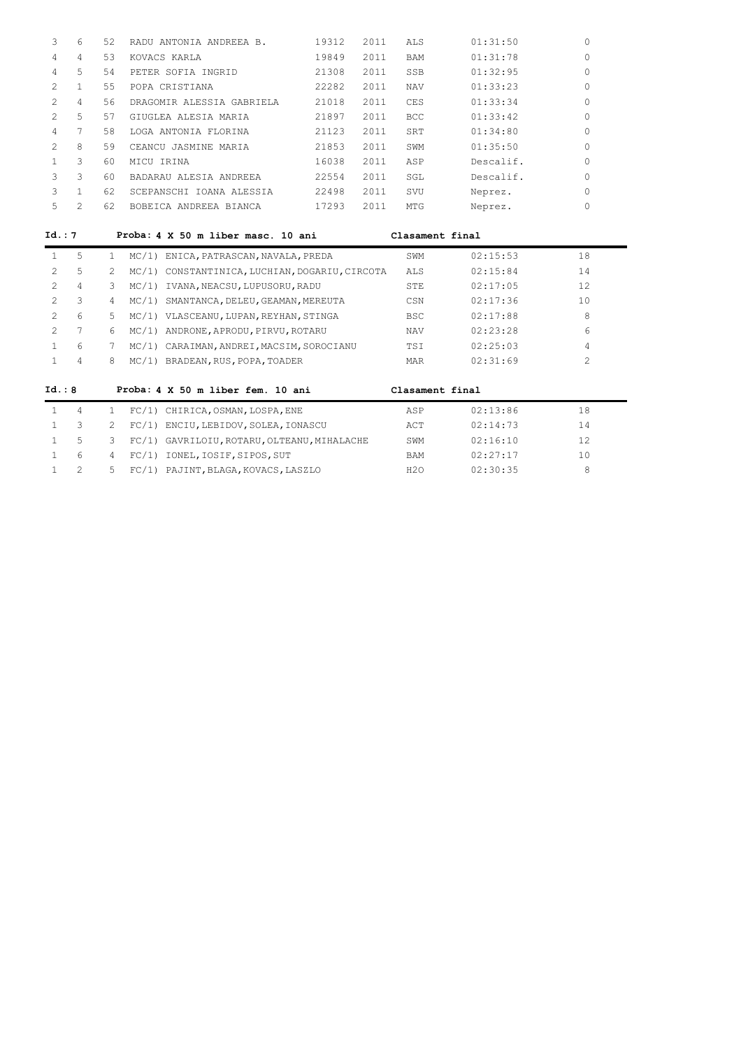|   | 6 | 52 | RADU ANTONIA ANDREEA B.   | 19312 | 2011 | ALS        | 01:31:50  |   |
|---|---|----|---------------------------|-------|------|------------|-----------|---|
| 4 | 4 | 53 | KOVACS KARLA              | 19849 | 2011 | <b>BAM</b> | 01:31:78  |   |
| 4 | 5 | 54 | PETER SOFIA INGRID        | 21308 | 2011 | SSB        | 01:32:95  |   |
|   |   | 55 | POPA CRISTIANA            | 22282 | 2011 | <b>NAV</b> | 01:33:23  |   |
|   | 4 | 56 | DRAGOMIR ALESSIA GABRIELA | 21018 | 2011 | CES        | 01:33:34  | O |
|   | 5 | 57 | GIUGLEA ALESIA MARIA      | 21897 | 2011 | <b>BCC</b> | 01:33:42  | 0 |
| 4 | 7 | 58 | LOGA ANTONIA FLORINA      | 21123 | 2011 | SRT        | 01:34:80  |   |
|   | 8 | 59 | CEANCU JASMINE MARIA      | 21853 | 2011 | SWM        | 01:35:50  |   |
|   | 3 | 60 | MICU IRINA                | 16038 | 2011 | ASP        | Descalif. |   |
|   | 3 | 60 | BADARAU ALESIA ANDREEA    | 22554 | 2011 | SGL        | Descalif. |   |
|   |   | 62 | SCEPANSCHI IOANA ALESSIA  | 22498 | 2011 | SVU        | Neprez.   |   |
|   |   | 62 | BOBEICA ANDREEA BIANCA    | 17293 | 2011 | MTG        | Neprez.   |   |

# **Id.: 7 Proba: 4 X 50 m liber masc. 10 ani Clasament final**

|        | 4 |    | FC/1) | CHIRICA, OSMAN, LOSPA, ENE                     | ASP             | 02:13:86 | 18  |
|--------|---|----|-------|------------------------------------------------|-----------------|----------|-----|
| Id.: 8 |   |    |       | Proba: 4 X 50 m liber fem. 10 ani              | Clasament final |          |     |
|        | 4 | 8  |       | MC/1) BRADEAN, RUS, POPA, TOADER               | MAR             | 02:31:69 | 2   |
|        | 6 |    |       | MC/1) CARAIMAN, ANDREI, MACSIM, SOROCIANU      | <b>TST</b>      | 02:25:03 | 4   |
| 2      |   | 6  |       | MC/1) ANDRONE, APRODU, PIRVU, ROTARU           | <b>NAV</b>      | 02:23:28 | 6   |
| 2.     | 6 | 5. |       | MC/1) VLASCEANU, LUPAN, REYHAN, STINGA         | <b>BSC</b>      | 02:17:88 | 8   |
| 2      | 3 | 4  | MC/1) | SMANTANCA, DELEU, GEAMAN, MEREUTA              | CSN             | 02:17:36 | 10  |
| 2.     | 4 | 3  | MC/1) | IVANA, NEACSU, LUPUSORU, RADU                  | STE             | 02:17:05 | 12. |
| 2.     | 5 | 2. |       | MC/1) CONSTANTINICA, LUCHIAN, DOGARIU, CIRCOTA | ALS             | 02:15:84 | 14  |
|        | 5 |    |       | MC/1) ENICA, PATRASCAN, NAVALA, PREDA          | SWM             | 02:15:53 | 18  |

|                |  |                                               | ---- | .        |    |
|----------------|--|-----------------------------------------------|------|----------|----|
| $\sim$ 3       |  | 2 FC/1) ENCIU, LEBIDOV, SOLEA, IONASCU        | ACT  | 02:14:73 | 14 |
| 15             |  | 3 FC/1) GAVRILOIU, ROTARU, OLTEANU, MIHALACHE | SWM  | 02:16:10 |    |
| 6 <sub>6</sub> |  | 4 FC/1) IONEL, IOSIF, SIPOS, SUT              | BAM  | 02:27:17 | 10 |
|                |  | 5 FC/1) PAJINT, BLAGA, KOVACS, LASZLO         | H2O  | 02:30:35 |    |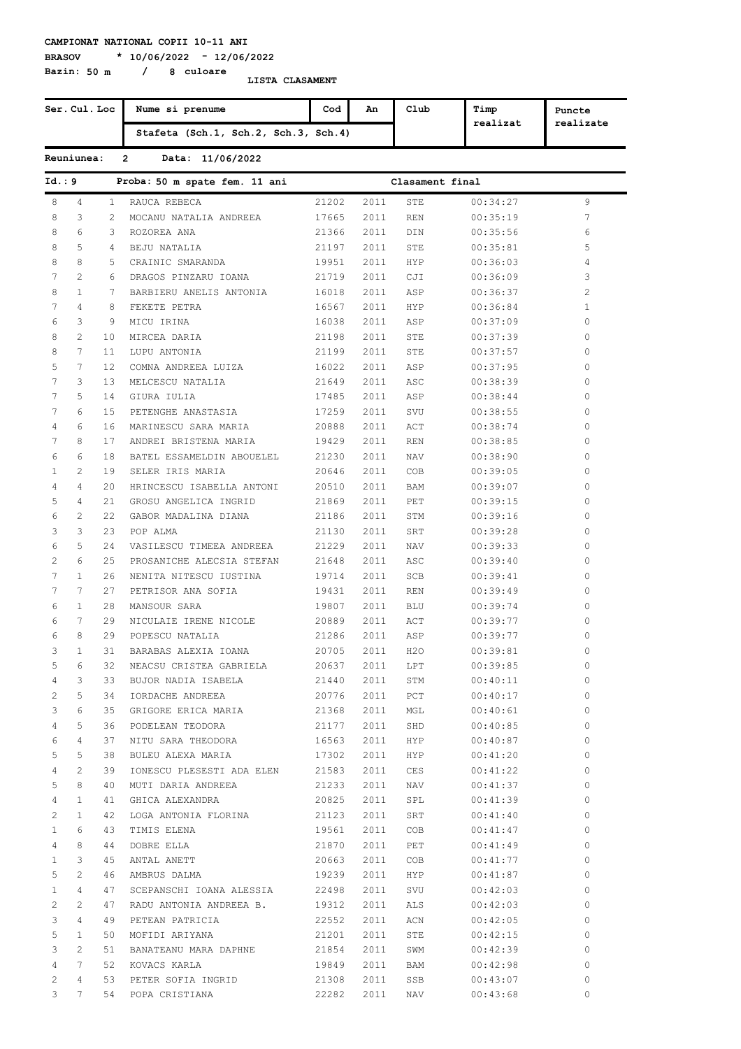**Bazin: 50 m / 8 culoare**

**BRASOV \* 10/06/2022 - 12/06/2022**

| Ser. Cul. Loc  |                  |                | Nume si prenume                      | Cod              | An       | Club            | Timp     | Puncte       |
|----------------|------------------|----------------|--------------------------------------|------------------|----------|-----------------|----------|--------------|
|                |                  |                | Stafeta (Sch.1, Sch.2, Sch.3, Sch.4) |                  |          |                 | realizat | realizate    |
|                | Reuniunea:       |                | $\overline{2}$<br>Data: 11/06/2022   |                  |          |                 |          |              |
| Id.: 9         |                  |                | Proba: 50 m spate fem. 11 ani        |                  |          | Clasament final |          |              |
| 8              | 4                | $\mathbf{1}$   | RAUCA REBECA                         | 21202            | 2011     | STE             | 00:34:27 | 9            |
| 8              | 3                | $\overline{2}$ | MOCANU NATALIA ANDREEA               | 17665            | 2011     | <b>REN</b>      | 00:35:19 | 7            |
| 8              | 6                | 3              | ROZOREA ANA                          | 21366            | 2011     | DIN             | 00:35:56 | 6            |
| 8              | 5                | 4              | BEJU NATALIA                         | 21197            | 2011     | STE             | 00:35:81 | 5            |
| 8              | 8                | 5              | CRAINIC SMARANDA                     | 19951            | 2011     | HYP.            | 00:36:03 | 4            |
| 7              | 2                | 6              | DRAGOS PINZARU IOANA                 | 21719            | 2011     | CJI             | 00:36:09 | 3            |
| 8              | $\mathbf{1}$     | 7              | BARBIERU ANELIS ANTONIA              | 16018            | 2011     | ASP             | 00:36:37 | 2            |
| 7              | 4                | 8              | FEKETE PETRA                         | 16567            | 2011     | HYP             | 00:36:84 | $\mathbf{1}$ |
| 6              | 3                | 9              | MICU IRINA                           | 16038            | 2011     | ASP             | 00:37:09 | 0            |
| 8              | 2                | 10             | MIRCEA DARIA                         | 21198            | 2011     | STE             | 00:37:39 | 0            |
| 8              | $7\phantom{.0}$  | 11             | LUPU ANTONIA                         | 21199            | 2011     | STE             | 00:37:57 | 0            |
| 5              | 7                | $12 \,$        | COMNA ANDREEA LUIZA                  | 16022            | 2011     | ASP             | 00:37:95 | 0            |
| 7              | 3                | 13             | MELCESCU NATALIA                     | 21649            | 2011     | ASC             | 00:38:39 | 0            |
| 7              | 5                | 14             | GIURA IULIA                          | 17485            | 2011     | ASP             | 00:38:44 | 0            |
| 7              | 6                | 15             | PETENGHE ANASTASIA                   | 17259            | 2011     | SVU             | 00:38:55 | 0            |
| 4              | 6                | 16             | MARINESCU SARA MARIA                 | 20888            | 2011     | ACT             | 00:38:74 | 0            |
| 7              | 8                | 17             | ANDREI BRISTENA MARIA                | 19429            | 2011     | REN             | 00:38:85 | 0            |
| 6              | 6                | 18             | BATEL ESSAMELDIN ABOUELEL            | 21230            | 2011     | NAV             | 00:38:90 | 0            |
| $\mathbf{1}$   | 2                | 19             | SELER IRIS MARIA                     | 20646            | 2011     | COB             | 00:39:05 | 0            |
| 4              | 4                | 20             |                                      |                  |          |                 |          | 0            |
| 5              | 4                |                | HRINCESCU ISABELLA ANTONI            | 20510            | 2011     | BAM             | 00:39:07 | 0            |
|                |                  | 21             | GROSU ANGELICA INGRID                | 21869            | 2011     | PET             | 00:39:15 |              |
| 6              | 2                | 22             | GABOR MADALINA DIANA                 | 21186            | 2011     | STM             | 00:39:16 | 0            |
| 3              | 3                | 23             | POP ALMA                             | 21130            | 2011     | SRT             | 00:39:28 | 0            |
| 6              | 5                | 24             | VASILESCU TIMEEA ANDREEA             | 21229            | 2011     | NAV             | 00:39:33 | 0            |
| 2              | 6                | 25             | PROSANICHE ALECSIA STEFAN            | 21648            | 2011     | ASC             | 00:39:40 | 0            |
| 7              | $\mathbf{1}$     | 26             | NENITA NITESCU IUSTINA               | 19714            | 2011     | SCB             | 00:39:41 | 0            |
| 7              | 7                | 27             | PETRISOR ANA SOFIA                   | 19431            | 2011     | REN             | 00:39:49 | 0            |
| 6              | $\mathbf{1}$     | 28             | MANSOUR SARA                         | 19807            | 2011     | BLU             | 00:39:74 | 0            |
| 6              | 7                | 29             | NICULAIE IRENE NICOLE                | 20889            | 2011     | ACT             | 00:39:77 | 0            |
| 6              | 8                | 29             | POPESCU NATALIA                      | 21286            | 2011     | ASP             | 00:39:77 | 0            |
| 3              | $\mathbf{1}$     |                | 31 BARABAS ALEXIA IOANA              | 20705            |          | 2011 H2O        | 00:39:81 | 0            |
| $5 -$          | 6                |                | 32 NEACSU CRISTEA GABRIELA           | 20637 2011 LPT   |          |                 | 00:39:85 | $\circ$      |
| 4              | $3^{\circ}$      |                | 33 BUJOR NADIA ISABELA               | 21440  2011  STM |          |                 | 00:40:11 | $\circ$      |
| $\overline{2}$ | 5                |                | 34 IORDACHE ANDREEA                  | 20776 2011 PCT   |          |                 | 00:40:17 | $\circ$      |
| 3              | 6                |                | 35 GRIGORE ERICA MARIA               | 21368 2011 MGL   |          |                 | 00:40:61 | $\circ$      |
| $\overline{4}$ | 5                |                | 36 PODELEAN TEODORA                  | 21177  2011  SHD |          |                 | 00:40:85 | $\circ$      |
| 6              | 4                |                | 37 NITU SARA THEODORA                | 16563            |          | 2011 HYP        | 00:40:87 | $\circ$      |
| 5 <sup>5</sup> | 5                |                | 38 BULEU ALEXA MARIA                 | 17302 2011 HYP   |          |                 | 00:41:20 | $\circ$      |
| 4              | $\overline{2}$   |                | 39 IONESCU PLESESTI ADA ELEN         | 21583 2011       |          | CES             | 00:41:22 | $\circ$      |
| 5              | 8                |                | 40 MUTI DARIA ANDREEA                | 21233 2011 NAV   |          |                 | 00:41:37 | $\circ$      |
| 4              | 1                |                | 41 GHICA ALEXANDRA                   | 20825            | 2011 SPL |                 | 00:41:39 | $\circ$      |
| $\mathbf{2}$   | 1                |                | 42 LOGA ANTONIA FLORINA              | 21123            | 2011 SRT |                 | 00:41:40 | $\circ$      |
| $1 -$          | 6                |                | 43 TIMIS ELENA                       | 19561 2011       |          | COB             | 00:41:47 | $\circ$      |
| $4 -$          | 8                |                | 44 DOBRE ELLA                        | 21870            | 2011 PET |                 | 00:41:49 | $\circ$      |
| $1 -$          | 3                |                | 45 ANTAL ANETT                       | 20663            | 2011     | COB             | 00:41:77 | $\circ$      |
| 5 <sup>5</sup> | $\overline{2}$   |                | 46 AMBRUS DALMA                      | 19239 2011 HYP   |          |                 | 00:41:87 | $\circ$      |
| $1 \quad$      | $4\overline{ }$  |                | 47 SCEPANSCHI IOANA ALESSIA          | 22498  2011  SVU |          |                 | 00:42:03 | $\circ$      |
| $\overline{2}$ | $\overline{2}$   |                | 47 RADU ANTONIA ANDREEA B.           | 19312 2011       |          | ALS             | 00:42:03 | $\circ$      |
| 3              | 4                |                | 49 PETEAN PATRICIA                   | 22552 2011       |          | ACN             | 00:42:05 | $\circ$      |
| 5              | 1                |                | 50 MOFIDI ARIYANA                    | 21201 2011 STE   |          |                 | 00:42:15 | $\circ$      |
| 3              | $\mathbf{2}$     |                | 51 BANATEANU MARA DAPHNE             | 21854 2011 SWM   |          |                 | 00:42:39 | $\circ$      |
|                | 4 7              |                | 52 KOVACS KARLA                      | 19849 2011 BAM   |          |                 | 00:42:98 | $\circ$      |
| $\overline{2}$ | $4 -$            |                | 53 PETER SOFIA INGRID                | 21308 2011 SSB   |          |                 | 00:43:07 | $\circ$      |
|                | $3 \overline{7}$ |                | 54 POPA CRISTIANA                    | 22282  2011  NAV |          |                 | 00:43:68 | $\mathbf{0}$ |
|                |                  |                |                                      |                  |          |                 |          |              |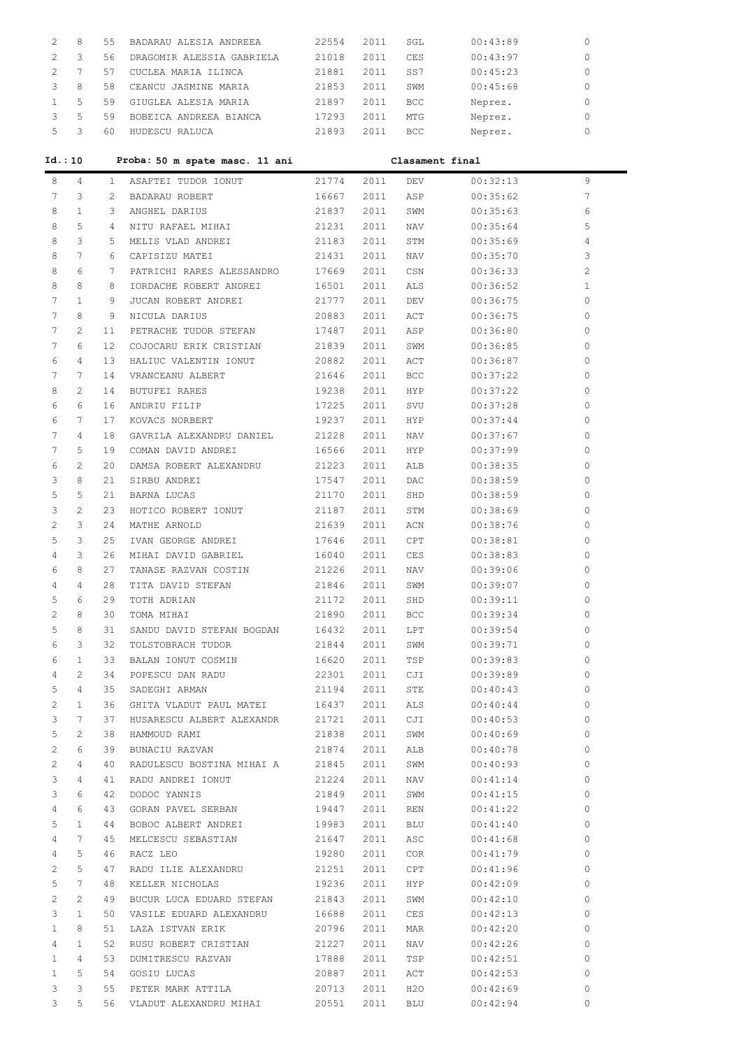| 2              | 8              | 55            | BADARAU ALESIA ANDREEA         | 22554 | 2011 | SGL             | 00:43:89 | 0              |
|----------------|----------------|---------------|--------------------------------|-------|------|-----------------|----------|----------------|
| 2              | 3              | 56            | DRAGOMIR ALESSIA GABRIELA      | 21018 | 2011 | <b>CES</b>      | 00:43:97 | $\Omega$       |
| 2              | 7              | 57            | CUCLEA MARIA ILINCA            | 21881 | 2011 | SS7             | 00:45:23 | 0              |
| 3              | 8              | 58            | CEANCU JASMINE MARIA           | 21853 | 2011 | SWM             | 00:45:68 | 0              |
| $\mathbf{1}$   | 5              | 59            | GIUGLEA ALESIA MARIA           | 21897 | 2011 | BCC             |          | 0              |
|                | 5              |               |                                |       |      |                 | Neprez.  | 0              |
| 3              |                | 59            | BOBEICA ANDREEA BIANCA         | 17293 | 2011 | MTG             | Neprez.  |                |
| 5              | 3              | 60            | HUDESCU RALUCA                 | 21893 | 2011 | <b>BCC</b>      | Neprez.  | 0              |
| Id.:10         |                |               | Proba: 50 m spate masc. 11 ani |       |      | Clasament final |          |                |
| 8              | 4              | $\mathbf{1}$  | ASAFTEI TUDOR IONUT            | 21774 | 2011 | DEV             | 00:32:13 | 9              |
| 7              | 3              | $\mathcal{L}$ | BADARAU ROBERT                 | 16667 | 2011 | ASP             | 00:35:62 | 7              |
| 8              | $\mathbf{1}$   | 3             | ANGHEL DARIUS                  | 21837 | 2011 | SWM             | 00:35:63 | 6              |
| 8              | 5              | 4             | NITU RAFAEL MIHAI              | 21231 | 2011 | NAV             | 00:35:64 | 5              |
| 8              | 3              | 5             | MELIS VLAD ANDREI              | 21183 | 2011 | STM             | 00:35:69 | 4              |
| 8              | 7              | 6             | CAPISIZU MATEI                 | 21431 | 2011 | NAV             | 00:35:70 | 3              |
| 8              | 6              | 7             | PATRICHI RARES ALESSANDRO      | 17669 | 2011 | CSN             | 00:36:33 | $\overline{c}$ |
| 8              | 8              | 8             | IORDACHE ROBERT ANDREI         | 16501 | 2011 | ALS             | 00:36:52 | $\mathbf{1}$   |
| 7              | $\mathbf{1}$   | 9             | JUCAN ROBERT ANDREI            |       |      | DEV             |          | 0              |
|                |                | 9             |                                | 21777 | 2011 |                 | 00:36:75 |                |
| 7              | 8              |               | NICULA DARIUS                  | 20883 | 2011 | ACT             | 00:36:75 | 0              |
| 7              | $\overline{c}$ | 11            | PETRACHE TUDOR STEFAN          | 17487 | 2011 | ASP             | 00:36:80 | 0              |
| 7              | 6              | 12            | COJOCARU ERIK CRISTIAN         | 21839 | 2011 | SWM             | 00:36:85 | 0              |
| 6              | 4              | 13            | HALIUC VALENTIN IONUT          | 20882 | 2011 | ACT             | 00:36:87 | 0              |
| 7              | 7              | 14            | VRANCEANU ALBERT               | 21646 | 2011 | <b>BCC</b>      | 00:37:22 | 0              |
| 8              | $\overline{2}$ | 14            | <b>BUTUFEI RARES</b>           | 19238 | 2011 | <b>HYP</b>      | 00:37:22 | 0              |
| 6              | 6              | 16            | ANDRIU FILIP                   | 17225 | 2011 | SVU             | 00:37:28 | 0              |
| 6              | 7              | 17            | KOVACS NORBERT                 | 19237 | 2011 | <b>HYP</b>      | 00:37:44 | 0              |
| 7              | 4              | 18            | GAVRILA ALEXANDRU DANIEL       | 21228 | 2011 | NAV             | 00:37:67 | 0              |
| 7              | 5              | 19            | COMAN DAVID ANDREI             | 16566 | 2011 | HYP             | 00:37:99 | 0              |
| 6              | $\overline{2}$ | 20            | DAMSA ROBERT ALEXANDRU         | 21223 | 2011 | ALB             | 00:38:35 | 0              |
| 3              | 8              | 21            | SIRBU ANDREI                   | 17547 | 2011 | DAC             | 00:38:59 | 0              |
| 5              | 5              | 21            | BARNA LUCAS                    | 21170 | 2011 | SHD             | 00:38:59 | 0              |
| 3              | $\overline{c}$ | 23            | HOTICO ROBERT IONUT            | 21187 | 2011 | STM             | 00:38:69 | 0              |
| $\overline{c}$ | 3              | 24            | MATHE ARNOLD                   | 21639 | 2011 | ACN             | 00:38:76 | 0              |
| 5              | 3              | 25            | IVAN GEORGE ANDREI             | 17646 | 2011 | CPT             | 00:38:81 | 0              |
| 4              | 3              | 26            | MIHAI DAVID GABRIEL            | 16040 | 2011 | CES             | 00:38:83 | 0              |
| 6              | 8              | 27            | TANASE RAZVAN COSTIN           | 21226 | 2011 | NAV             | 00:39:06 | 0              |
| 4              | 4              | 28            | TITA DAVID STEFAN              | 21846 | 2011 | SWM             | 00:39:07 | 0              |
| 5              | 6              | 29            | TOTH ADRIAN                    | 21172 | 2011 | SHD             | 00:39:11 | 0              |
| 2              | 8              | 30            | TOMA MIHAI                     | 21890 | 2011 | BCC             | 00:39:34 | 0              |
| 5              | 8              | 31            | SANDU DAVID STEFAN BOGDAN      | 16432 | 2011 | LPT             | 00:39:54 | 0              |
| 6              | 3              | 32            | TOLSTOBRACH TUDOR              | 21844 | 2011 | SWM             | 00:39:71 | 0              |
| 6              | $\mathbf{1}$   | 33            | BALAN IONUT COSMIN             | 16620 | 2011 | TSP             | 00:39:83 | 0              |
| 4              | 2              | 34            | POPESCU DAN RADU               | 22301 | 2011 | CJI             | 00:39:89 | 0              |
| 5              | 4              | 35            | SADEGHI ARMAN                  | 21194 | 2011 | STE             | 00:40:43 | 0              |
|                | $\mathbf{1}$   | 36            | GHITA VLADUT PAUL MATEI        |       |      |                 |          | 0              |
| 2              |                |               |                                | 16437 | 2011 | ALS             | 00:40:44 | 0              |
| 3              | 7              | 37            | HUSARESCU ALBERT ALEXANDR      | 21721 | 2011 | CJI             | 00:40:53 |                |
| 5              | 2              | 38            | HAMMOUD RAMI                   | 21838 | 2011 | SWM             | 00:40:69 | 0              |
| 2              | 6              | 39            | BUNACIU RAZVAN                 | 21874 | 2011 | ALB             | 00:40:78 | 0              |
| 2              | 4              | 40            | RADULESCU BOSTINA MIHAI A      | 21845 | 2011 | SWM             | 00:40:93 | 0              |
| 3              | 4              | 41            | RADU ANDREI IONUT              | 21224 | 2011 | NAV             | 00:41:14 | 0              |
| 3              | 6              | 42            | DODOC YANNIS                   | 21849 | 2011 | SWM             | 00:41:15 | 0              |
| 4              | 6              | 43            | GORAN PAVEL SERBAN             | 19447 | 2011 | REN             | 00:41:22 | 0              |
| 5              | $\mathbf{1}$   | 44            | BOBOC ALBERT ANDREI            | 19983 | 2011 | BLU             | 00:41:40 | 0              |
| 4              | 7              | 45            | MELCESCU SEBASTIAN             | 21647 | 2011 | ASC             | 00:41:68 | 0              |
| 4              | 5              | 46            | RACZ LEO                       | 19280 | 2011 | <b>COR</b>      | 00:41:79 | 0              |
| 2              | 5              | 47            | RADU ILIE ALEXANDRU            | 21251 | 2011 | CPT             | 00:41:96 | 0              |
| 5              | 7              | 48            | KELLER NICHOLAS                | 19236 | 2011 | HYP             | 00:42:09 | 0              |
| 2              | 2              | 49            | BUCUR LUCA EDUARD STEFAN       | 21843 | 2011 | SWM             | 00:42:10 | 0              |
| 3              | $\mathbf{1}$   | 50            | VASILE EDUARD ALEXANDRU        | 16688 | 2011 | CES             | 00:42:13 | 0              |
| 1              | 8              | 51            | LAZA ISTVAN ERIK               | 20796 | 2011 | MAR             | 00:42:20 | 0              |
| 4              | $\mathbf{1}$   | 52            | RUSU ROBERT CRISTIAN           | 21227 | 2011 | NAV             | 00:42:26 | 0              |
| $\mathbf{1}$   | 4              | 53            | DUMITRESCU RAZVAN              | 17888 | 2011 | TSP             | 00:42:51 | 0              |
| $\mathbf{1}$   | 5              | 54            | GOSIU LUCAS                    | 20887 | 2011 | ACT             | 00:42:53 | 0              |
| 3              | 3              | 55            | PETER MARK ATTILA              | 20713 | 2011 | H2O             | 00:42:69 | 0              |
| 3              | 5              | 56            | VLADUT ALEXANDRU MIHAI 20551   |       | 2011 | BLU             | 00:42:94 | 0              |
|                |                |               |                                |       |      |                 |          |                |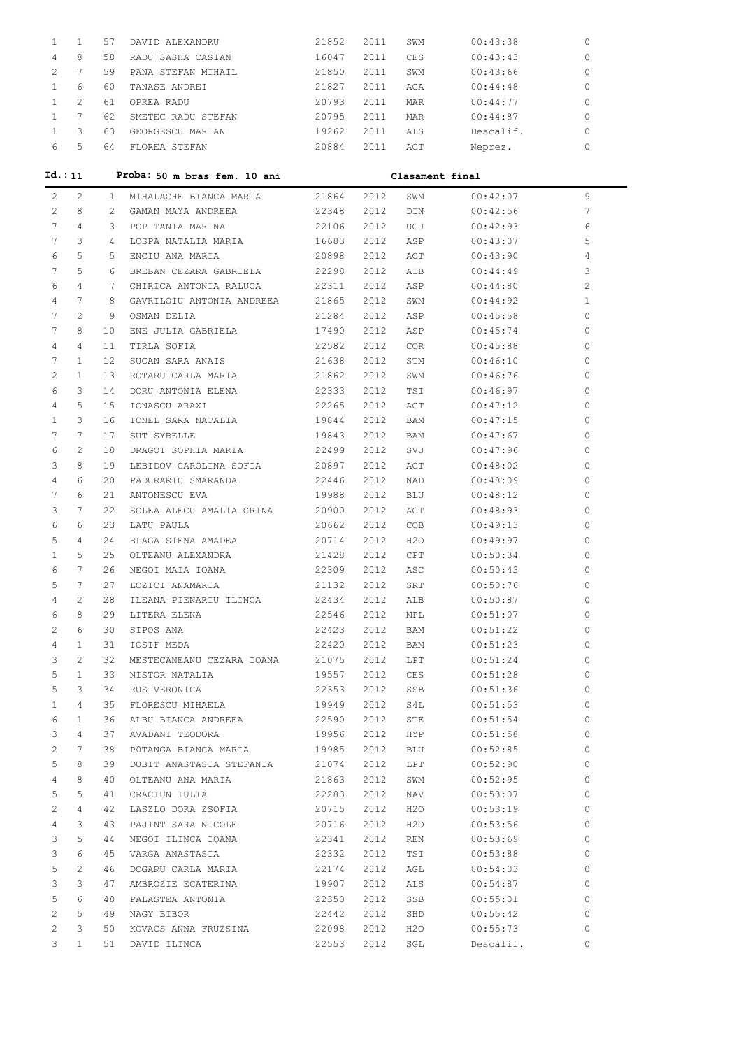| 1               | 1                     | 57        | DAVID ALEXANDRU                 | 21852 | 2011 | SWM             | 00:43:38  | 0            |
|-----------------|-----------------------|-----------|---------------------------------|-------|------|-----------------|-----------|--------------|
| 4               | 8                     | 58        | RADU SASHA CASIAN               | 16047 | 2011 | CES             | 00:43:43  | 0            |
| 2               | 7                     | 59        | PANA STEFAN MIHAIL              | 21850 | 2011 | SWM             | 00:43:66  | 0            |
| $\mathbf{1}$    | 6                     | 60        | TANASE ANDREI                   | 21827 | 2011 | ACA             | 00:44:48  | 0            |
| $\mathbf{1}$    | $\overline{2}$        | 61        | OPREA RADU                      | 20793 | 2011 | MAR             | 00:44:77  | 0            |
| $\mathbf{1}$    | $7\phantom{.0}$       | 62        | SMETEC RADU STEFAN              | 20795 | 2011 | MAR             | 00:44:87  | 0            |
| $\mathbf{1}$    | 3                     |           | 63 GEORGESCU MARIAN             | 19262 | 2011 | ALS             | Descalif. | 0            |
| 6               | 5                     |           | 64 FLOREA STEFAN                | 20884 |      | 2011 ACT        | Neprez.   | 0            |
|                 |                       |           |                                 |       |      |                 |           |              |
|                 | Id.: 11               |           | Proba: 50 m bras fem. 10 ani    |       |      | Clasament final |           |              |
| 2               | 2                     | $1 -$     | MIHALACHE BIANCA MARIA          | 21864 | 2012 | SWM             | 00:42:07  | 9            |
| $\overline{2}$  | 8                     | 2         | GAMAN MAYA ANDREEA              | 22348 | 2012 | DIN             | 00:42:56  | 7            |
| $7\overline{ }$ | 4                     |           | 3 POP TANIA MARINA              | 22106 | 2012 | UCJ             | 00:42:93  | 6            |
| 7               | 3                     | $4 \quad$ | LOSPA NATALIA MARIA             | 16683 | 2012 | ASP             | 00:43:07  | 5            |
| 6               | 5                     | 5         | ENCIU ANA MARIA                 | 20898 | 2012 | ACT             | 00:43:90  | 4            |
| 7               | 5                     | რ —       | BREBAN CEZARA GABRIELA 22298    |       | 2012 | AIB             | 00:44:49  | 3            |
| 6               | 4                     | 7         | CHIRICA ANTONIA RALUCA 22311    |       | 2012 | ASP             | 00:44:80  | 2            |
| $\overline{4}$  | 7                     | 8         | GAVRILOIU ANTONIA ANDREEA 21865 |       | 2012 | SWM             | 00:44:92  | $\mathbf{1}$ |
| 7               | $\mathbf{2}^{\prime}$ | 9         | OSMAN DELIA                     | 21284 | 2012 | ASP             | 00:45:58  | $\circ$      |
| 7               | 8                     | 10        | ENE JULIA GABRIELA              | 17490 | 2012 | ASP             | 00:45:74  | 0            |
| 4               | 4                     | 11        | TIRLA SOFIA                     | 22582 | 2012 | COR             | 00:45:88  | 0            |
| 7               | $\mathbf{1}$          | 12        | SUCAN SARA ANAIS                | 21638 | 2012 | STM             | 00:46:10  | 0            |
| 2               | $\mathbf{1}$          | 13        | ROTARU CARLA MARIA              | 21862 | 2012 | SWM             | 00:46:76  | 0            |
| 6               | 3                     | 14        | DORU ANTONIA ELENA              | 22333 | 2012 | TSI             | 00:46:97  | $\Omega$     |
| 4               | 5                     | 15        | IONASCU ARAXI                   | 22265 | 2012 | ACT             | 00:47:12  | $\Omega$     |
| $\mathbf{1}$    | 3                     | 16        | IONEL SARA NATALIA              | 19844 | 2012 | BAM             | 00:47:15  | $\Omega$     |
| 7               | 7                     | 17        | SUT SYBELLE                     | 19843 | 2012 | BAM             | 00:47:67  | $\Omega$     |
| 6               | 2                     | 18        | DRAGOI SOPHIA MARIA             | 22499 | 2012 | SVU             | 00:47:96  | $\Omega$     |
| 3               | 8                     | 19        | LEBIDOV CAROLINA SOFIA          | 20897 | 2012 | ACT             | 00:48:02  | 0            |
| 4               | 6                     | 20        | PADURARIU SMARANDA              | 22446 | 2012 | NAD             | 00:48:09  | 0            |
| 7               | 6                     | 21        | ANTONESCU EVA                   | 19988 | 2012 | BLU             | 00:48:12  | 0            |
| 3               | 7                     | 22        | SOLEA ALECU AMALIA CRINA 20900  |       | 2012 | ACT             | 00:48:93  | 0            |
| 6               | 6                     | 23        | LATU PAULA                      | 20662 | 2012 | COB             | 00:49:13  | 0            |
| 5               | $\overline{4}$        | 24        | BLAGA SIENA AMADEA              | 20714 | 2012 | H20             | 00:49:97  | 0            |
| $\mathbf{1}$    | 5                     | 25        | OLTEANU ALEXANDRA               | 21428 | 2012 | CPT             | 00:50:34  | 0            |
| 6               | 7                     |           | 26 NEGOI MAIA IOANA             | 22309 | 2012 | ASC             | 00:50:43  | 0            |
| 5               | $7\phantom{.0}$       | 27        | LOZICI ANAMARIA                 | 21132 | 2012 | SRT             | 00:50:76  | $\circ$      |
| 4               | 2                     | 28        | ILEANA PIENARIU ILINCA          | 22434 | 2012 | ALB             | 00:50:87  | 0            |
| 6               | 8                     | 29        | LITERA ELENA                    | 22546 | 2012 | MPL             | 00:51:07  | $\circ$      |
| 2               | 6                     | 30        | SIPOS ANA                       | 22423 | 2012 | BAM             | 00:51:22  | $\circ$      |
| 4               | 1                     | 31        | IOSIF MEDA                      | 22420 | 2012 | BAM             | 00:51:23  | $\circ$      |
| 3               | 2                     | 32        | MESTECANEANU CEZARA IOANA       | 21075 |      |                 | 00:51:24  | $\circ$      |
| 5               | $\mathbf{1}$          | 33        | NISTOR NATALIA                  | 19557 | 2012 | LPT             | 00:51:28  | $\circ$      |
| 5               | 3                     | 34        |                                 | 22353 | 2012 | CES             | 00:51:36  | $\circ$      |
|                 | 4                     |           | RUS VERONICA                    |       | 2012 | SSB             |           | $\circ$      |
| 1               |                       | 35        | FLORESCU MIHAELA                | 19949 | 2012 | S4L             | 00:51:53  |              |
| 6               | 1                     | 36        | ALBU BIANCA ANDREEA             | 22590 | 2012 | STE             | 00:51:54  | $\circ$      |
| 3               | 4                     | 37        | AVADANI TEODORA                 | 19956 | 2012 | HYP             | 00:51:58  | $\circ$      |
| 2               | 7                     | 38        | POTANGA BIANCA MARIA            | 19985 | 2012 | BLU             | 00:52:85  | $\circ$      |
| 5               | 8                     | 39        | DUBIT ANASTASIA STEFANIA        | 21074 | 2012 | LPT             | 00:52:90  | $\circ$      |
| 4               | 8                     | 40        | OLTEANU ANA MARIA               | 21863 | 2012 | SWM             | 00:52:95  | $\circ$      |
| 5               | 5                     | 41        | CRACIUN IULIA                   | 22283 | 2012 | NAV             | 00:53:07  | $\circ$      |
| 2               | 4                     | 42        | LASZLO DORA ZSOFIA              | 20715 | 2012 | H2O             | 00:53:19  | $\circ$      |
| 4               | 3                     | 43        | PAJINT SARA NICOLE              | 20716 | 2012 | H2O             | 00:53:56  | $\circ$      |
| 3               | 5                     | 44        | NEGOI ILINCA IOANA              | 22341 | 2012 | REN             | 00:53:69  | $\circ$      |
| 3               | 6                     | 45        | VARGA ANASTASIA                 | 22332 | 2012 | TSI             | 00:53:88  | $\circ$      |
| 5               | 2                     | 46        | DOGARU CARLA MARIA              | 22174 | 2012 | AGL             | 00:54:03  | $\circ$      |
| 3               | 3                     | 47        | AMBROZIE ECATERINA              | 19907 | 2012 | ALS             | 00:54:87  | $\circ$      |
| 5               | 6                     | 48        | PALASTEA ANTONIA                | 22350 | 2012 | SSB             | 00:55:01  | $\circ$      |
| 2               | 5                     | 49        | NAGY BIBOR                      | 22442 | 2012 | SHD             | 00:55:42  | $\circ$      |
| 2               | 3                     | 50        | KOVACS ANNA FRUZSINA            | 22098 | 2012 | H2O             | 00:55:73  | $\circ$      |
| 3               | $\mathbf{1}$          | 51        | DAVID ILINCA                    | 22553 | 2012 | SGL             | Descalif. | 0            |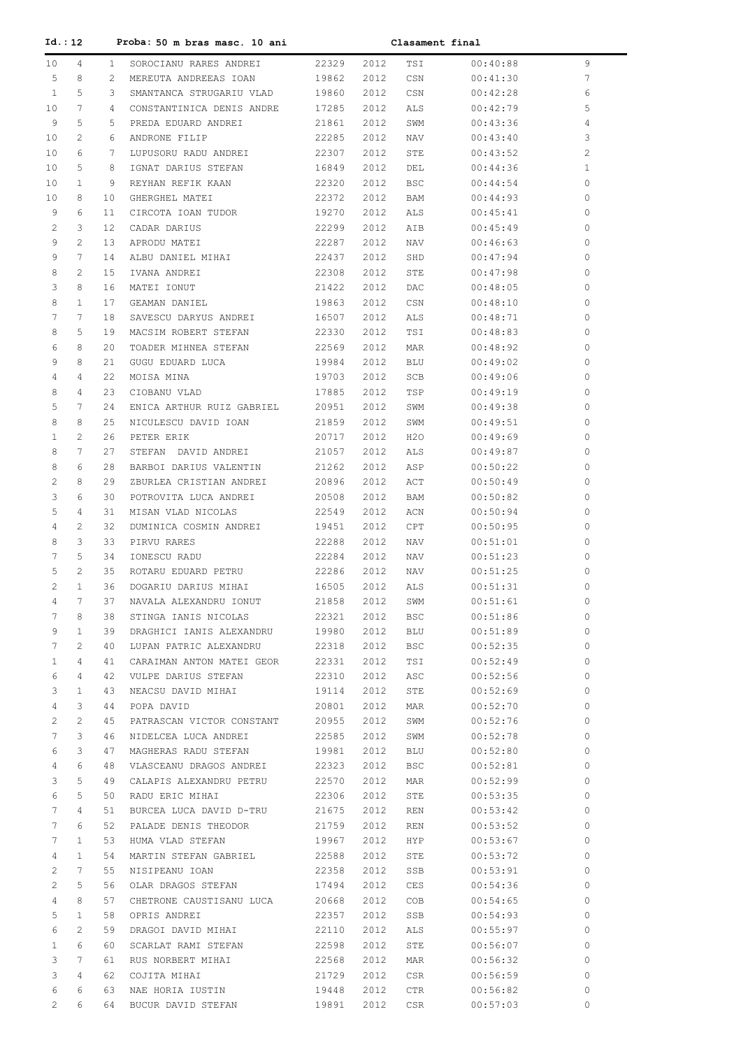| Id.: 12               |              |                 | Proba: 50 m bras masc. 10 ani     |                |              | Clasament final |                      |                      |
|-----------------------|--------------|-----------------|-----------------------------------|----------------|--------------|-----------------|----------------------|----------------------|
| 10 <sub>o</sub>       | 4            | $\mathbf{1}$    | SOROCIANU RARES ANDREI            | 22329          | 2012         | TSI             | 00:40:88             | 9                    |
| 5                     | 8            | $\overline{2}$  | MEREUTA ANDREEAS IOAN             | 19862          | 2012         | CSN             | 00:41:30             | 7                    |
| $\mathbf{1}$          | 5            | 3               | SMANTANCA STRUGARIU VLAD          | 19860          | 2012         | CSN             | 00:42:28             | 6                    |
| 10                    | 7            | 4               | CONSTANTINICA DENIS ANDRE         | 17285          | 2012         | ALS             | 00:42:79             | 5                    |
| 9                     | 5            | 5.              | PREDA EDUARD ANDREI               | 21861          | 2012         | SWM             | 00:43:36             | 4                    |
| 10                    | 2            | 6               | ANDRONE FILIP                     | 22285          | 2012         | NAV             | 00:43:40             | 3                    |
| 10                    | 6            | 7               | LUPUSORU RADU ANDREI              | 22307          | 2012         | STE             | 00:43:52             | 2                    |
| 10                    | 5            | 8               | IGNAT DARIUS STEFAN               | 16849          | 2012         | DEL             | 00:44:36             | $\mathbf{1}$         |
| 10                    | $\mathbf{1}$ | 9               | REYHAN REFIK KAAN                 | 22320          | 2012         | <b>BSC</b>      | 00:44:54             | $\Omega$             |
| 10                    | 8            | 10              | GHERGHEL MATEI                    | 22372          | 2012         | BAM             | 00:44:93             | $\Omega$             |
| 9                     | 6            | 11              | CIRCOTA IOAN TUDOR                | 19270          | 2012         | ALS             | 00:45:41             | $\Omega$             |
| 2                     | 3            | 12 <sup>°</sup> | CADAR DARIUS                      | 22299          | 2012         | AIB             | 00:45:49             | $\Omega$             |
| 9                     | 2            | 13              | APRODU MATEI                      | 22287          | 2012         | NAV             | 00:46:63             | $\Omega$             |
| 9                     | 7            | 14              | ALBU DANIEL MIHAI                 | 22437          | 2012         | SHD             | 00:47:94             | $\Omega$             |
| 8                     | 2            | 15              | IVANA ANDREI                      | 22308          | 2012         | STE             | 00:47:98             | $\Omega$             |
| 3                     | 8            | 16              | MATEI IONUT                       | 21422          | 2012         | DAC             | 00:48:05             | $\Omega$             |
| 8                     | $\mathbf{1}$ | 17              | GEAMAN DANIEL                     | 19863          | 2012         | CSN             | 00:48:10             | $\Omega$             |
| 7                     | 7            | 18              | SAVESCU DARYUS ANDREI             | 16507          | 2012         | ALS             | 00:48:71             | $\Omega$             |
| 8                     | 5            | 19              | MACSIM ROBERT STEFAN              | 22330          | 2012         | TSI             | 00:48:83             | $\Omega$             |
| 6                     | 8            | 20              | TOADER MIHNEA STEFAN              | 22569          | 2012         | MAR             | 00:48:92             | $\Omega$             |
| 9<br>4                | 8            | 21<br>22        | GUGU EDUARD LUCA                  | 19984          | 2012<br>2012 | BLU             | 00:49:02             | $\Omega$<br>$\Omega$ |
| 8                     | 4<br>4       | 23              | MOISA MINA<br>CIOBANU VLAD        | 19703          |              | SCB             | 00:49:06             | $\Omega$             |
| 5                     | 7            | 24              | ENICA ARTHUR RUIZ GABRIEL         | 17885<br>20951 | 2012<br>2012 | TSP<br>SWM      | 00:49:19<br>00:49:38 | $\Omega$             |
| 8                     | 8            | 25              | NICULESCU DAVID IOAN              | 21859          | 2012         | SWM             | 00:49:51             | $\Omega$             |
| $\mathbf{1}$          | 2            | 26              | PETER ERIK                        | 20717          | 2012         | H20             | 00:49:69             | $\Omega$             |
| 8                     | 7            | 27              | STEFAN DAVID ANDREI               | 21057          | 2012         | ALS             | 00:49:87             | $\Omega$             |
| 8                     | 6            | 28              | BARBOI DARIUS VALENTIN            | 21262          | 2012         | ASP             | 00:50:22             | $\Omega$             |
| 2                     | 8            | 29              | ZBURLEA CRISTIAN ANDREI           | 20896          | 2012         | ACT             | 00:50:49             | $\Omega$             |
| 3                     | 6            | 30              | POTROVITA LUCA ANDREI             | 20508          | 2012         | BAM             | 00:50:82             | $\Omega$             |
| 5                     | 4            | 31              | MISAN VLAD NICOLAS                | 22549          | 2012         | ACN             | 00:50:94             | $\Omega$             |
| 4                     | 2            | 32              | DUMINICA COSMIN ANDREI            | 19451          | 2012         | CPT             | 00:50:95             | $\Omega$             |
| 8                     | 3            | 33              | PIRVU RARES                       | 22288          | 2012         | NAV             | 00:51:01             | $\Omega$             |
| 7                     | 5            | 34              | IONESCU RADU                      | 22284          | 2012         | NAV             | 00:51:23             | $\Omega$             |
| 5                     | 2            | 35              | ROTARU EDUARD PETRU               | 22286          | 2012         | NAV             | 00:51:25             | 0                    |
| 2                     | $\mathbf{1}$ | 36              | DOGARIU DARIUS MIHAI              | 16505          | 2012         | ALS             | 00:51:31             | 0                    |
| 4                     | 7            | 37              | NAVALA ALEXANDRU IONUT            | 21858          | 2012         | SWM             | 00:51:61             | 0                    |
| 7                     | 8            | 38              | STINGA IANIS NICOLAS              | 22321          | 2012         | <b>BSC</b>      | 00:51:86             | 0                    |
| 9                     | 1            | 39              | DRAGHICI IANIS ALEXANDRU          | 19980          | 2012         | BLU             | 00:51:89             | 0                    |
| 7                     | 2            | 40              | LUPAN PATRIC ALEXANDRU            | 22318          | 2012         | <b>BSC</b>      | 00:52:35             | 0                    |
| 1                     | 4            | 41              | CARAIMAN ANTON MATEI GEOR         | 22331          | 2012         | TSI             | 00:52:49             | 0                    |
| 6                     | 4            | 42              | VULPE DARIUS STEFAN               | 22310          | 2012         | ASC             | 00:52:56             | $\Omega$             |
| 3                     | 1            | 43              | NEACSU DAVID MIHAI                | 19114          | 2012         | STE             | 00:52:69             | $\Omega$             |
| 4                     | 3            | 44              | POPA DAVID                        | 20801          | 2012         | MAR             | 00:52:70             | $\Omega$             |
| 2                     | 2            | 45              | PATRASCAN VICTOR CONSTANT         | 20955          | 2012         | SWM             | 00:52:76             | $\Omega$             |
| 7                     | 3            | 46              | NIDELCEA LUCA ANDREI              | 22585          | 2012         | SWM             | 00:52:78             | $\Omega$             |
| 6                     | 3            | 47              | MAGHERAS RADU STEFAN              | 19981          | 2012         | BLU             | 00:52:80             | $\Omega$             |
| 4                     | 6            | 48              | VLASCEANU DRAGOS ANDREI           | 22323          | 2012         | <b>BSC</b>      | 00:52:81             | $\Omega$             |
| 3                     | 5            | 49              | CALAPIS ALEXANDRU PETRU           | 22570          | 2012         | MAR             | 00:52:99             | $\Omega$             |
| 6                     | 5            | 50              | RADU ERIC MIHAI                   | 22306          | 2012         | STE             | 00:53:35             | $\Omega$             |
| 7                     | 4            | 51              | BURCEA LUCA DAVID D-TRU           | 21675          | 2012         | REN             | 00:53:42             | $\Omega$             |
| 7                     | 6            | 52              | PALADE DENIS THEODOR              | 21759          | 2012         | REN             | 00:53:52             | $\Omega$             |
| 7                     | 1            | 53              | HUMA VLAD STEFAN                  | 19967          | 2012         | HYP.            | 00:53:67             | $\Omega$             |
| 4                     | 1            | 54              | MARTIN STEFAN GABRIEL             | 22588          | 2012         | STE             | 00:53:72             | $\Omega$             |
| 2                     | 7            | 55              | NISIPEANU IOAN                    | 22358          | 2012         | SSB             | 00:53:91             | $\Omega$             |
| 2                     | 5            | 56              | OLAR DRAGOS STEFAN                | 17494          | 2012         | <b>CES</b>      | 00:54:36             | $\Omega$             |
| 4                     | 8            | 57              | CHETRONE CAUSTISANU LUCA          | 20668          | 2012         | COB             | 00:54:65             | $\Omega$             |
| 5                     | 1            | 58              | OPRIS ANDREI                      | 22357          | 2012         | SSB             | 00:54:93             | $\Omega$             |
| 6                     | 2            | 59              | DRAGOI DAVID MIHAI                | 22110          | 2012         | ALS             | 00:55:97             | $\Omega$             |
| 1                     | 6<br>7       | 60              | SCARLAT RAMI STEFAN               | 22598          | 2012         | STE             | 00:56:07             | $\Omega$<br>$\Omega$ |
| 3<br>3                | 4            | 61<br>62        | RUS NORBERT MIHAI<br>COJITA MIHAI | 22568<br>21729 | 2012<br>2012 | MAR<br>CSR      | 00:56:32<br>00:56:59 | $\Omega$             |
| 6                     | 6            | 63              | NAE HORIA IUSTIN                  | 19448          | 2012         | CTR             | 00:56:82             | 0                    |
| $\mathbf{2}^{\prime}$ | 6            | 64              | BUCUR DAVID STEFAN                | 19891          | 2012         | CSR             | 00:57:03             | 0                    |
|                       |              |                 |                                   |                |              |                 |                      |                      |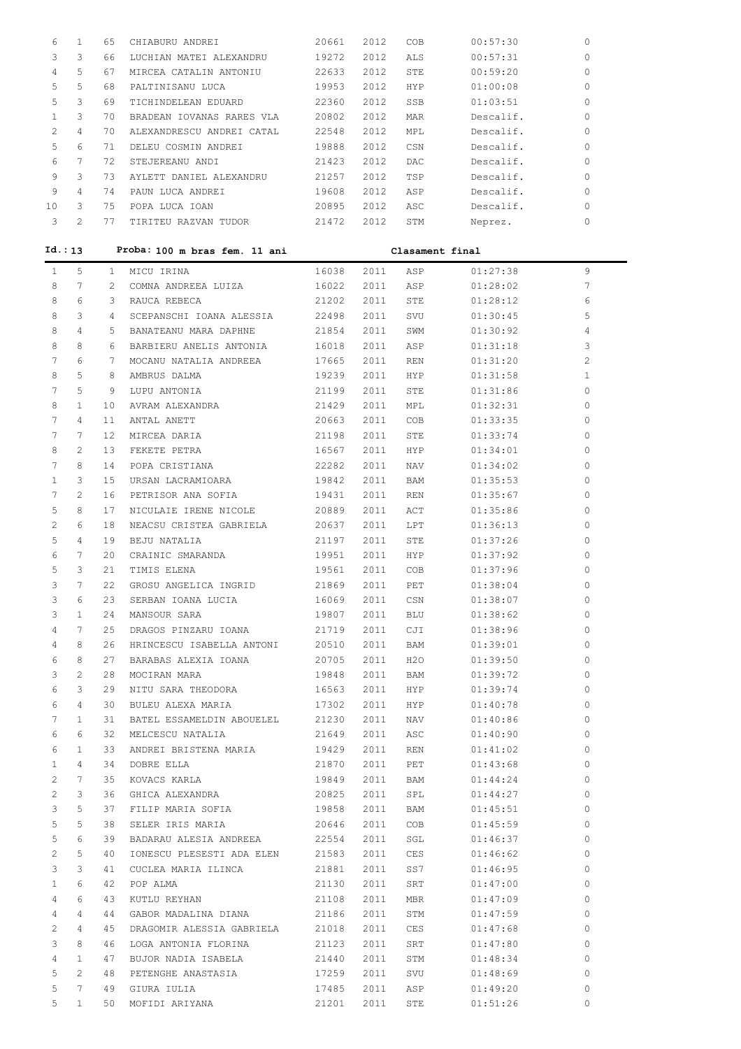| 6  |                | 65 | CHIABURU ANDREI           | 20661 | 2012 | COB  | 00:57:30  | $\Omega$ |
|----|----------------|----|---------------------------|-------|------|------|-----------|----------|
|    | 3              | 66 | LUCHIAN MATEI ALEXANDRU   | 19272 | 2012 | ALS  | 00:57:31  | 0        |
| 4  | 5              | 67 | MIRCEA CATALIN ANTONIU    | 22633 | 2012 | STE  | 00:59:20  | $\Omega$ |
| 5  | 5              | 68 | PALTINISANU LUCA          | 19953 | 2012 | HYP  | 01:00:08  | 0        |
| 5  | 3              | 69 | TICHINDELEAN EDUARD       | 22360 | 2012 | SSB  | 01:03:51  | 0        |
|    | 3              | 70 | BRADEAN IOVANAS RARES VLA | 20802 | 2012 | MAR  | Descalif. | $\Omega$ |
|    | 4              | 70 | ALEXANDRESCU ANDREI CATAL | 22548 | 2012 | MPL  | Descalif. | $\Omega$ |
| 5  | 6              | 71 | DELEU COSMIN ANDREI       | 19888 | 2012 | CSN  | Descalif. | $\Omega$ |
| 6  | 7              | 72 | STEJEREANU ANDI           | 21423 | 2012 | DAC. | Descalif. | $\Omega$ |
| 9  | 3              | 73 | AYLETT DANIEL ALEXANDRU   | 21257 | 2012 | TSP  | Descalif. | $\Omega$ |
| 9  | 4              | 74 | PAUN LUCA ANDREI          | 19608 | 2012 | ASP  | Descalif. | $\Omega$ |
| 10 | 3              | 75 | POPA LUCA IOAN            | 20895 | 2012 | ASC  | Descalif. | $\Omega$ |
| 3  | $\mathfrak{D}$ | 77 | TIRITEU RAZVAN TUDOR      | 21472 | 2012 | STM  | Neprez.   | 0        |
|    |                |    |                           |       |      |      |           |          |

| Id.: 13               |                       |              | Proba: 100 m bras fem. 11 ani |       |      | Clasament final |          |                |  |
|-----------------------|-----------------------|--------------|-------------------------------|-------|------|-----------------|----------|----------------|--|
| $\mathbf{1}$          | 5                     | $\mathbf{1}$ | MICU IRINA                    | 16038 | 2011 | ASP             | 01:27:38 | 9              |  |
| 8                     | 7                     | 2            | COMNA ANDREEA LUIZA           | 16022 | 2011 | ASP             | 01:28:02 | 7              |  |
| 8                     | 6                     | 3            | RAUCA REBECA                  | 21202 | 2011 | STE             | 01:28:12 | 6              |  |
| 8                     | 3                     | 4            | SCEPANSCHI IOANA ALESSIA      | 22498 | 2011 | SVU             | 01:30:45 | 5              |  |
| 8                     | 4                     | 5            | BANATEANU MARA DAPHNE         | 21854 | 2011 | SWM             | 01:30:92 | 4              |  |
| 8                     | 8                     | 6            | BARBIERU ANELIS ANTONIA       | 16018 | 2011 | ASP             | 01:31:18 | 3              |  |
| 7                     | 6                     | 7            | MOCANU NATALIA ANDREEA        | 17665 | 2011 | REN             | 01:31:20 | $\overline{2}$ |  |
| 8                     | 5                     | 8            | AMBRUS DALMA                  | 19239 | 2011 | HYP             | 01:31:58 | $\mathbf{1}$   |  |
| 7                     | 5                     | 9            | LUPU ANTONIA                  | 21199 | 2011 | STE             | 01:31:86 | 0              |  |
| 8                     | $\mathbf{1}$          | 10           | AVRAM ALEXANDRA               | 21429 | 2011 | MPL             | 01:32:31 | 0              |  |
| 7                     | 4                     | 11           | ANTAL ANETT                   | 20663 | 2011 | COB             | 01:33:35 | 0              |  |
| 7                     | 7                     | 12           | MIRCEA DARIA                  | 21198 | 2011 | STE             | 01:33:74 | 0              |  |
| 8                     | 2                     | 13           | FEKETE PETRA                  | 16567 | 2011 | HYP             | 01:34:01 | 0              |  |
| 7                     | 8                     | 14           | POPA CRISTIANA                | 22282 | 2011 | NAV             | 01:34:02 | 0              |  |
| $\mathbf{1}$          | 3                     | 15           | URSAN LACRAMIOARA             | 19842 | 2011 | BAM             | 01:35:53 | 0              |  |
| 7                     | 2                     | 16           | PETRISOR ANA SOFIA            | 19431 | 2011 | REN             | 01:35:67 | 0              |  |
| 5                     | 8                     | 17           | NICULAIE IRENE NICOLE         | 20889 | 2011 | ACT             | 01:35:86 | 0              |  |
| 2                     | 6                     | 18           | NEACSU CRISTEA GABRIELA       | 20637 | 2011 | LPT             | 01:36:13 | 0              |  |
| 5                     | 4                     | 19           | BEJU NATALIA                  | 21197 | 2011 | STE             | 01:37:26 | 0              |  |
| 6                     | 7                     | 20           | CRAINIC SMARANDA              | 19951 | 2011 | HYP             | 01:37:92 | 0              |  |
| 5                     | 3                     | 21           | TIMIS ELENA                   | 19561 | 2011 | COB             | 01:37:96 | 0              |  |
| 3                     | 7                     | 22           | GROSU ANGELICA INGRID         | 21869 | 2011 | PET             | 01:38:04 | 0              |  |
| 3                     | 6                     | 23           | SERBAN IOANA LUCIA            | 16069 | 2011 | CSN             | 01:38:07 | 0              |  |
| 3                     | $\mathbf{1}$          | 24           | MANSOUR SARA                  | 19807 | 2011 | BLU             | 01:38:62 | 0              |  |
| 4                     | 7                     | 25           | DRAGOS PINZARU IOANA          | 21719 | 2011 | CJI             | 01:38:96 | 0              |  |
| 4                     | 8                     | 26           | HRINCESCU ISABELLA ANTONI     | 20510 | 2011 | BAM             | 01:39:01 | $\Omega$       |  |
| 6                     | 8                     | 27           | BARABAS ALEXIA IOANA          | 20705 | 2011 | H2O             | 01:39:50 | 0              |  |
| 3                     | 2                     | 28           | MOCIRAN MARA                  | 19848 | 2011 | BAM             | 01:39:72 | 0              |  |
| 6                     | 3                     | 29           | NITU SARA THEODORA            | 16563 | 2011 | HYP.            | 01:39:74 | 0              |  |
| 6                     | 4                     | 30           | BULEU ALEXA MARIA             | 17302 | 2011 | HYP.            | 01:40:78 | $\Omega$       |  |
| 7                     | 1                     | 31           | BATEL ESSAMELDIN ABOUELEL     | 21230 | 2011 | NAV             | 01:40:86 | 0              |  |
| 6                     | 6                     | 32           | MELCESCU NATALIA              | 21649 | 2011 | ASC             | 01:40:90 | 0              |  |
| 6                     | $\mathbf{1}$          | 33           | ANDREI BRISTENA MARIA         | 19429 | 2011 | REN             | 01:41:02 | $\Omega$       |  |
| $\mathbf{1}$          | 4                     | 34           | DOBRE ELLA                    | 21870 | 2011 | PET             | 01:43:68 | $\Omega$       |  |
| 2                     | 7                     | 35           | KOVACS KARLA                  | 19849 | 2011 | BAM             | 01:44:24 | 0              |  |
| 2                     | 3                     | 36           | GHICA ALEXANDRA               | 20825 | 2011 | SPL             | 01:44:27 | $\circ$        |  |
| 3                     | 5                     | 37           | FILIP MARIA SOFIA             | 19858 | 2011 | BAM             | 01:45:51 | $\mathbf{0}$   |  |
| 5                     | 5                     | 38           | SELER IRIS MARIA              | 20646 | 2011 | COB             | 01:45:59 | $\mathbf{0}$   |  |
| 5                     | 6                     | 39           | BADARAU ALESIA ANDREEA        | 22554 | 2011 | SGL             | 01:46:37 | $\mathbf{0}$   |  |
| $\mathbf{2}^{\prime}$ | 5                     | 40           | IONESCU PLESESTI ADA ELEN     | 21583 | 2011 | CES             | 01:46:62 | $\mathbf{0}$   |  |
| 3                     | 3                     | 41           | CUCLEA MARIA ILINCA           | 21881 | 2011 | SS7             | 01:46:95 | 0              |  |
| $\mathbf{1}$          | 6                     | 42           | POP ALMA                      | 21130 | 2011 | SRT             | 01:47:00 | 0              |  |
| 4                     | 6                     | 43           | KUTLU REYHAN                  | 21108 | 2011 | MBR             | 01:47:09 | 0              |  |
| 4                     | 4                     | 44           | GABOR MADALINA DIANA          | 21186 | 2011 | STM             | 01:47:59 | 0              |  |
| 2                     | 4                     | 45           | DRAGOMIR ALESSIA GABRIELA     | 21018 | 2011 | CES             | 01:47:68 | 0              |  |
| 3                     | 8                     | 46           | LOGA ANTONIA FLORINA          | 21123 | 2011 | SRT             | 01:47:80 | 0              |  |
| 4                     | $\mathbf{1}$          | 47           | BUJOR NADIA ISABELA           | 21440 | 2011 | STM             | 01:48:34 | 0              |  |
| 5                     | $\mathbf{2}^{\prime}$ | 48           | PETENGHE ANASTASIA            | 17259 | 2011 | SVU             | 01:48:69 | 0              |  |
| 5                     | $7\phantom{.0}$       | 49           | GIURA IULIA                   | 17485 | 2011 | ASP             | 01:49:20 | 0              |  |
| 5                     | $\mathbf{1}$          | 50           | MOFIDI ARIYANA                | 21201 | 2011 | STE             | 01:51:26 | 0              |  |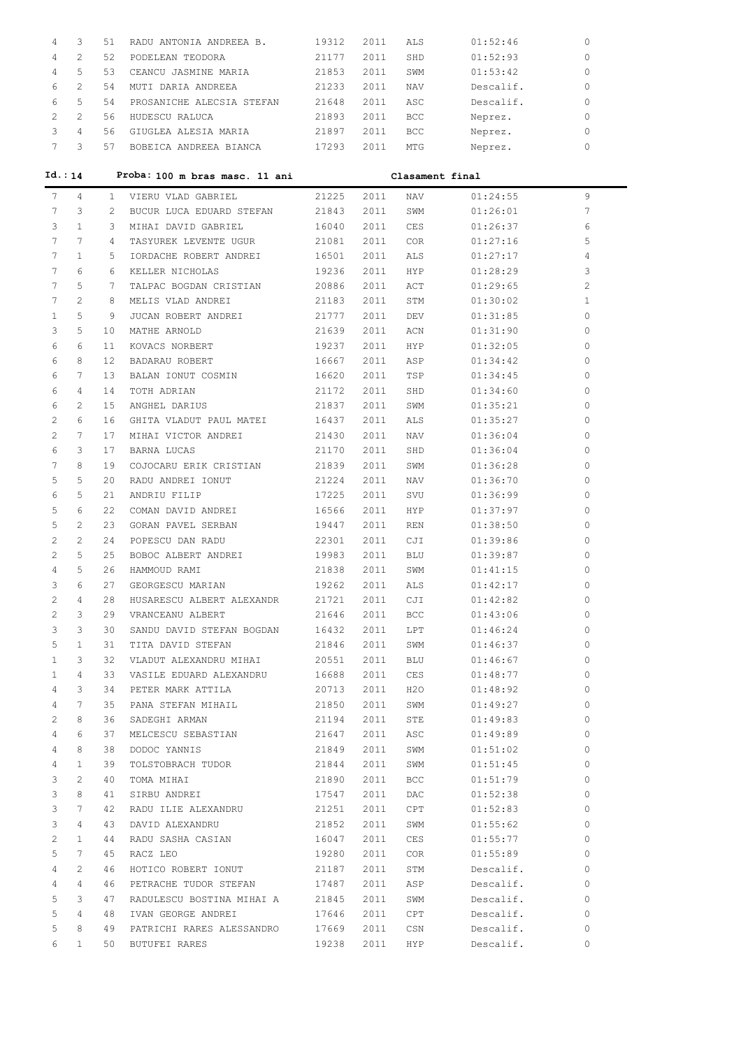| 4                     | 3                     | 51          | RADU ANTONIA ANDREEA B.             | 19312 | 2011 | ALS             | 01:52:46  | 0            |
|-----------------------|-----------------------|-------------|-------------------------------------|-------|------|-----------------|-----------|--------------|
| 4                     | $\overline{2}$        | 52          | PODELEAN TEODORA                    | 21177 | 2011 | SHD             | 01:52:93  | 0            |
| 4                     | 5                     | 53          | CEANCU JASMINE MARIA                | 21853 | 2011 | SWM             | 01:53:42  | 0            |
| 6                     | $\overline{2}$        | 54          | MUTI DARIA ANDREEA                  | 21233 | 2011 | NAV             | Descalif. | 0            |
| 6                     | 5                     | 54          | PROSANICHE ALECSIA STEFAN           | 21648 | 2011 | ASC             | Descalif. | 0            |
| 2                     | 2                     | 56          | HUDESCU RALUCA                      | 21893 | 2011 | <b>BCC</b>      | Neprez.   | 0            |
| 3                     | 4                     | 56          | GIUGLEA ALESIA MARIA                | 21897 | 2011 | BCC             | Neprez.   | 0            |
| $7\phantom{.0}$       | 3                     |             | 57 BOBEICA ANDREEA BIANCA           | 17293 | 2011 | MTG             | Neprez.   | 0            |
|                       |                       |             |                                     |       |      |                 |           |              |
| Id.: 14               |                       |             | Proba: 100 m bras masc. 11 ani      |       |      | Clasament final |           |              |
| 7                     | 4                     | 1           | VIERU VLAD GABRIEL                  | 21225 | 2011 | NAV             | 01:24:55  | 9            |
| 7                     | 3                     | $2^{\circ}$ | BUCUR LUCA EDUARD STEFAN 21843      |       | 2011 | SWM             | 01:26:01  | 7            |
| 3                     | $\mathbf{1}$          | 3           | MIHAI DAVID GABRIEL                 | 16040 | 2011 | CES             | 01:26:37  | 6            |
| 7                     | 7                     | $4 \quad$   | TASYUREK LEVENTE UGUR               | 21081 | 2011 | COR             | 01:27:16  | 5            |
| 7                     | $\mathbf{1}$          | 5           | IORDACHE ROBERT ANDREI 16501        |       | 2011 | ALS             | 01:27:17  | 4            |
| 7                     | 6                     | 6           | KELLER NICHOLAS                     | 19236 | 2011 | HYP             | 01:28:29  | 3            |
| 7                     | 5                     | 7           | TALPAC BOGDAN CRISTIAN 20886        |       | 2011 | ACT             | 01:29:65  | 2            |
| 7                     | $\mathfrak{D}$        | 8           | MELIS VLAD ANDREI                   | 21183 | 2011 | STM             | 01:30:02  | $\mathbf{1}$ |
| $\mathbf{1}$          | 5                     | 9           | JUCAN ROBERT ANDREI                 | 21777 | 2011 | DEV             | 01:31:85  | 0            |
| 3                     | 5                     | 10          | MATHE ARNOLD                        | 21639 | 2011 | ACN             | 01:31:90  | 0            |
| 6                     | 6                     | 11          | KOVACS NORBERT                      | 19237 | 2011 | <b>HYP</b>      | 01:32:05  | 0            |
| 6                     | 8                     | 12          | BADARAU ROBERT                      | 16667 | 2011 | ASP             | 01:34:42  | 0            |
| 6                     | 7                     | 13          | BALAN IONUT COSMIN                  | 16620 | 2011 | TSP             | 01:34:45  | 0            |
| 6                     | 4                     | 14          | TOTH ADRIAN                         | 21172 | 2011 | SHD             | 01:34:60  | 0            |
| 6                     | 2                     | 15          | ANGHEL DARIUS                       | 21837 | 2011 | SWM             | 01:35:21  | 0            |
| 2                     | 6                     | 16          | GHITA VLADUT PAUL MATEI             | 16437 | 2011 | ALS             | 01:35:27  | 0            |
| $\mathbf{2}^{\prime}$ | 7                     | 17          | MIHAI VICTOR ANDREI                 | 21430 | 2011 | NAV             | 01:36:04  | 0            |
| 6                     | 3                     | 17          | BARNA LUCAS                         | 21170 | 2011 | SHD             | 01:36:04  | 0            |
| 7                     | 8                     | 19          | COJOCARU ERIK CRISTIAN 21839        |       | 2011 | SWM             | 01:36:28  | 0            |
| 5                     | 5                     | 20          | RADU ANDREI IONUT                   | 21224 | 2011 | NAV             | 01:36:70  | 0            |
| 6                     | 5                     | 21          | ANDRIU FILIP                        | 17225 | 2011 | SVU             | 01:36:99  | 0            |
| 5                     | 6                     | 22          | COMAN DAVID ANDREI                  | 16566 | 2011 | HYP.            | 01:37:97  | 0            |
| 5                     | $\overline{2}$        | 23          | GORAN PAVEL SERBAN                  | 19447 | 2011 | REN             | 01:38:50  | 0            |
| $\mathbf{2}^{\prime}$ | $\mathbf{2}^{\prime}$ | 24          | POPESCU DAN RADU                    | 22301 | 2011 | CJI             | 01:39:86  | $\Omega$     |
| $\mathbf{2}^{\prime}$ | 5                     | 25          | BOBOC ALBERT ANDREI                 | 19983 | 2011 | BLU             | 01:39:87  | 0            |
| 4                     | 5                     |             | 26 HAMMOUD RAMI                     | 21838 | 2011 | SWM             | 01:41:15  | $\Omega$     |
| 3                     | 6                     | 27          | GEORGESCU MARIAN                    | 19262 | 2011 | ALS             | 01:42:17  | $\Omega$     |
| 2                     | 4                     | 28          | HUSARESCU ALBERT ALEXANDR           | 21721 | 2011 | CJI             | 01:42:82  | 0            |
| 2                     | 3                     | 29          | VRANCEANU ALBERT                    | 21646 | 2011 | BCC             | 01:43:06  | 0            |
| 3                     | 3                     | 30          | SANDU DAVID STEFAN BOGDAN           | 16432 | 2011 | LPT             | 01:46:24  | 0            |
| 5                     | 1                     | 31          | TITA DAVID STEFAN                   | 21846 | 2011 | SWM             | 01:46:37  | 0            |
| $\mathbf{1}$          | 3                     | 32          | VLADUT ALEXANDRU MIHAI              | 20551 | 2011 | BLU             | 01:46:67  | 0            |
| 1                     | 4                     | 33          | VASILE EDUARD ALEXANDRU             | 16688 | 2011 | CES             | 01:48:77  | 0            |
| 4                     | 3                     | 34          | PETER MARK ATTILA                   | 20713 | 2011 | H20             | 01:48:92  | 0            |
| 4                     | 7                     | 35          | PANA STEFAN MIHAIL                  | 21850 | 2011 | SWM             | 01:49:27  | 0            |
| 2                     | 8                     | 36          | SADEGHI ARMAN                       | 21194 | 2011 | STE             | 01:49:83  | 0            |
| 4                     | 6                     | 37          | MELCESCU SEBASTIAN                  | 21647 | 2011 | ASC             | 01:49:89  | 0            |
| 4                     | 8                     | 38          | DODOC YANNIS                        | 21849 | 2011 | SWM             | 01:51:02  | 0            |
| 4                     | 1                     | 39          | TOLSTOBRACH TUDOR                   | 21844 | 2011 | SWM             | 01:51:45  | 0            |
| 3                     | 2                     | 40          | TOMA MIHAI                          | 21890 | 2011 | BCC             | 01:51:79  | 0            |
|                       |                       |             |                                     |       |      |                 |           | 0            |
| 3<br>3                | 8<br>7                | 41          | SIRBU ANDREI<br>RADU ILIE ALEXANDRU | 17547 | 2011 | DAC             | 01:52:38  | 0            |
|                       | 4                     | 42          |                                     | 21251 | 2011 | CPT             | 01:52:83  | 0            |
| 3                     |                       | 43          | DAVID ALEXANDRU                     | 21852 | 2011 | SWM             | 01:55:62  |              |
| 2                     | 1                     | 44          | RADU SASHA CASIAN                   | 16047 | 2011 | CES             | 01:55:77  | 0            |
| 5                     | 7                     | 45          | RACZ LEO                            | 19280 | 2011 | COR.            | 01:55:89  | 0            |
| 4                     | 2                     | 46          | HOTICO ROBERT IONUT                 | 21187 | 2011 | STM             | Descalif. | 0            |
| 4                     | 4                     | 46          | PETRACHE TUDOR STEFAN               | 17487 | 2011 | ASP             | Descalif. | 0            |
| 5                     | 3                     | 47          | RADULESCU BOSTINA MIHAI A           | 21845 | 2011 | SWM             | Descalif. | 0            |
| 5                     | 4                     | 48          | IVAN GEORGE ANDREI                  | 17646 | 2011 | CPT             | Descalif. | 0            |
| 5                     | 8                     | 49          | PATRICHI RARES ALESSANDRO           | 17669 | 2011 | CSN             | Descalif. | 0            |
| 6                     | $\mathbf{1}$          | 50          | BUTUFEI RARES                       | 19238 | 2011 | HYP             | Descalif. | 0            |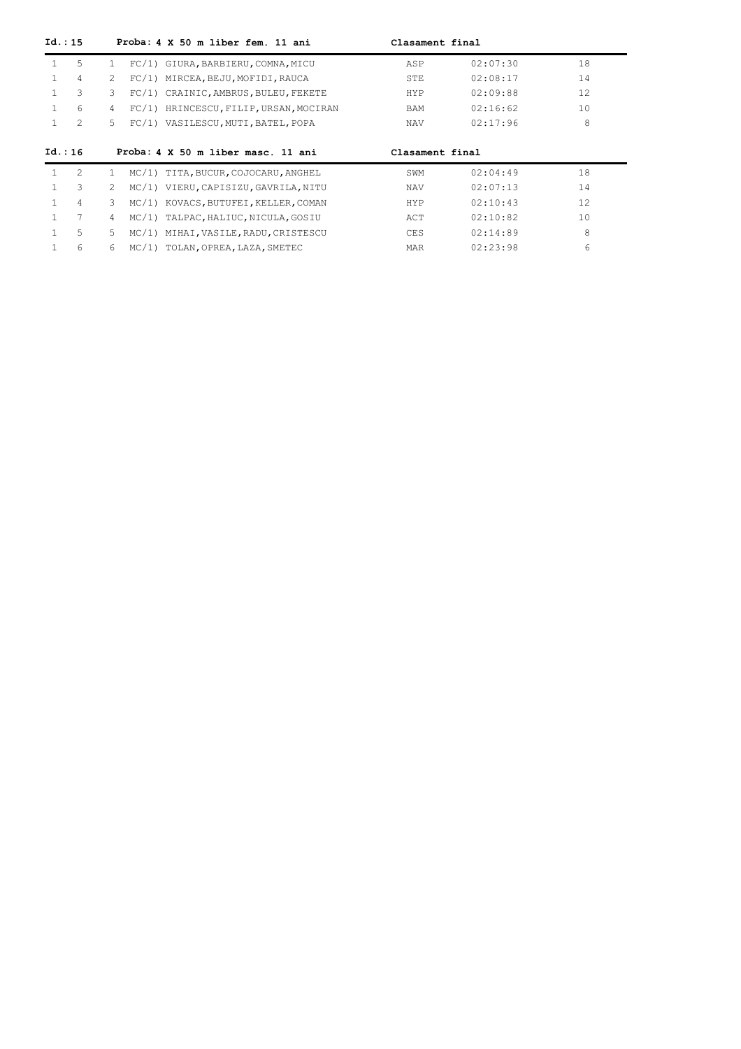| Id.: 15 |                |               |       | Proba: 4 X 50 m liber fem. 11 ani    | Clasament final |          |     |
|---------|----------------|---------------|-------|--------------------------------------|-----------------|----------|-----|
| 1       | 5              | $\mathbf{1}$  |       | FC/1) GIURA, BARBIERU, COMNA, MICU   | ASP             | 02:07:30 | 18  |
|         | 4              | 2             | FC/1) | MIRCEA, BEJU, MOFIDI, RAUCA          | STE             | 02:08:17 | 14  |
|         | 3              | 3             | FC/1) | CRAINIC, AMBRUS, BULEU, FEKETE       | HYP             | 02:09:88 | 12. |
|         | 6              | 4             | FC/1  | HRINCESCU, FILIP, URSAN, MOCIRAN     | BAM             | 02:16:62 | 10  |
|         | $\mathfrak{D}$ | 5.            | FC/1) | VASILESCU, MUTI, BATEL, POPA         | <b>NAV</b>      | 02:17:96 | 8   |
|         |                |               |       |                                      |                 |          |     |
| Id.: 16 |                |               |       | Proba: 4 X 50 m liber masc. 11 ani   | Clasament final |          |     |
| 1       | 2              | $\mathbf{1}$  | MC/1) | TITA, BUCUR, COJOCARU, ANGHEL        | SWM             | 02:04:49 | 18  |
|         | 3              | $\mathcal{L}$ |       | MC/1) VIERU, CAPISIZU, GAVRILA, NITU | <b>NAV</b>      | 02:07:13 | 14  |
|         | 4              | 3             | MC/1) | KOVACS, BUTUFEI, KELLER, COMAN       | <b>HYP</b>      | 02:10:43 | 12. |
|         | 7              | 4             | MC/1) | TALPAC, HALIUC, NICULA, GOSIU        | ACT             | 02:10:82 | 10  |
|         | 5              | 5.            | MC/1) | MIHAI, VASILE, RADU, CRISTESCU       | <b>CES</b>      | 02:14:89 | 8   |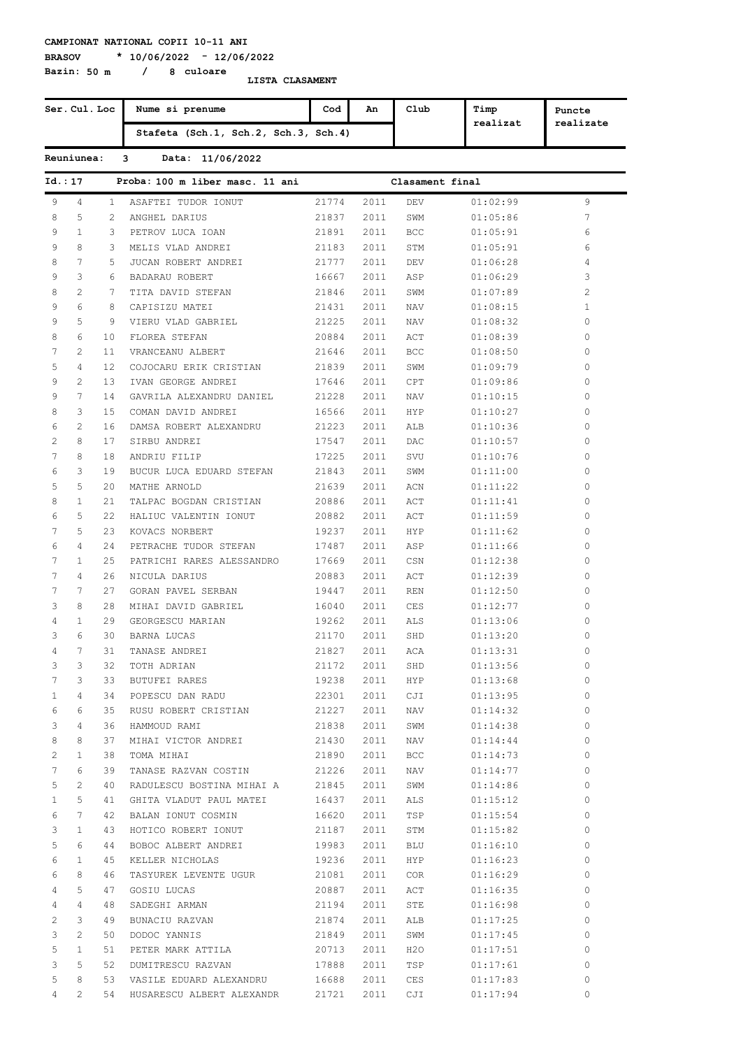**Bazin: 50 m / 8 culoare**

**BRASOV \* 10/06/2022 - 12/06/2022**

|                | Ser. Cul. Loc   |                | Nume si prenume                             | Cod   | An   | Club            | Timp     | Puncte         |
|----------------|-----------------|----------------|---------------------------------------------|-------|------|-----------------|----------|----------------|
|                |                 |                | Stafeta (Sch.1, Sch.2, Sch.3, Sch.4)        |       |      |                 | realizat | realizate      |
|                | Reuniunea:      |                | 3<br>Data: 11/06/2022                       |       |      |                 |          |                |
| Id.:17         |                 |                | Proba: 100 m liber masc. 11 ani             |       |      | Clasament final |          |                |
| 9              | 4               | 1              | ASAFTEI TUDOR IONUT                         | 21774 | 2011 | <b>DEV</b>      | 01:02:99 | 9              |
| 8              | 5               | $\overline{2}$ | ANGHEL DARIUS                               | 21837 | 2011 | SWM             | 01:05:86 | 7              |
| 9              | $\mathbf{1}$    | 3              | PETROV LUCA IOAN                            | 21891 | 2011 | <b>BCC</b>      | 01:05:91 | 6              |
| 9              | 8               | 3              | MELIS VLAD ANDREI                           | 21183 | 2011 | STM             | 01:05:91 | 6              |
| 8              | 7               | 5              | JUCAN ROBERT ANDREI                         | 21777 | 2011 | DEV             | 01:06:28 | 4              |
| 9              | 3               | 6              | BADARAU ROBERT                              | 16667 | 2011 | ASP             | 01:06:29 | 3              |
| 8              | $\overline{2}$  | 7              | TITA DAVID STEFAN                           | 21846 | 2011 | SWM             | 01:07:89 | $\overline{c}$ |
| 9              | 6               | 8              | CAPISIZU MATEI                              | 21431 | 2011 | NAV             | 01:08:15 | $\mathbf{1}$   |
| 9              | 5               | 9              | VIERU VLAD GABRIEL                          | 21225 | 2011 | NAV             | 01:08:32 | 0              |
| 8              | 6               | 10             | FLOREA STEFAN                               | 20884 | 2011 | ACT             | 01:08:39 | 0              |
| 7              | $\overline{2}$  | 11             | VRANCEANU ALBERT                            | 21646 | 2011 | BCC             | 01:08:50 | 0              |
| 5              | 4               | 12             | COJOCARU ERIK CRISTIAN                      | 21839 | 2011 | SWM             | 01:09:79 | 0              |
| 9              | $\overline{2}$  | 13             | IVAN GEORGE ANDREI                          | 17646 | 2011 | CPT             | 01:09:86 | 0              |
| 9              | 7               | 14             | GAVRILA ALEXANDRU DANIEL                    | 21228 | 2011 | NAV             | 01:10:15 | 0              |
| 8              | 3               | 15             | COMAN DAVID ANDREI                          | 16566 | 2011 | <b>HYP</b>      | 01:10:27 | 0              |
| 6              | 2               | 16             | DAMSA ROBERT ALEXANDRU                      | 21223 | 2011 | ALB             | 01:10:36 | 0              |
| 2              | 8               | 17             | SIRBU ANDREI                                | 17547 | 2011 | DAC             | 01:10:57 | 0              |
| 7              | 8               | 18             | ANDRIU FILIP                                | 17225 | 2011 | SVU             | 01:10:76 | 0              |
| 6              | 3               | 19             | BUCUR LUCA EDUARD STEFAN                    | 21843 | 2011 | SWM             | 01:11:00 | 0              |
| 5              | 5               | 20             | MATHE ARNOLD                                | 21639 | 2011 | ACN             | 01:11:22 | 0              |
| 8              | $\mathbf{1}$    | 21             |                                             |       |      |                 |          | 0              |
|                |                 |                | TALPAC BOGDAN CRISTIAN                      | 20886 | 2011 | ACT             | 01:11:41 |                |
| 6              | 5               | 22             | HALIUC VALENTIN IONUT                       | 20882 | 2011 | ACT             | 01:11:59 | 0              |
| 7              | 5               | 23             | KOVACS NORBERT                              | 19237 | 2011 | HYP             | 01:11:62 | 0              |
| 6              | 4               | 24             | PETRACHE TUDOR STEFAN                       | 17487 | 2011 | ASP             | 01:11:66 | 0              |
| 7              | $\mathbf{1}$    | 25             | PATRICHI RARES ALESSANDRO                   | 17669 | 2011 | CSN             | 01:12:38 | 0              |
| 7              | 4               | 26             | NICULA DARIUS                               | 20883 | 2011 | ACT             | 01:12:39 | 0              |
| 7              | $7\phantom{.0}$ | 27             | GORAN PAVEL SERBAN                          | 19447 | 2011 | <b>REN</b>      | 01:12:50 | 0              |
| 3              | 8               | 28             | MIHAI DAVID GABRIEL                         | 16040 | 2011 | CES             | 01:12:77 | 0              |
| 4              | $\mathbf{1}$    | 29             | GEORGESCU MARIAN                            | 19262 | 2011 | ALS             | 01:13:06 | 0              |
| 3              | 6               | 30             | BARNA LUCAS                                 | 21170 | 2011 | SHD             | 01:13:20 | 0              |
| 4              | $7\phantom{.0}$ | 31             | TANASE ANDREI                               | 21827 |      | $2011$ $\,$ ACA | 01:13:31 | 0              |
| 3              | 3               | 32             | TOTH ADRIAN                                 | 21172 | 2011 | SHD             | 01:13:56 | 0              |
| $7\phantom{.}$ | 3               | 33             | BUTUFEI RARES                               | 19238 |      | 2011 HYP        | 01:13:68 | $\circ$        |
| $\mathbf{1}$   | 4               |                | 34 POPESCU DAN RADU                         | 22301 |      | 2011 CJI        | 01:13:95 | $\circ$        |
| 6              | 6               | 35             | RUSU ROBERT CRISTIAN                        | 21227 |      | 2011 NAV        | 01:14:32 | $\circ$        |
| 3              | 4               | 36             | HAMMOUD RAMI                                | 21838 | 2011 | SWM             | 01:14:38 | $\circ$        |
| 8              | 8               | 37             | MIHAI VICTOR ANDREI                         | 21430 |      | 2011 NAV        | 01:14:44 | $\circ$        |
| $\mathbf{2}$   | $\mathbf{1}$    | 38             | TOMA MIHAI                                  | 21890 | 2011 | BCC             | 01:14:73 | $\circ$        |
| 7              | 6               | 39             | TANASE RAZVAN COSTIN                        | 21226 |      | 2011 NAV        | 01:14:77 | $\circ$        |
| 5              | $\overline{c}$  | 40             | RADULESCU BOSTINA MIHAI A                   | 21845 | 2011 | SWM             | 01:14:86 | $\circ$        |
| $\mathbf{1}$   | 5               | 41             | GHITA VLADUT PAUL MATEI                     | 16437 |      | 2011 ALS        | 01:15:12 | $\circ$        |
| 6              | $7\phantom{.0}$ | 42             | BALAN IONUT COSMIN                          | 16620 | 2011 | TSP             | 01:15:54 | $\circ$        |
| 3              | $\mathbf{1}$    | 43             | HOTICO ROBERT IONUT                         | 21187 |      | 2011 STM        | 01:15:82 | $\circ$        |
| 5              | 6               | 44             | BOBOC ALBERT ANDREI                         | 19983 |      | 2011 BLU        | 01:16:10 | $\circ$        |
| 6              | $\mathbf{1}$    | 45             | KELLER NICHOLAS                             | 19236 |      | 2011 HYP        | 01:16:23 | $\circ$        |
| 6              | 8               | 46             | TASYUREK LEVENTE UGUR                       | 21081 |      | 2011 COR        | 01:16:29 | $\circ$        |
| 4              | 5               | 47             | GOSIU LUCAS                                 | 20887 |      | 2011 ACT        | 01:16:35 | $\circ$        |
| 4              | 4               | 48             | SADEGHI ARMAN                               | 21194 | 2011 | STE             | 01:16:98 | $\circ$        |
| 2              | 3               | 49             | BUNACIU RAZVAN                              | 21874 |      | 2011 ALB        | 01:17:25 | $\circ$        |
| 3              | 2               | 50             | DODOC YANNIS                                | 21849 | 2011 | SWM             | 01:17:45 | $\circ$        |
| 5              | $\mathbf{1}$    |                | 51 PETER MARK ATTILA                        | 20713 |      | 2011 H2O        | 01:17:51 | $\circ$        |
| 3              | 5               | 52             | DUMITRESCU RAZVAN                           | 17888 |      | 2011 TSP        | 01:17:61 | 0              |
| 5              | 8               | 53             |                                             |       |      |                 |          | 0              |
|                |                 |                | VASILE EDUARD ALEXANDRU                     | 16688 | 2011 | CES             | 01:17:83 |                |
| 4              | $2^{\circ}$     |                | 54 HUSARESCU ALBERT ALEXANDR 21721 2011 CJI |       |      |                 | 01:17:94 | $\circ$        |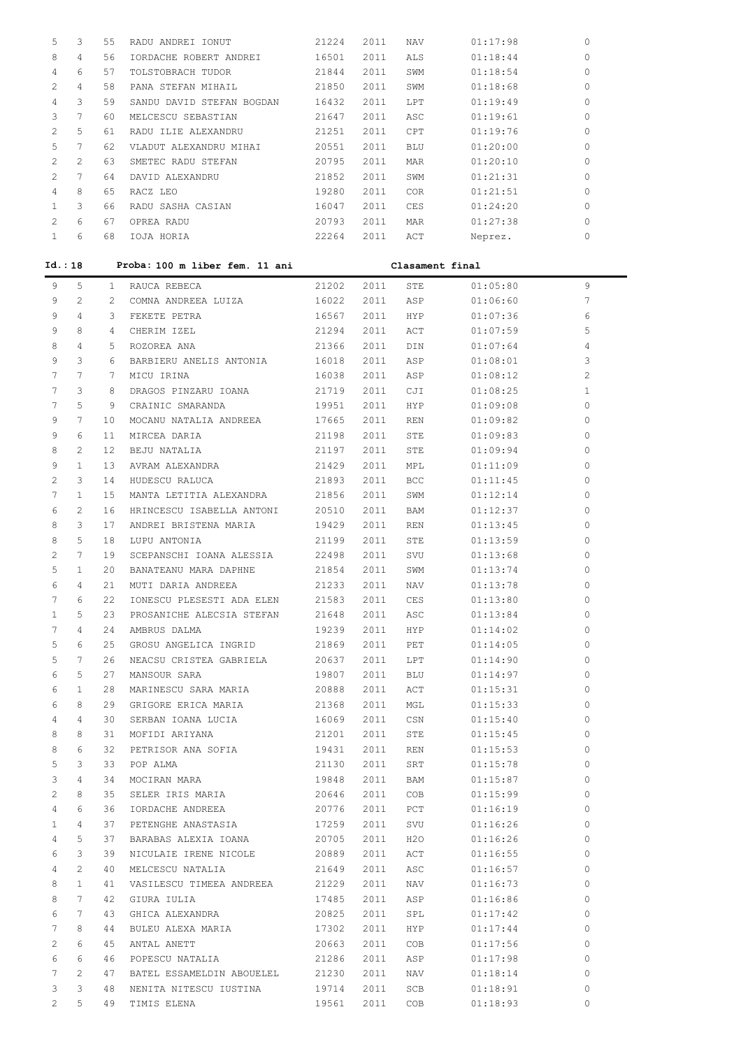| 5                     | 3               | 55           | RADU ANDREI IONUT                                      | 21224          | 2011 | NAV             | 01:17:98             | 0            |
|-----------------------|-----------------|--------------|--------------------------------------------------------|----------------|------|-----------------|----------------------|--------------|
| 8                     | 4               | 56           | IORDACHE ROBERT ANDREI                                 | 16501          | 2011 | ALS             | 01:18:44             | 0            |
| 4                     | 6               | 57           | TOLSTOBRACH TUDOR                                      | 21844          | 2011 | SWM             | 01:18:54             | 0            |
| 2                     | 4               | 58           | PANA STEFAN MIHAIL                                     | 21850          | 2011 | SWM             | 01:18:68             | 0            |
| 4                     | 3               | 59           |                                                        |                | 2011 |                 |                      | 0            |
|                       | 7               |              | SANDU DAVID STEFAN BOGDAN                              | 16432          |      | LPT             | 01:19:49             |              |
| 3                     |                 | 60           | MELCESCU SEBASTIAN                                     | 21647          | 2011 | ASC             | 01:19:61             | 0            |
| 2                     | 5               | 61           | RADU ILIE ALEXANDRU                                    | 21251          | 2011 | CPT             | 01:19:76             | 0            |
| 5                     | 7               | 62           | VLADUT ALEXANDRU MIHAI                                 | 20551          | 2011 | BLU             | 01:20:00             | 0            |
| 2                     | 2               | 63           | SMETEC RADU STEFAN                                     | 20795          | 2011 | MAR             | 01:20:10             | 0            |
| 2                     | 7               | 64           | DAVID ALEXANDRU                                        | 21852          | 2011 | SWM             | 01:21:31             | 0            |
| 4                     | 8               | 65           | RACZ LEO                                               | 19280          | 2011 | COR             | 01:21:51             | 0            |
| 1                     | 3               | 66           | RADU SASHA CASIAN                                      | 16047          | 2011 | CES             | 01:24:20             | 0            |
| 2                     | 6               | 67           | OPREA RADU                                             | 20793          | 2011 | MAR             | 01:27:38             | 0            |
| $\mathbf{1}$          | 6               | 68           | IOJA HORIA                                             | 22264          | 2011 | ACT             | Neprez.              | 0            |
|                       | Id.: 18         |              | Proba: 100 m liber fem. 11 ani                         |                |      | Clasament final |                      |              |
| 9                     | 5               | $\mathbf{1}$ | RAUCA REBECA                                           | 21202          | 2011 | STE             | 01:05:80             | 9            |
| 9                     | 2               | 2            | COMNA ANDREEA LUIZA                                    | 16022          | 2011 | ASP             | 01:06:60             | 7            |
| 9                     | 4               | 3            | FEKETE PETRA                                           | 16567          | 2011 | HYP.            | 01:07:36             | 6            |
| 9                     | 8               | 4            | CHERIM IZEL                                            | 21294          | 2011 | ACT             | 01:07:59             | 5            |
| 8                     | 4               | 5            | ROZOREA ANA                                            | 21366          | 2011 | DIN             | 01:07:64             | 4            |
| 9                     | 3               | 6            | BARBIERU ANELIS ANTONIA                                | 16018          | 2011 | ASP             | 01:08:01             | 3            |
| 7                     | $7\phantom{.0}$ | 7            | MICU IRINA                                             | 16038          | 2011 | ASP             | 01:08:12             | 2            |
| 7                     | 3               | 8            | DRAGOS PINZARU IOANA                                   | 21719          | 2011 | CJI             | 01:08:25             | $\mathbf{1}$ |
| 7                     | 5               | 9            | CRAINIC SMARANDA                                       | 19951          | 2011 | HYP.            | 01:09:08             | 0            |
| 9                     | 7               | 10           | MOCANU NATALIA ANDREEA                                 | 17665          | 2011 | REN             | 01:09:82             | 0            |
| 9                     | 6               | 11           | MIRCEA DARIA                                           | 21198          | 2011 | STE             | 01:09:83             | 0            |
| 8                     | 2               | 12           | BEJU NATALIA                                           | 21197          | 2011 | STE             | 01:09:94             | 0            |
| 9                     | $\mathbf{1}$    | 13           | AVRAM ALEXANDRA                                        | 21429          | 2011 | MPL             | 01:11:09             | 0            |
| 2                     | 3               | 14           | HUDESCU RALUCA                                         | 21893          | 2011 | <b>BCC</b>      | 01:11:45             | 0            |
| 7                     | $\mathbf{1}$    | 15           | MANTA LETITIA ALEXANDRA                                | 21856          | 2011 | SWM             | 01:12:14             | 0            |
| 6                     | 2               | 16           | HRINCESCU ISABELLA ANTONI                              | 20510          | 2011 | BAM             | 01:12:37             | 0            |
| 8                     | 3               | 17           | ANDREI BRISTENA MARIA                                  | 19429          | 2011 | REN             | 01:13:45             | 0            |
| 8                     | 5               | 18           | LUPU ANTONIA                                           | 21199          | 2011 | STE             | 01:13:59             | 0            |
| 2                     | 7               | 19           | SCEPANSCHI IOANA ALESSIA                               | 22498          | 2011 | SVU             | 01:13:68             | 0            |
| 5                     | 1               | 20           | BANATEANU MARA DAPHNE                                  | 21854          | 2011 | SWM             | 01:13:74             | 0            |
| 6                     | 4               | 21           | MUTI DARIA ANDREEA                                     | 21233          | 2011 | NAV             | 01:13:78             | $\mathbf{0}$ |
| 7                     | 6               | 22           |                                                        | 21583          | 2011 | CES             | 01:13:80             | 0            |
| 1                     | 5               | 23           | IONESCU PLESESTI ADA ELEN<br>PROSANICHE ALECSIA STEFAN | 21648          | 2011 | ASC             | 01:13:84             | 0            |
| 7                     | $\overline{4}$  | 24           | AMBRUS DALMA                                           | 19239          | 2011 | HYP             | 01:14:02             | $\circ$      |
| 5                     | 6               | 25           | GROSU ANGELICA INGRID                                  | 21869          | 2011 | PET             | 01:14:05             | $\circ$      |
| 5                     | 7               | 26           |                                                        | 20637          | 2011 |                 |                      | 0            |
| 6                     | 5               | 27           | NEACSU CRISTEA GABRIELA<br>MANSOUR SARA                | 19807          | 2011 | LPT<br>BLU      | 01:14:90<br>01:14:97 | 0            |
| 6                     | $\mathbf{1}$    | 28           | MARINESCU SARA MARIA                                   | 20888          | 2011 | ACT             | 01:15:31             | 0            |
| 6                     | 8               | 29           | GRIGORE ERICA MARIA                                    | 21368          | 2011 | MGL             | 01:15:33             | 0            |
| 4                     | 4               | 30           | SERBAN IOANA LUCIA                                     | 16069          | 2011 | CSN             | 01:15:40             | 0            |
| 8                     | 8               | 31           | MOFIDI ARIYANA                                         | 21201          | 2011 | STE             | 01:15:45             | 0            |
| 8                     | 6               | 32           | PETRISOR ANA SOFIA                                     |                | 2011 | REN             | 01:15:53             | 0            |
| 5                     | 3               | 33           | POP ALMA                                               | 19431<br>21130 | 2011 | SRT             | 01:15:78             | 0            |
| 3                     | 4               |              |                                                        |                |      |                 | 01:15:87             | 0            |
| 2                     | 8               | 34           | MOCIRAN MARA                                           | 19848          | 2011 | BAM             |                      | 0            |
|                       |                 | 35           | SELER IRIS MARIA                                       | 20646          | 2011 | COB             | 01:15:99             |              |
| 4                     | 6               | 36           | IORDACHE ANDREEA                                       | 20776          | 2011 | PCT             | 01:16:19             | 0            |
| 1                     | 4               | 37           | PETENGHE ANASTASIA                                     | 17259          | 2011 | SVU             | 01:16:26             | 0            |
| 4                     | 5               | 37           | BARABAS ALEXIA IOANA                                   | 20705          | 2011 | H20             | 01:16:26             | 0            |
| 6                     | 3               | 39           | NICULAIE IRENE NICOLE                                  | 20889          | 2011 | ACT             | 01:16:55             | 0            |
| 4                     | 2               | 40           | MELCESCU NATALIA                                       | 21649          | 2011 | ASC             | 01:16:57             | 0            |
| 8                     | $\mathbf{1}$    | 41           | VASILESCU TIMEEA ANDREEA                               | 21229          | 2011 | NAV             | 01:16:73             | 0            |
| 8                     | $7\phantom{.0}$ | 42           | GIURA IULIA                                            | 17485          | 2011 | ASP             | 01:16:86             | 0            |
| 6                     | 7               | 43           | GHICA ALEXANDRA                                        | 20825          | 2011 | SPL             | 01:17:42             | 0            |
| 7                     | 8               | 44           | BULEU ALEXA MARIA                                      | 17302          | 2011 | HYP.            | 01:17:44             | 0            |
| 2                     | 6               | 45           | ANTAL ANETT                                            | 20663          | 2011 | COB             | 01:17:56             | 0            |
| 6                     | 6               | 46           | POPESCU NATALIA                                        | 21286          | 2011 | ASP             | 01:17:98             | 0            |
| 7                     | 2               | 47           | BATEL ESSAMELDIN ABOUELEL                              | 21230          | 2011 | NAV             | 01:18:14             | $\circ$      |
| 3                     | 3               | 48           | NENITA NITESCU IUSTINA                                 | 19714          | 2011 | SCB             | 01:18:91             | 0            |
| $\mathbf{2}^{\prime}$ | 5               | 49           | TIMIS ELENA                                            | 19561          | 2011 | COB             | 01:18:93             | $\Omega$     |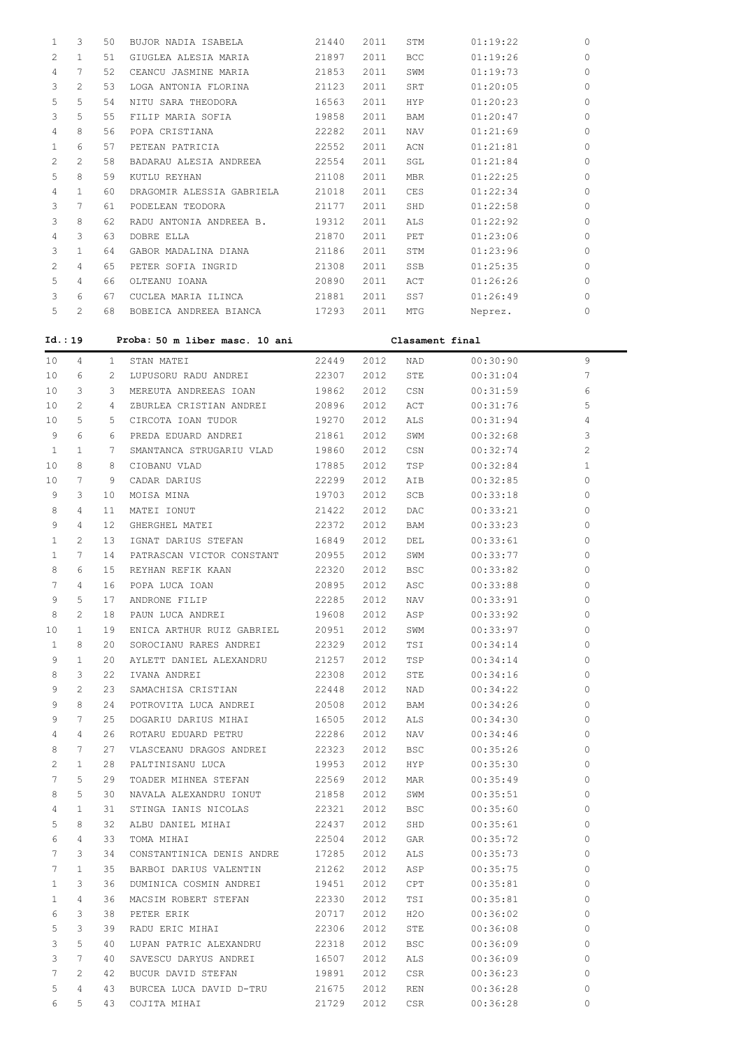| 1      | 3                     | 50           | BUJOR NADIA ISABELA                   | 21440          | 2011         | STM                                 | 01:19:22             | 0            |
|--------|-----------------------|--------------|---------------------------------------|----------------|--------------|-------------------------------------|----------------------|--------------|
| 2      | $\mathbf{1}$          | 51           | GIUGLEA ALESIA MARIA                  | 21897          | 2011         | <b>BCC</b>                          | 01:19:26             | 0            |
| 4      | 7                     | 52           | CEANCU JASMINE MARIA                  | 21853          | 2011         | SWM                                 | 01:19:73             | 0            |
| 3      | 2                     | 53           | LOGA ANTONIA FLORINA                  | 21123          | 2011         | SRT                                 | 01:20:05             | 0            |
| 5      | 5                     | 54           | NITU SARA THEODORA                    | 16563          | 2011         | <b>HYP</b>                          | 01:20:23             | 0            |
| 3      | 5                     | 55           | FILIP MARIA SOFIA                     | 19858          | 2011         | <b>BAM</b>                          | 01:20:47             | $\Omega$     |
| 4      | 8                     | 56           | POPA CRISTIANA                        | 22282          | 2011         | <b>NAV</b>                          | 01:21:69             | 0            |
| 1      | 6                     | 57           | PETEAN PATRICIA                       | 22552          | 2011         | ACN                                 | 01:21:81             | 0            |
| 2      | 2                     | 58           | BADARAU ALESIA ANDREEA                | 22554          | 2011         | SGL                                 | 01:21:84             | $\Omega$     |
| 5      | 8                     | 59           | KUTLU REYHAN                          | 21108          | 2011         | <b>MBR</b>                          | 01:22:25             | 0            |
| 4      | $\mathbf{1}$          | 60           | DRAGOMIR ALESSIA GABRIELA             | 21018          | 2011         | CES                                 | 01:22:34             | $\Omega$     |
| 3      | 7                     | 61           | PODELEAN TEODORA                      | 21177          | 2011         | SHD                                 | 01:22:58             | 0            |
| 3      | 8                     | 62           | RADU ANTONIA ANDREEA B.               | 19312          | 2011         | ALS                                 | 01:22:92             | 0            |
| 4      | 3                     | 63           | DOBRE ELLA                            | 21870          | 2011         | PET                                 | 01:23:06             | $\Omega$     |
| 3      | $\mathbf{1}$          | 64           | GABOR MADALINA DIANA                  | 21186          | 2011         | STM                                 | 01:23:96             | 0            |
| 2      | 4                     | 65           | PETER SOFIA INGRID                    | 21308          | 2011         | SSB                                 | 01:25:35             | $\Omega$     |
| 5      | 4                     | 66           | OLTEANU IOANA                         | 20890          | 2011         | ACT                                 | 01:26:26             | $\Omega$     |
| 3      | 6                     | 67           | CUCLEA MARIA ILINCA                   | 21881          | 2011         | SS7                                 | 01:26:49             | $\Omega$     |
| 5      | 2                     | 68           | BOBEICA ANDREEA BIANCA                | 17293          | 2011         | MTG                                 | Neprez.              | $\Omega$     |
| Id.:19 |                       |              |                                       |                |              |                                     |                      |              |
|        |                       |              | Proba: 50 m liber masc. 10 ani        |                |              | Clasament final                     |                      |              |
| 10     | 4                     | $\mathbf{1}$ | STAN MATEI                            | 22449          | 2012         | NAD                                 | 00:30:90             | 9            |
| 10     | 6                     | 2            | LUPUSORU RADU ANDREI                  | 22307          | 2.012        | STE                                 | 00:31:04             | 7            |
| 10     | 3                     | 3            | MEREUTA ANDREEAS IOAN                 | 19862          | 2012         | CSN                                 | 00:31:59             | 6            |
| 10     | $\overline{c}$        | 4            | ZBURLEA CRISTIAN ANDREI               | 20896          | 2012         | ACT                                 | 00:31:76             | 5            |
| 10     | 5                     | 5            | CIRCOTA IOAN TUDOR                    | 19270          | 2012         | ALS                                 | 00:31:94             | 4            |
| 9      | 6                     | 6            | PREDA EDUARD ANDREI                   | 21861          | 2012         | SWM                                 | 00:32:68             | 3            |
| 1      | $\mathbf{1}$          | 7            | SMANTANCA STRUGARIU VLAD              | 19860          | 2012         | CSN                                 | 00:32:74             | 2            |
| 10     | 8                     | 8            | CIOBANU VLAD                          | 17885          | 2012         | TSP                                 | 00:32:84             | $\mathbf{1}$ |
| 10     | 7<br>3                | 9<br>10      | CADAR DARIUS                          | 22299<br>19703 | 2012<br>2012 | AIB<br>SCB                          | 00:32:85             | 0<br>0       |
| 9<br>8 | 4                     | 11           | MOISA MINA                            |                |              |                                     | 00:33:18             | 0            |
| 9      | 4                     | 12           | MATEI IONUT                           | 21422<br>22372 | 2012<br>2012 | DAC<br>BAM                          | 00:33:21             | 0            |
| 1      | $\overline{c}$        | 13           | GHERGHEL MATEI<br>IGNAT DARIUS STEFAN | 16849          | 2012         | DEL                                 | 00:33:23<br>00:33:61 | 0            |
| 1      | 7                     | 14           | PATRASCAN VICTOR CONSTANT             | 20955          | 2012         | SWM                                 | 00:33:77             | 0            |
| 8      | 6                     | 15           | REYHAN REFIK KAAN                     | 22320          | 2012         | <b>BSC</b>                          | 00:33:82             | $\Omega$     |
| 7      | 4                     | 16           | POPA LUCA IOAN                        | 20895          | 2012         | ASC                                 | 00:33:88             | 0            |
| 9      | 5                     | 17           | ANDRONE FILIP                         | 22285          | 2012         | NAV                                 | 00:33:91             | 0            |
| 8      | $\mathbf{2}^{\prime}$ | 18           | PAUN LUCA ANDREI                      | 19608          | 2012         | ASP                                 | 00:33:92             | 0            |
| 10     | $\mathbf{1}$          | 19           | ENICA ARTHUR RUIZ GABRIEL             | 20951          | 2012         | SWM                                 | 00:33:97             | 0            |
| 1      | 8                     | 20           | SOROCIANU RARES ANDREI                | 22329          | 2012         | TSI                                 | 00:34:14             | 0            |
| 9      | $\mathbf{1}$          | 20           | AYLETT DANIEL ALEXANDRU               | 21257          | 2012         | TSP                                 | 00:34:14             | 0            |
| 8      | 3                     | 22           | IVANA ANDREI                          | 22308          | 2012         | STE                                 | 00:34:16             | 0            |
| 9      | $\mathbf{2}^{\prime}$ | 23           | SAMACHISA CRISTIAN                    | 22448          | 2012         | NAD                                 | 00:34:22             | 0            |
| 9      | 8                     | 24           | POTROVITA LUCA ANDREI                 | 20508          | 2012         | BAM                                 | 00:34:26             | 0            |
| 9      | 7                     | 25           | DOGARIU DARIUS MIHAI                  | 16505          | 2012         | ALS                                 | 00:34:30             | 0            |
| 4      | 4                     | 26           | ROTARU EDUARD PETRU                   | 22286          | 2012         | NAV                                 | 00:34:46             | 0            |
| 8      | $7\phantom{.0}$       | 27           | VLASCEANU DRAGOS ANDREI               | 22323          | 2012         | <b>BSC</b>                          | 00:35:26             | 0            |
|        |                       | $\Omega$     | גרון וווגרמדורח בגם                   | 10052          | 2012         | $\overline{11} \times \overline{D}$ | 00.25.20             |              |

| ±             | $^+$           | ΖO | Kuiaku buuaku fbiku       | 2220 O | ZUIZ  | IN A V     | UU : 34 : 40 | U        |
|---------------|----------------|----|---------------------------|--------|-------|------------|--------------|----------|
| 8             | 7              | 27 | VLASCEANU DRAGOS ANDREI   | 22323  | 2012  | <b>BSC</b> | 00:35:26     | $\Omega$ |
| $\mathcal{L}$ | 1              | 28 | PALTINISANU LUCA          | 19953  | 2012  | HYP        | 00:35:30     | $\Omega$ |
| 7             | 5              | 29 | TOADER MIHNEA STEFAN      | 22569  | 2012  | MAR        | 00:35:49     | $\Omega$ |
| 8             | 5              | 30 | NAVALA ALEXANDRU IONUT    | 21858  | 2012  | SWM        | 00:35:51     | $\Omega$ |
| 4             | 1              | 31 | STINGA TANIS NICOLAS      | 22321  | 2012  | <b>BSC</b> | 00:35:60     | $\Omega$ |
| 5             | 8              | 32 | ALBU DANIEL MIHAT         | 22437  | 2012  | SHD        | 00:35:61     | $\Omega$ |
| 6             | 4              | 33 | TOMA MIHAI                | 22504  | 2.012 | GAR        | 00:35:72     | $\Omega$ |
|               | 3              | 34 | CONSTANTINICA DENIS ANDRE | 17285  | 2012  | ALS        | 00:35:73     | $\Omega$ |
| 7             | 1              | 35 | BARBOI DARIUS VALENTIN    | 21262  | 2012  | ASP        | 00:35:75     | $\Omega$ |
| 1             | 3              | 36 | DUMINICA COSMIN ANDREI    | 19451  | 2012  | <b>CPT</b> | 00:35:81     | $\Omega$ |
|               | 4              | 36 | MACSIM ROBERT STEFAN      | 22330  | 2012  | TSI        | 00:35:81     | $\Omega$ |
| 6             | 3              | 38 | PETER ERIK                | 20717  | 2012  | H2O        | 00:36:02     | $\Omega$ |
| 5.            | 3              | 39 | RADU ERIC MIHAI           | 22306  | 2012  | STE        | 00:36:08     | $\Omega$ |
| 3             | 5              | 40 | LUPAN PATRIC ALEXANDRU    | 22318  | 2012  | <b>BSC</b> | 00:36:09     | $\Omega$ |
| 3             | 7              | 40 | SAVESCU DARYUS ANDREI     | 16507  | 2012  | ALS        | 00:36:09     | $\Omega$ |
|               | $\overline{c}$ | 42 | BUCUR DAVID STEFAN        | 19891  | 2012  | CSR        | 00:36:23     | $\circ$  |
| 5.            | 4              | 43 | BURCEA LUCA DAVID D-TRU   | 21675  | 2012  | <b>REN</b> | 00:36:28     | $\circ$  |
| 6             | 5              | 43 | COJITA MIHAI              | 21729  | 2012  | CSR        | 00:36:28     | $\circ$  |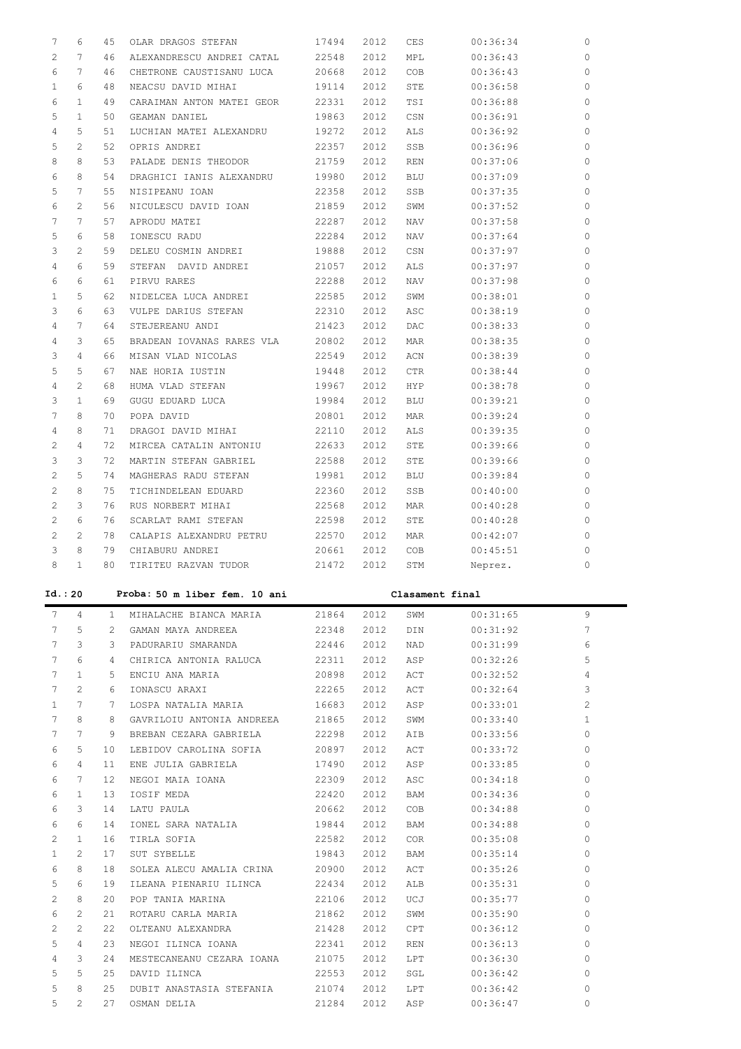| 7                     | 6               | 45             | OLAR DRAGOS STEFAN            | 17494 | 2012 | CES             | 00:36:34 | $\circ$      |
|-----------------------|-----------------|----------------|-------------------------------|-------|------|-----------------|----------|--------------|
| $\mathbf{2}^{\prime}$ | 7               | 46             | ALEXANDRESCU ANDREI CATAL     | 22548 | 2012 | MPL             | 00:36:43 | 0            |
| 6                     | 7               | 46             | CHETRONE CAUSTISANU LUCA      | 20668 | 2012 | COB             | 00:36:43 | 0            |
| $\mathbf{1}$          | 6               | 48             | NEACSU DAVID MIHAI            | 19114 | 2012 | STE             | 00:36:58 | 0            |
| 6                     | $\mathbf{1}$    | 49             | CARAIMAN ANTON MATEI GEOR     | 22331 | 2012 | TSI             | 00:36:88 | 0            |
| 5                     | $\mathbf{1}$    | 50             | GEAMAN DANIEL                 | 19863 | 2012 | CSN             | 00:36:91 | 0            |
| $\overline{4}$        | 5               | 51             | LUCHIAN MATEI ALEXANDRU       | 19272 | 2012 | ALS             | 00:36:92 | 0            |
| 5                     | 2               | 52             |                               |       |      |                 |          | 0            |
|                       |                 |                | OPRIS ANDREI                  | 22357 | 2012 | SSB             | 00:36:96 |              |
| 8                     | 8               | 53             | PALADE DENIS THEODOR          | 21759 | 2012 | <b>REN</b>      | 00:37:06 | 0            |
| 6                     | 8               | 54             | DRAGHICI IANIS ALEXANDRU      | 19980 | 2012 | <b>BLU</b>      | 00:37:09 | 0            |
| 5                     | $7\phantom{.0}$ | 55             | NISIPEANU IOAN                | 22358 | 2012 | SSB             | 00:37:35 | 0            |
| 6                     | $\overline{c}$  | 56             | NICULESCU DAVID IOAN          | 21859 | 2012 | SWM             | 00:37:52 | 0            |
| 7                     | 7               | 57             | APRODU MATEI                  | 22287 | 2012 | <b>NAV</b>      | 00:37:58 | 0            |
| 5                     | 6               | 58             | IONESCU RADU                  | 22284 | 2012 | <b>NAV</b>      | 00:37:64 | 0            |
| 3                     | $\overline{c}$  | 59             | DELEU COSMIN ANDREI           | 19888 | 2012 | CSN             | 00:37:97 | 0            |
| $\overline{4}$        | 6               | 59             | STEFAN DAVID ANDREI           | 21057 | 2012 | ALS             | 00:37:97 | 0            |
| 6                     | 6               | 61             | PIRVU RARES                   | 22288 | 2012 | <b>NAV</b>      | 00:37:98 | 0            |
| $\mathbf{1}$          | 5               | 62             | NIDELCEA LUCA ANDREI          | 22585 | 2012 | SWM             | 00:38:01 | 0            |
| 3                     | 6               | 63             | VULPE DARIUS STEFAN           | 22310 | 2012 | ASC             | 00:38:19 | 0            |
| 4                     | $7\phantom{.0}$ | 64             | STEJEREANU ANDI               | 21423 | 2012 | DAC             | 00:38:33 | 0            |
|                       | 3               | 65             |                               |       |      |                 |          |              |
| 4                     |                 |                | BRADEAN IOVANAS RARES VLA     | 20802 | 2012 | <b>MAR</b>      | 00:38:35 | 0            |
| 3                     | $\overline{4}$  | 66             | MISAN VLAD NICOLAS            | 22549 | 2012 | ACN             | 00:38:39 | 0            |
| 5                     | 5               | 67             | NAE HORIA IUSTIN              | 19448 | 2012 | <b>CTR</b>      | 00:38:44 | 0            |
| $\overline{4}$        | 2               | 68             | HUMA VLAD STEFAN              | 19967 | 2012 | HYP             | 00:38:78 | 0            |
| 3                     | $\mathbf{1}$    | 69             | GUGU EDUARD LUCA              | 19984 | 2012 | <b>BLU</b>      | 00:39:21 | 0            |
| 7                     | 8               | 70             | POPA DAVID                    | 20801 | 2012 | <b>MAR</b>      | 00:39:24 | 0            |
| 4                     | 8               | 71             | DRAGOI DAVID MIHAI            | 22110 | 2012 | ALS             | 00:39:35 | 0            |
| $\overline{2}$        | $\overline{4}$  | 72             | MIRCEA CATALIN ANTONIU        | 22633 | 2012 | STE             | 00:39:66 | 0            |
| 3                     | 3               | 72             | MARTIN STEFAN GABRIEL         | 22588 | 2012 | STE             | 00:39:66 | 0            |
| $\overline{2}$        | 5               | 74             | MAGHERAS RADU STEFAN          | 19981 | 2012 | <b>BLU</b>      | 00:39:84 | 0            |
| $\overline{2}$        | 8               | 75             | TICHINDELEAN EDUARD           | 22360 | 2012 | SSB             | 00:40:00 | 0            |
|                       |                 | 76             | RUS NORBERT MIHAI             | 22568 | 2012 | <b>MAR</b>      | 00:40:28 | 0            |
|                       |                 |                |                               |       |      |                 |          |              |
| $\overline{2}$        | 3               |                |                               |       |      |                 |          |              |
| $\overline{2}$        | 6               | 76             | SCARLAT RAMI STEFAN           | 22598 | 2012 | STE             | 00:40:28 | 0            |
| $\overline{2}$        | $\overline{c}$  | 78             | CALAPIS ALEXANDRU PETRU       | 22570 | 2012 | <b>MAR</b>      | 00:42:07 | 0            |
| 3                     | 8               | 79             | CHIABURU ANDREI               | 20661 | 2012 | COB             | 00:45:51 | 0            |
| 8                     | $\mathbf{1}$    | 80             | TIRITEU RAZVAN TUDOR          | 21472 | 2012 | STM             | Neprez.  | 0            |
| Id.: 20               |                 |                | Proba: 50 m liber fem. 10 ani |       |      | Clasament final |          |              |
|                       |                 |                |                               |       |      |                 |          |              |
| 7                     | 4               | $\mathbf{1}$   | MIHALACHE BIANCA MARIA        | 21864 | 2012 | SWM             | 00:31:65 | 9            |
| 7                     | 5               | $\overline{2}$ | GAMAN MAYA ANDREEA            | 22348 | 2012 | DIN             | 00:31:92 | 7            |
| 7                     | 3               | 3              | PADURARIU SMARANDA            | 22446 | 2012 | NAD             | 00:31:99 | 6            |
| 7                     | 6               | 4              | CHIRICA ANTONIA RALUCA        | 22311 | 2012 | ASP             | 00:32:26 | 5.           |
| 7                     | 1               | 5              | ENCIU ANA MARIA               | 20898 | 2012 | ACT             | 00:32:52 | 4            |
| 7                     | 2               | 6              | IONASCU ARAXI                 | 22265 | 2012 | ACT             | 00:32:64 | 3            |
| $\mathbf{1}$          | 7               | 7              | LOSPA NATALIA MARIA           | 16683 | 2012 | ASP             | 00:33:01 | 2            |
| 7                     | 8               | 8              | GAVRILOIU ANTONIA ANDREEA     | 21865 | 2012 | SWM             | 00:33:40 | $\mathbf{1}$ |
| 7                     | 7               | 9              | BREBAN CEZARA GABRIELA        | 22298 | 2012 | AIB             | 00:33:56 | $\Omega$     |
| 6                     | 5               | 10             | LEBIDOV CAROLINA SOFIA        | 20897 | 2012 | ACT             | 00:33:72 | 0            |
| 6                     | 4               | 11             | ENE JULIA GABRIELA            | 17490 | 2012 | ASP             | 00:33:85 | 0            |
| 6                     | 7               | 12             | NEGOI MAIA IOANA              | 22309 | 2012 | ASC             | 00:34:18 | 0            |
|                       |                 |                |                               |       |      |                 |          |              |
| 6                     | 1               | 13             | IOSIF MEDA                    | 22420 | 2012 | BAM             | 00:34:36 | 0            |
| 6                     | 3               | 14             | LATU PAULA                    | 20662 | 2012 | COB             | 00:34:88 | 0            |
| 6                     | 6               | 14             | IONEL SARA NATALIA            | 19844 | 2012 | BAM             | 00:34:88 | 0            |
| 2                     | 1               | 16             | TIRLA SOFIA                   | 22582 | 2012 | <b>COR</b>      | 00:35:08 | 0            |
| $\mathbf{1}$          | 2               | 17             | SUT SYBELLE                   | 19843 | 2012 | BAM             | 00:35:14 | 0            |
| 6                     | 8               | 18             | SOLEA ALECU AMALIA CRINA      | 20900 | 2012 | ACT             | 00:35:26 | 0            |
| 5                     | 6               | 19             | ILEANA PIENARIU ILINCA        | 22434 | 2012 | ALB             | 00:35:31 | 0            |
| 2                     | 8               | 20             | POP TANIA MARINA              | 22106 | 2012 | UCJ             | 00:35:77 | 0            |
| 6                     | 2               | 21             | ROTARU CARLA MARIA            | 21862 | 2012 | SWM             | 00:35:90 | 0            |
| 2                     | 2               | 22             | OLTEANU ALEXANDRA             | 21428 | 2012 | CPT             | 00:36:12 | 0            |
| 5                     | 4               | 23             | NEGOI ILINCA IOANA            | 22341 | 2012 | REN             | 00:36:13 | 0            |
| 4                     | 3               | 24             | MESTECANEANU CEZARA IOANA     | 21075 | 2012 | LPT             | 00:36:30 | 0            |
| 5                     | 5               | 25             | DAVID ILINCA                  | 22553 | 2012 | SGL             | 00:36:42 | 0            |
| 5                     | 8               | 25             | DUBIT ANASTASIA STEFANIA      | 21074 | 2012 | LPT             | 00:36:42 | 0            |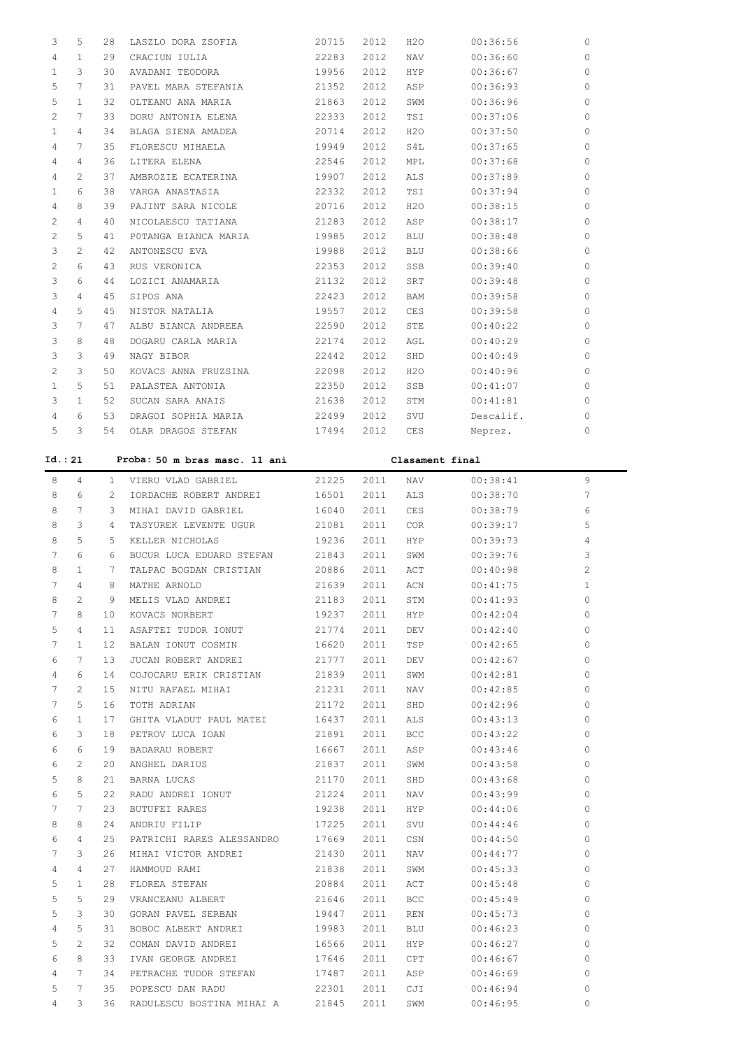| 3            | 5            | 28 | LASZLO DORA ZSOFIA   | 20715 | 2012 | H2O        | 00:36:56  | $\Omega$ |
|--------------|--------------|----|----------------------|-------|------|------------|-----------|----------|
| 4            | $\mathbf{1}$ | 29 | CRACIUN IULIA        | 22283 | 2012 | NAV        | 00:36:60  | $\Omega$ |
| $\mathbf{1}$ | 3            | 30 | AVADANI TEODORA      | 19956 | 2012 | <b>HYP</b> | 00:36:67  | $\Omega$ |
| 5            | 7            | 31 | PAVEL MARA STEFANIA  | 21352 | 2012 | ASP        | 00:36:93  | $\Omega$ |
| 5            | $\mathbf{1}$ | 32 | OLTEANU ANA MARIA    | 21863 | 2012 | SWM        | 00:36:96  | $\Omega$ |
| 2            | 7            | 33 | DORU ANTONIA ELENA   | 22333 | 2012 | TSI        | 00:37:06  | $\Omega$ |
| 1            | 4            | 34 | BLAGA SIENA AMADEA   | 20714 | 2012 | H2O        | 00:37:50  | $\Omega$ |
| 4            | 7            | 35 | FLORESCU MIHAELA     | 19949 | 2012 | S4L        | 00:37:65  | $\Omega$ |
| 4            | 4            | 36 | LITERA ELENA         | 22546 | 2012 | MPL        | 00:37:68  | $\Omega$ |
| 4            | 2            | 37 | AMBROZIE ECATERINA   | 19907 | 2012 | ALS        | 00:37:89  | $\Omega$ |
| 1            | 6            | 38 | VARGA ANASTASIA      | 22332 | 2012 | TSI        | 00:37:94  | $\circ$  |
| 4            | 8            | 39 | PAJINT SARA NICOLE   | 20716 | 2012 | H2O        | 00:38:15  | $\Omega$ |
| 2            | 4            | 40 | NICOLAESCU TATIANA   | 21283 | 2012 | ASP        | 00:38:17  | $\Omega$ |
| 2            | 5            | 41 | POTANGA BIANCA MARIA | 19985 | 2012 | <b>BLU</b> | 00:38:48  | $\Omega$ |
| 3            | 2            | 42 | ANTONESCU EVA        | 19988 | 2012 | BLU        | 00:38:66  | $\circ$  |
| 2            | 6            | 43 | RUS VERONICA         | 22353 | 2012 | <b>SSB</b> | 00:39:40  | $\Omega$ |
| 3            | 6            | 44 | LOZICI ANAMARIA      | 21132 | 2012 | SRT        | 00:39:48  | $\Omega$ |
| 3            | 4            | 45 | SIPOS ANA            | 22423 | 2012 | BAM        | 00:39:58  | $\Omega$ |
| 4            | 5            | 45 | NISTOR NATALIA       | 19557 | 2012 | CES        | 00:39:58  | $\Omega$ |
| 3            | 7            | 47 | ALBU BIANCA ANDREEA  | 22590 | 2012 | STE        | 00:40:22  | $\Omega$ |
| 3            | 8            | 48 | DOGARU CARLA MARIA   | 22174 | 2012 | AGL        | 00:40:29  | $\Omega$ |
| 3            | 3            | 49 | NAGY BIBOR           | 22442 | 2012 | SHD        | 00:40:49  | $\Omega$ |
| 2            | 3            | 50 | KOVACS ANNA FRUZSINA | 22098 | 2012 | H2O        | 00:40:96  | $\Omega$ |
| $\mathbf{1}$ | 5            | 51 | PALASTEA ANTONIA     | 22350 | 2012 | <b>SSB</b> | 00:41:07  | $\Omega$ |
| 3            | 1            | 52 | SUCAN SARA ANAIS     | 21638 | 2012 | STM        | 00:41:81  | $\Omega$ |
| 4            | 6            | 53 | DRAGOI SOPHIA MARIA  | 22499 | 2012 | SVU        | Descalif. | $\Omega$ |
| 5            | 3            | 54 | OLAR DRAGOS STEFAN   | 17494 | 2012 | CES        | Neprez.   | $\circ$  |
|              |              |    |                      |       |      |            |           |          |

**Id.: 21 Proba: 50 m bras masc. 11 ani Clasament final**

 8 4 1 VIERU VLAD GABRIEL 21225 2011 NAV 00:38:41 9 8 6 2 IORDACHE ROBERT ANDREI 16501 2011 ALS 00:38:70 7 8 7 3 MIHAI DAVID GABRIEL 16040 2011 CES 00:38:79 6 8 3 4 TASYUREK LEVENTE UGUR 21081 2011 COR 00:39:17 5 8 5 5 KELLER NICHOLAS 19236 2011 HYP 00:39:73 4 7 6 6 BUCUR LUCA EDUARD STEFAN 21843 2011 SWM 00:39:76 3 8 1 7 TALPAC BOGDAN CRISTIAN 20886 2011 ACT 00:40:98 2 7 4 8 MATHE ARNOLD 21639 2011 ACN 00:41:75 1 8 2 9 MELIS VLAD ANDREI 21183 2011 STM 00:41:93 0 7 8 10 KOVACS NORBERT 19237 2011 HYP 00:42:04 0 5 4 11 ASAFTEI TUDOR IONUT 21774 2011 DEV 00:42:40 0 7 1 12 BALAN IONUT COSMIN 16620 2011 TSP 00:42:65 0 6 7 13 JUCAN ROBERT ANDREI 21777 2011 DEV 00:42:67 0 4 6 14 COJOCARU ERIK CRISTIAN 21839 2011 SWM 00:42:81 0 7 2 15 NITU RAFAEL MIHAI 21231 2011 NAV 00:42:85 0 7 5 16 TOTH ADRIAN 21172 2011 SHD 00:42:96 0 6 1 17 GHITA VLADUT PAUL MATEI 16437 2011 ALS 00:43:13 0 6 3 18 PETROV LUCA IOAN 21891 2011 BCC 00:43:22 0 6 6 19 BADARAU ROBERT 16667 2011 ASP 00:43:46 0 6 2 20 ANGHEL DARIUS 21837 2011 SWM 00:43:58 0 5 8 21 BARNA LUCAS 21170 2011 SHD 00:43:68 0 6 5 22 RADU ANDREI IONUT 21224 2011 NAV 00:43:99 0 7 7 23 BUTUFEI RARES 19238 2011 HYP 00:44:06 0 8 8 24 ANDRIU FILIP 17225 2011 SVU 00:44:46 0 6 4 25 PATRICHI RARES ALESSANDRO 17669 2011 CSN 00:44:50 0 7 3 26 MIHAI VICTOR ANDREI 21430 2011 NAV 00:44:77 0 4 4 27 HAMMOUD RAMI 21838 2011 SWM 00:45:33 0 5 1 28 FLOREA STEFAN 20884 2011 ACT 00:45:48 0 5 5 29 VRANCEANU ALBERT 21646 2011 BCC 00:45:49 0 5 3 30 GORAN PAVEL SERBAN 19447 2011 REN 00:45:73 0 4 5 31 BOBOC ALBERT ANDREI 19983 2011 BLU 00:46:23 0 5 2 32 COMAN DAVID ANDREI 16566 2011 HYP 00:46:27 0 6 8 33 IVAN GEORGE ANDREI 17646 2011 CPT 00:46:67 0

 4 7 34 PETRACHE TUDOR STEFAN 17487 2011 ASP 00:46:69 0 5 7 35 POPESCU DAN RADU 22301 2011 CJI 00:46:94 0 4 3 36 RADULESCU BOSTINA MIHAI A 21845 2011 SWM 00:46:95 0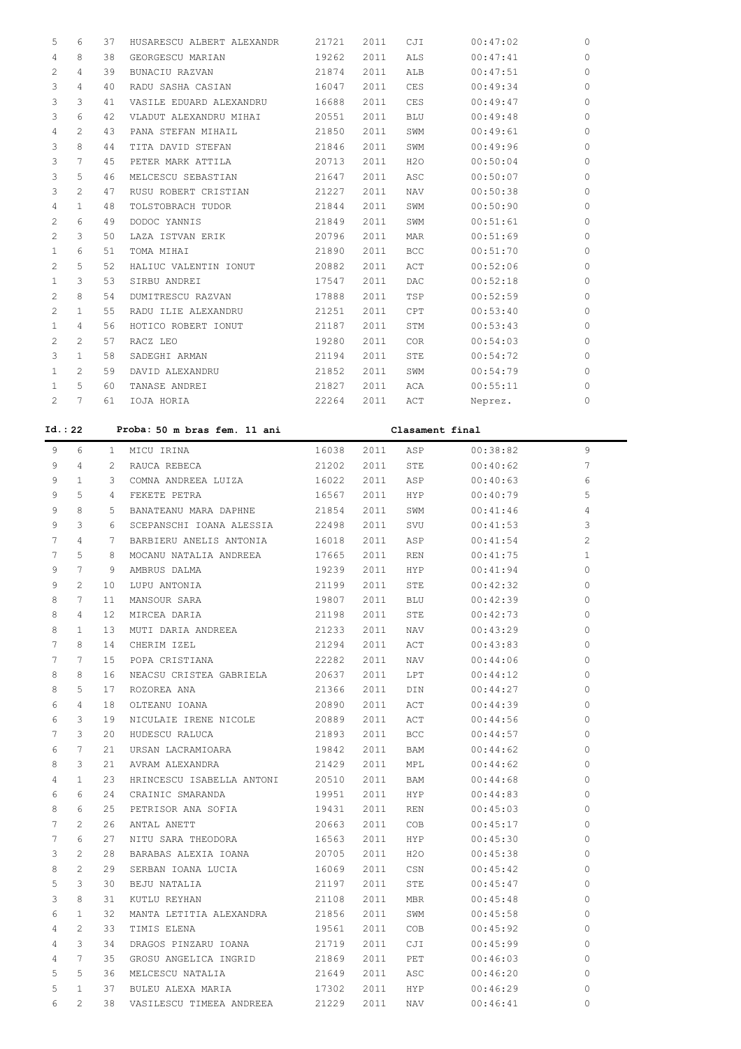| 5              | 6              | 37              | HUSARESCU ALBERT ALEXANDR    | 21721 | 2011 | CJI             | 00:47:02 | $\mathbf{0}$   |
|----------------|----------------|-----------------|------------------------------|-------|------|-----------------|----------|----------------|
| 4              | 8              | 38              | GEORGESCU MARIAN             | 19262 | 2011 | ALS             | 00:47:41 | $\mathbf{0}$   |
| 2              | 4              | 39              | BUNACIU RAZVAN               | 21874 | 2011 | ALB             | 00:47:51 | $\mathbf{0}$   |
| 3              | 4              | 40              | RADU SASHA CASIAN            | 16047 | 2011 | CES             | 00:49:34 | $\mathbf 0$    |
| 3              | 3              | 41              | VASILE EDUARD ALEXANDRU      | 16688 | 2011 | CES             | 00:49:47 | $\mathbf 0$    |
| 3              | 6              | 42              | VLADUT ALEXANDRU MIHAI       | 20551 | 2011 | <b>BLU</b>      | 00:49:48 | $\mathbf 0$    |
| 4              | $\overline{c}$ | 43              | PANA STEFAN MIHAIL           | 21850 | 2011 | SWM             | 00:49:61 | $\mathbf 0$    |
| 3              | 8              | 44              | TITA DAVID STEFAN            | 21846 | 2011 | SWM             | 00:49:96 | $\mathbf 0$    |
| 3              | 7              | 45              | PETER MARK ATTILA            | 20713 | 2011 | H2O             | 00:50:04 | $\mathbf{0}$   |
| 3              | 5              | 46              | MELCESCU SEBASTIAN           | 21647 | 2011 | ASC             | 00:50:07 | $\mathbf{0}$   |
| 3              | $\overline{2}$ | 47              | RUSU ROBERT CRISTIAN         | 21227 | 2011 | <b>NAV</b>      | 00:50:38 | $\mathbf{0}$   |
| 4              | $\mathbf{1}$   | 48              | TOLSTOBRACH TUDOR            | 21844 | 2011 | SWM             | 00:50:90 | $\mathbf{0}$   |
| $\overline{2}$ | 6              | 49              | DODOC YANNIS                 | 21849 | 2011 | SWM             | 00:51:61 | $\circ$        |
| $\overline{c}$ | 3              | 50              | LAZA ISTVAN ERIK             | 20796 | 2011 | MAR             | 00:51:69 | $\circ$        |
| $\mathbf{1}$   | 6              | 51              | TOMA MIHAI                   | 21890 | 2011 | BCC             | 00:51:70 | $\mathbf{0}$   |
| 2              | 5              | 52              | HALIUC VALENTIN IONUT        | 20882 | 2011 | ACT             | 00:52:06 | $\mathbf 0$    |
| 1              | 3              | 53              | SIRBU ANDREI                 | 17547 | 2011 | DAC             | 00:52:18 | $\mathbf 0$    |
| 2              | 8              | 54              | DUMITRESCU RAZVAN            | 17888 | 2011 | TSP             | 00:52:59 | $\mathbf 0$    |
| 2              | $\mathbf{1}$   | 55              | RADU ILIE ALEXANDRU          | 21251 | 2011 | CPT             | 00:53:40 | $\mathbf 0$    |
| 1              | 4              | 56              | HOTICO ROBERT IONUT          | 21187 | 2011 | STM             | 00:53:43 | $\mathbf 0$    |
| $\overline{c}$ | $\overline{c}$ | 57              | RACZ LEO                     | 19280 | 2011 | COR             | 00:54:03 | $\mathbf 0$    |
| 3              | $\mathbf{1}$   | 58              | SADEGHI ARMAN                | 21194 | 2011 | STE             | 00:54:72 | $\mathbf{0}$   |
| $\mathbf{1}$   | $\overline{c}$ | 59              | DAVID ALEXANDRU              | 21852 | 2011 | SWM             | 00:54:79 | $\mathbf{0}$   |
| $\mathbf{1}$   | 5              | 60              | TANASE ANDREI                | 21827 | 2011 | ACA             | 00:55:11 | $\Omega$       |
| $\overline{2}$ | 7              | 61              | IOJA HORIA                   | 22264 | 2011 | ACT             | Neprez.  | $\Omega$       |
|                |                |                 |                              |       |      |                 |          |                |
|                |                |                 |                              |       |      |                 |          |                |
| Id.: 22        |                |                 | Proba: 50 m bras fem. 11 ani |       |      | Clasament final |          |                |
| 9              | 6              | 1               | MICU IRINA                   | 16038 | 2011 | ASP             | 00:38:82 | 9              |
| 9              | 4              | $\overline{c}$  | RAUCA REBECA                 | 21202 | 2011 | STE             | 00:40:62 | 7              |
| 9              | $\mathbf{1}$   | 3               | COMNA ANDREEA LUIZA          | 16022 | 2011 | ASP             | 00:40:63 | 6              |
| 9              | 5              | 4               | FEKETE PETRA                 | 16567 | 2011 | <b>HYP</b>      | 00:40:79 | 5              |
| 9              | 8              | 5               | BANATEANU MARA DAPHNE        | 21854 | 2011 | SWM             | 00:41:46 | 4              |
| 9              | 3              | 6               | SCEPANSCHI IOANA ALESSIA     | 22498 | 2011 | SVU             | 00:41:53 | 3              |
| 7              | 4              | 7               | BARBIERU ANELIS ANTONIA      | 16018 | 2011 | ASP             | 00:41:54 | $\overline{c}$ |
| 7              | 5              | 8               | MOCANU NATALIA ANDREEA       | 17665 | 2011 | REN             | 00:41:75 | $\mathbf{1}$   |
| 9              | 7              | 9               | AMBRUS DALMA                 | 19239 | 2011 | HYP             | 00:41:94 | $\circ$        |
| 9              | 2              | 10              | LUPU ANTONIA                 | 21199 | 2011 | STE             | 00:42:32 | 0              |
| 8              | 7              | 11              | MANSOUR SARA                 | 19807 | 2011 | BLU             | 00:42:39 | 0              |
| 8              | 4              | 12 <sub>2</sub> | MIRCEA DARIA                 | 21198 | 2011 | STE             | 00:42:73 | 0              |
| 8              | 1              | 13 <sup>°</sup> | MUTI DARIA ANDREEA           | 21233 | 2011 | NAV             | 00:43:29 | 0              |
| 7              | 8              | 14              | CHERIM IZEL                  | 21294 | 2011 | ACT             | 00:43:83 | 0              |
| 7              | 7              | 15 <sub>1</sub> | POPA CRISTIANA               | 22282 | 2011 | NAV             | 00:44:06 | 0              |
| 8              | 8              | 16              | NEACSU CRISTEA GABRIELA      | 20637 | 2011 | LPT             | 00:44:12 | 0              |
| 8              | 5              | 17              | ROZOREA ANA                  | 21366 | 2011 | DIN             | 00:44:27 | 0              |
| 6              | 4              | 18              | OLTEANU IOANA                | 20890 | 2011 | ACT             | 00:44:39 | 0              |
| 6              | 3              | 19              | NICULAIE IRENE NICOLE        | 20889 | 2011 | ACT             | 00:44:56 | 0              |
| 7              | 3              | 20              | HUDESCU RALUCA               | 21893 | 2011 | <b>BCC</b>      | 00:44:57 | 0              |
| 6              | 7              | 21              | URSAN LACRAMIOARA            | 19842 | 2011 | BAM             | 00:44:62 | 0              |
| 8              | 3              | 21              | AVRAM ALEXANDRA              | 21429 | 2011 | MPL             | 00:44:62 | 0              |
| 4              | 1              | 23              | HRINCESCU ISABELLA ANTONI    | 20510 | 2011 | BAM             | 00:44:68 | 0              |
| 6              | 6              | 24              | CRAINIC SMARANDA             | 19951 | 2011 | HYP             | 00:44:83 | 0              |

 7 2 26 ANTAL ANETT 20663 2011 COB 00:45:17 0 7 6 27 NITU SARA THEODORA 16563 2011 HYP 00:45:30 0 3 2 28 BARABAS ALEXIA IOANA 20705 2011 H2O 00:45:38 0 8 2 29 SERBAN IOANA LUCIA 16069 2011 CSN 00:45:42 0 5 3 30 BEJU NATALIA 21197 2011 STE 00:45:47 0 3 8 31 KUTLU REYHAN 21108 2011 MBR 00:45:48 0 6 1 32 MANTA LETITIA ALEXANDRA 21856 2011 SWM 00:45:58 0 4 2 33 TIMIS ELENA 19561 2011 COB 00:45:92 0 4 3 34 DRAGOS PINZARU IOANA 21719 2011 CJI 00:45:99 0 4 7 35 GROSU ANGELICA INGRID 21869 2011 PET 00:46:03 0 5 5 36 MELCESCU NATALIA 21649 2011 ASC 00:46:20 0 5 1 37 BULEU ALEXA MARIA 17302 2011 HYP 00:46:29 0 6 2 38 VASILESCU TIMEEA ANDREEA 21229 2011 NAV 00:46:41 0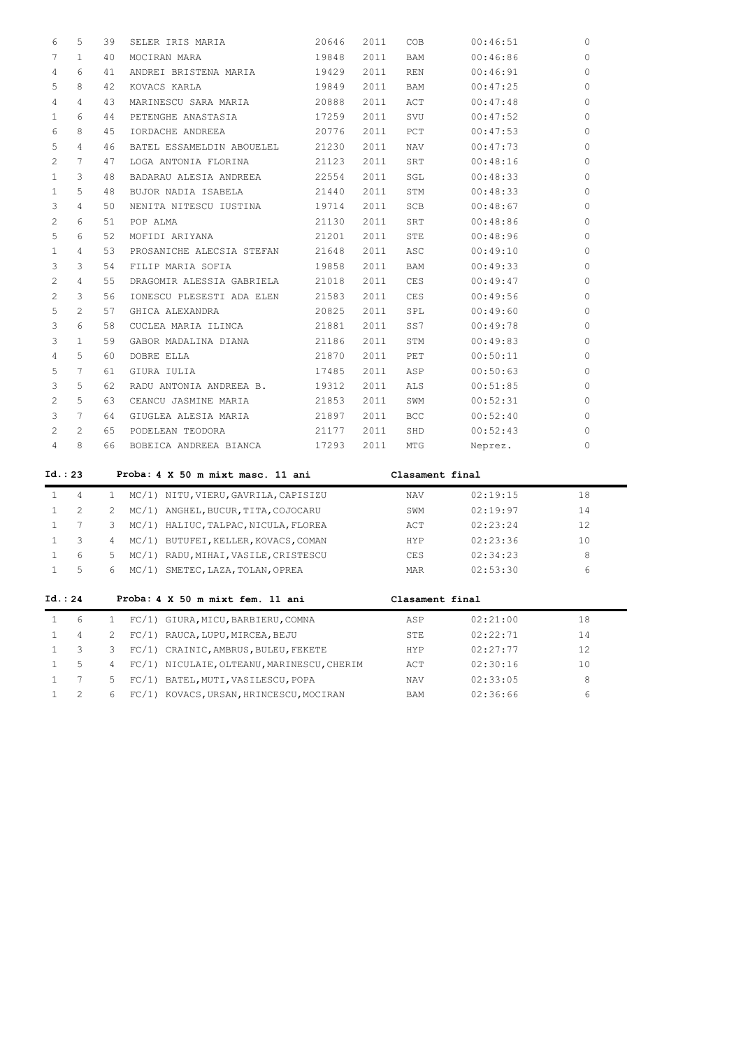| 6                     | 5               | 39 | SELER IRIS MARIA          | 20646 | 2011 | COB        | 00:46:51 | $\circ$  |
|-----------------------|-----------------|----|---------------------------|-------|------|------------|----------|----------|
| 7                     | $\mathbf{1}$    | 40 | MOCIRAN MARA              | 19848 | 2011 | BAM        | 00:46:86 | $\Omega$ |
| 4                     | 6               | 41 | ANDREI BRISTENA MARIA     | 19429 | 2011 | <b>REN</b> | 00:46:91 | $\Omega$ |
| 5                     | 8               | 42 | KOVACS KARLA              | 19849 | 2011 | BAM        | 00:47:25 | $\circ$  |
| 4                     | 4               | 43 | MARINESCU SARA MARIA      | 20888 | 2011 | ACT        | 00:47:48 | $\Omega$ |
| $\mathbf{1}$          | 6               | 44 | PETENGHE ANASTASIA        | 17259 | 2011 | SVU        | 00:47:52 | $\Omega$ |
| 6                     | 8               | 45 | IORDACHE ANDREEA          | 20776 | 2011 | PCT        | 00:47:53 | $\circ$  |
| 5                     | 4               | 46 | BATEL ESSAMELDIN ABOUELEL | 21230 | 2011 | <b>NAV</b> | 00:47:73 | 0        |
| 2                     | $7\phantom{.0}$ | 47 | LOGA ANTONIA FLORINA      | 21123 | 2011 | SRT        | 00:48:16 | $\Omega$ |
| $\mathbf{1}$          | 3               | 48 | BADARAU ALESIA ANDREEA    | 22554 | 2011 | SGL        | 00:48:33 | 0        |
| $\mathbf{1}$          | 5               | 48 | BUJOR NADIA ISABELA       | 21440 | 2011 | STM        | 00:48:33 | 0        |
| 3                     | 4               | 50 | NENITA NITESCU IUSTINA    | 19714 | 2011 | SCB        | 00:48:67 | $\Omega$ |
| 2                     | 6               | 51 | POP ALMA                  | 21130 | 2011 | SRT        | 00:48:86 | 0        |
| 5                     | 6               | 52 | MOFIDI ARIYANA            | 21201 | 2011 | <b>STE</b> | 00:48:96 | 0        |
| $\mathbf{1}$          | 4               | 53 | PROSANICHE ALECSIA STEFAN | 21648 | 2011 | ASC        | 00:49:10 | $\Omega$ |
| 3                     | 3               | 54 | FILIP MARIA SOFIA         | 19858 | 2011 | <b>BAM</b> | 00:49:33 | 0        |
| 2                     | 4               | 55 | DRAGOMIR ALESSIA GABRIELA | 21018 | 2011 | <b>CES</b> | 00:49:47 | 0        |
| 2                     | 3               | 56 | IONESCU PLESESTI ADA ELEN | 21583 | 2011 | <b>CES</b> | 00:49:56 | $\Omega$ |
| 5                     | $\overline{2}$  | 57 | GHICA ALEXANDRA           | 20825 | 2011 | SPL        | 00:49:60 | 0        |
| 3                     | 6               | 58 | CUCLEA MARIA ILINCA       | 21881 | 2011 | SS7        | 00:49:78 | 0        |
| 3                     | $\mathbf{1}$    | 59 | GABOR MADALINA DIANA      | 21186 | 2011 | STM        | 00:49:83 | $\Omega$ |
| 4                     | 5.              | 60 | DOBRE ELLA                | 21870 | 2011 | PET        | 00:50:11 | 0        |
| 5                     | $7\phantom{.0}$ | 61 | GIURA IULIA               | 17485 | 2011 | ASP        | 00:50:63 | $\Omega$ |
| 3                     | 5               | 62 | RADU ANTONIA ANDREEA B.   | 19312 | 2011 | ALS.       | 00:51:85 | 0        |
| 2                     | 5               | 63 | CEANCU JASMINE MARIA      | 21853 | 2011 | SWM        | 00:52:31 | $\circ$  |
| 3                     | $7\phantom{.0}$ | 64 | GIUGLEA ALESIA MARIA      | 21897 | 2011 | <b>BCC</b> | 00:52:40 | $\Omega$ |
| $\mathbf{2}^{\prime}$ | 2               | 65 | PODELEAN TEODORA          | 21177 | 2011 | SHD        | 00:52:43 | $\circ$  |
| 4                     | 8               | 66 | BOBEICA ANDREEA BIANCA    | 17293 | 2011 | MTG        | Neprez.  | $\circ$  |

| Id.: 23 |                             |               |      | Proba: 4 X 50 m mixt masc. 11 ani          | Clasament final |          |    |  |
|---------|-----------------------------|---------------|------|--------------------------------------------|-----------------|----------|----|--|
|         | 4                           | 1.            |      | MC/1) NITU, VIERU, GAVRILA, CAPISIZU       | NAV             | 02:19:15 | 18 |  |
|         | $\mathcal{D}_{\mathcal{L}}$ | $\mathcal{L}$ |      | MC/1) ANGHEL, BUCUR, TITA, COJOCARU        | SWM             | 02:19:97 | 14 |  |
|         | 7                           | 3             | MC/1 | HALIUC, TALPAC, NICULA, FLOREA             | ACT             | 02:23:24 | 12 |  |
|         | 3                           | 4             |      | MC/1) BUTUFEI, KELLER, KOVACS, COMAN       | <b>HYP</b>      | 02:23:36 | 10 |  |
|         | 6                           | 5.            |      | MC/1) RADU, MIHAI, VASILE, CRISTESCU       | CES             | 02:34:23 | 8  |  |
|         | 5                           | 6             |      | MC/1) SMETEC, LAZA, TOLAN, OPREA           | MAR             | 02:53:30 | 6  |  |
| Id.: 24 |                             |               |      | Proba: 4 X 50 m mixt fem. 11 ani           | Clasament final |          |    |  |
|         | 6                           | 1.            | FC/1 | GIURA, MICU, BARBIERU, COMNA               | ASP             | 02:21:00 | 18 |  |
|         | 4                           | 2.            |      | FC/1) RAUCA, LUPU, MIRCEA, BEJU            | STE             | 02:22:71 | 14 |  |
|         | 3                           | 3             | FC/1 | CRAINIC, AMBRUS, BULEU, FEKETE             | HYP             | 02:27:77 | 12 |  |
|         | 5                           | 4             |      | FC/1) NICULAIE, OLTEANU, MARINESCU, CHERIM | ACT             | 02:30:16 | 10 |  |
|         | 7                           | 5.            |      | FC/1) BATEL, MUTI, VASILESCU, POPA         | NAV             | 02:33:05 | 8  |  |
|         | $\overline{c}$              | 6             |      | FC/1) KOVACS, URSAN, HRINCESCU, MOCIRAN    | <b>BAM</b>      | 02:36:66 | 6  |  |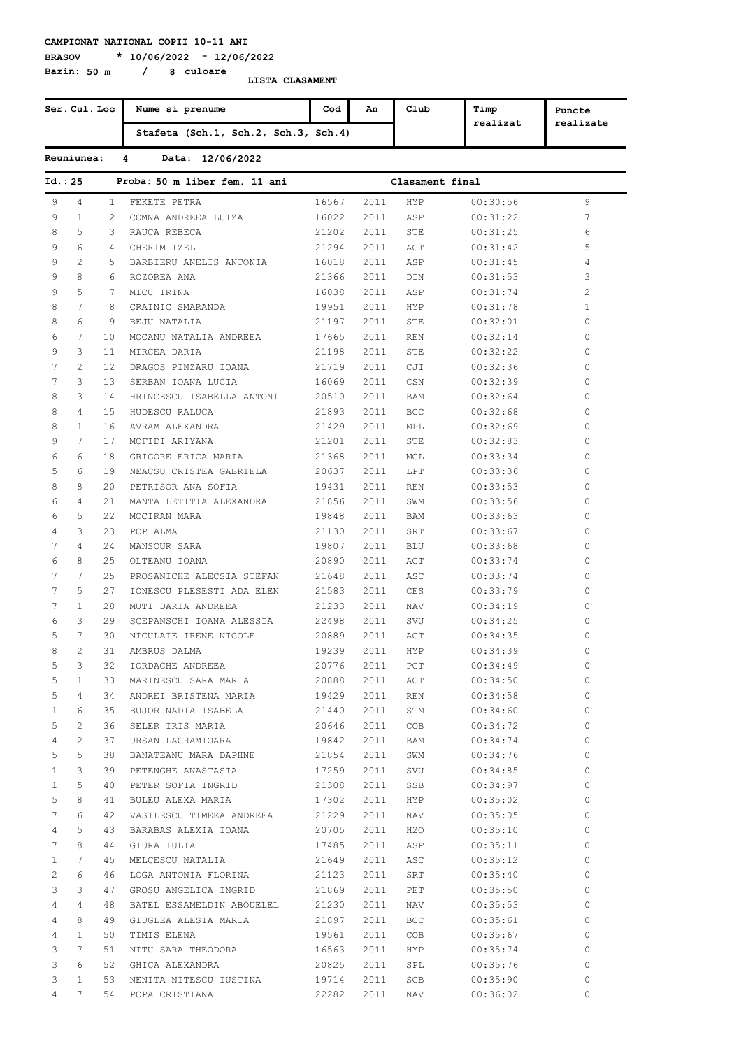**Bazin: 50 m / 8 culoare**

**BRASOV \* 10/06/2022 - 12/06/2022**

| Ser. Cul. Loc   |                 |              | Nume si prenume                      | Cod            | An   | Club                 | Timp     | Puncte    |
|-----------------|-----------------|--------------|--------------------------------------|----------------|------|----------------------|----------|-----------|
|                 |                 |              | Stafeta (Sch.1, Sch.2, Sch.3, Sch.4) |                |      |                      | realizat | realizate |
|                 | Reuniunea:      |              | 4<br>Data: 12/06/2022                |                |      |                      |          |           |
| Id. : 25        |                 |              | Proba: 50 m liber fem. 11 ani        |                |      | Clasament final      |          |           |
| 9               | 4               | $\mathbf{1}$ | FEKETE PETRA                         | 16567          | 2011 | HYP                  | 00:30:56 | 9         |
| 9               | $\mathbf{1}$    | 2            | COMNA ANDREEA LUIZA                  | 16022          | 2011 | ASP                  | 00:31:22 | 7         |
| 8               | 5               | 3            | RAUCA REBECA                         | 21202          | 2011 | STE                  | 00:31:25 | 6         |
| 9               | 6               | 4            | CHERIM IZEL                          | 21294          | 2011 | ACT                  | 00:31:42 | 5         |
| 9               | 2               | 5            | BARBIERU ANELIS ANTONIA              | 16018          | 2011 | ASP                  | 00:31:45 | 4         |
| 9               | 8               | 6            | ROZOREA ANA                          | 21366          | 2011 | DIN                  | 00:31:53 | 3         |
| 9               | 5               | 7            | MICU IRINA                           | 16038          | 2011 | ASP                  | 00:31:74 | 2         |
| 8               | 7               | 8            | CRAINIC SMARANDA                     | 19951          | 2011 | HYP                  | 00:31:78 | 1         |
| 8               | 6               | 9            | BEJU NATALIA                         | 21197          | 2011 | STE                  | 00:32:01 | 0         |
| 6               | 7               | 10           | MOCANU NATALIA ANDREEA               | 17665          | 2011 | REN                  | 00:32:14 | 0         |
| 9               | 3               | 11           | MIRCEA DARIA                         | 21198          | 2011 | STE                  | 00:32:22 | 0         |
| 7               | $\overline{2}$  | 12           | DRAGOS PINZARU IOANA                 | 21719          | 2011 | CJI                  | 00:32:36 | 0         |
| 7               | 3               | 13           | SERBAN IOANA LUCIA                   | 16069          | 2011 | CSN                  | 00:32:39 | 0         |
| 8               | 3               | 14           | HRINCESCU ISABELLA ANTONI            | 20510          | 2011 | BAM                  | 00:32:64 | 0         |
| 8               | 4               | 15           | HUDESCU RALUCA                       | 21893          | 2011 | BCC                  | 00:32:68 | 0         |
| 8               | $\mathbf{1}$    | 16           | AVRAM ALEXANDRA                      | 21429          | 2011 | MPL                  | 00:32:69 | 0         |
| 9               | 7               | 17           | MOFIDI ARIYANA                       | 21201          | 2011 | STE                  | 00:32:83 | 0         |
| 6               | 6               | 18           | GRIGORE ERICA MARIA                  | 21368          | 2011 | MGL                  | 00:33:34 | 0         |
| 5               | 6               | 19           | NEACSU CRISTEA GABRIELA              | 20637          | 2011 | LPT                  | 00:33:36 | 0         |
| 8               | 8               | 20           | PETRISOR ANA SOFIA                   | 19431          | 2011 | REN                  | 00:33:53 | 0         |
| 6               | 4               | 21           | MANTA LETITIA ALEXANDRA              | 21856          | 2011 | SWM                  | 00:33:56 | 0         |
| 6               | 5               | 22           | MOCIRAN MARA                         | 19848          | 2011 | BAM                  | 00:33:63 | 0         |
| 4               | 3               | 23           | POP ALMA                             | 21130          | 2011 | SRT                  | 00:33:67 | 0         |
| 7               | 4               | 24           | MANSOUR SARA                         | 19807          | 2011 | BLU                  | 00:33:68 | 0         |
| 6               | 8               | 25           | OLTEANU IOANA                        | 20890          | 2011 | ACT                  | 00:33:74 | 0         |
| 7               | 7               | 25           | PROSANICHE ALECSIA STEFAN            | 21648          | 2011 | ASC                  | 00:33:74 | 0         |
| 7               | 5               | 27           | IONESCU PLESESTI ADA ELEN            | 21583          | 2011 | CES                  | 00:33:79 | 0         |
| 7               | $\mathbf{1}$    | 28           | MUTI DARIA ANDREEA                   | 21233          | 2011 | NAV                  | 00:34:19 | 0         |
| 6               | 3               | 29           | SCEPANSCHI IOANA ALESSIA             | 22498          | 2011 | SVU                  | 00:34:25 | 0         |
| 5               | 7               | 30           | NICULAIE IRENE NICOLE                | 20889          | 2011 | ACT                  | 00:34:35 | 0         |
| 8               | $\overline{c}$  | 31           | AMBRUS DALMA                         | 19239          |      | 2011 HYP             | 00:34:39 | $\cap$    |
| 5               | 3               |              | 32 IORDACHE ANDREEA                  | 20776          |      | 2011 PCT             | 00:34:49 | 0         |
| 5               | $\mathbf{1}$    |              | 33 MARINESCU SARA MARIA 20888        |                |      | 2011 ACT             | 00:34:50 | 0         |
| 5               | 4               |              | 34 ANDREI BRISTENA MARIA             | 19429          |      | 2011 REN             | 00:34:58 | 0         |
| $\mathbf{1}$    | 6               |              | 35 BUJOR NADIA ISABELA               | 21440          |      | 2011 STM             | 00:34:60 | 0         |
|                 | 2               |              | 36 SELER IRIS MARIA                  |                |      |                      | 00:34:72 | 0         |
| 5<br>4          | 2               |              | 37 URSAN LACRAMIOARA                 | 20646<br>19842 |      | 2011 COB<br>2011 BAM | 00:34:74 | 0         |
| 5               | 5               |              | 38 BANATEANU MARA DAPHNE             | 21854          |      | 2011 SWM             | 00:34:76 | 0         |
| $\mathbf{1}$    | 3               |              | 39 PETENGHE ANASTASIA                | 17259          |      | 2011 SVU             | 00:34:85 | 0         |
| $\mathbf{1}$    | 5               |              | 40 PETER SOFIA INGRID                | 21308          |      | 2011 SSB             | 00:34:97 | 0         |
| 5               | 8               |              | 41 BULEU ALEXA MARIA                 | 17302          |      | 2011 HYP             | 00:35:02 | 0         |
| $7\phantom{.0}$ | 6               |              | 42 VASILESCU TIMEEA ANDREEA          | 21229          |      | 2011 NAV             | 00:35:05 | 0         |
| 4               | 5               |              | 43 BARABAS ALEXIA IOANA              | 20705          |      | 2011 H2O             | 00:35:10 | 0         |
| 7               | 8               |              | 44 GIURA IULIA                       | 17485          |      |                      |          | 0         |
|                 | 7               |              |                                      |                |      | 2011 ASP             | 00:35:11 | 0         |
| $\mathbf{1}$    |                 |              | 45 MELCESCU NATALIA                  | 21649<br>21123 |      | 2011 ASC             | 00:35:12 | 0         |
| $\mathbf{2}$    | 6               |              | 46 LOGA ANTONIA FLORINA              |                |      | 2011 SRT             | 00:35:40 |           |
| 3               | 3               |              | 47 GROSU ANGELICA INGRID             | 21869          |      | 2011 PET             | 00:35:50 | 0         |
| 4               | 4               |              | 48 BATEL ESSAMELDIN ABOUELEL         | 21230          |      | 2011 NAV             | 00:35:53 | 0         |
| 4               | 8               |              | 49 GIUGLEA ALESIA MARIA              | 21897          |      | 2011 BCC             | 00:35:61 | 0         |
| 4               | $\mathbf{1}$    |              | 50 TIMIS ELENA                       | 19561          |      | 2011 COB             | 00:35:67 | 0         |
| 3               | $7\phantom{.0}$ |              | 51 NITU SARA THEODORA                | 16563          |      | 2011 HYP             | 00:35:74 | 0         |
| 3               | 6               |              | 52 GHICA ALEXANDRA                   | 20825          |      | 2011 SPL             | 00:35:76 | 0         |
| 3               | $\mathbf{1}$    |              | 53 NENITA NITESCU IUSTINA            | 19714          |      | 2011 SCB             | 00:35:90 | 0         |
| $\overline{4}$  | 7               |              | 54 POPA CRISTIANA                    | 22282          | 2011 | NAV                  | 00:36:02 | 0         |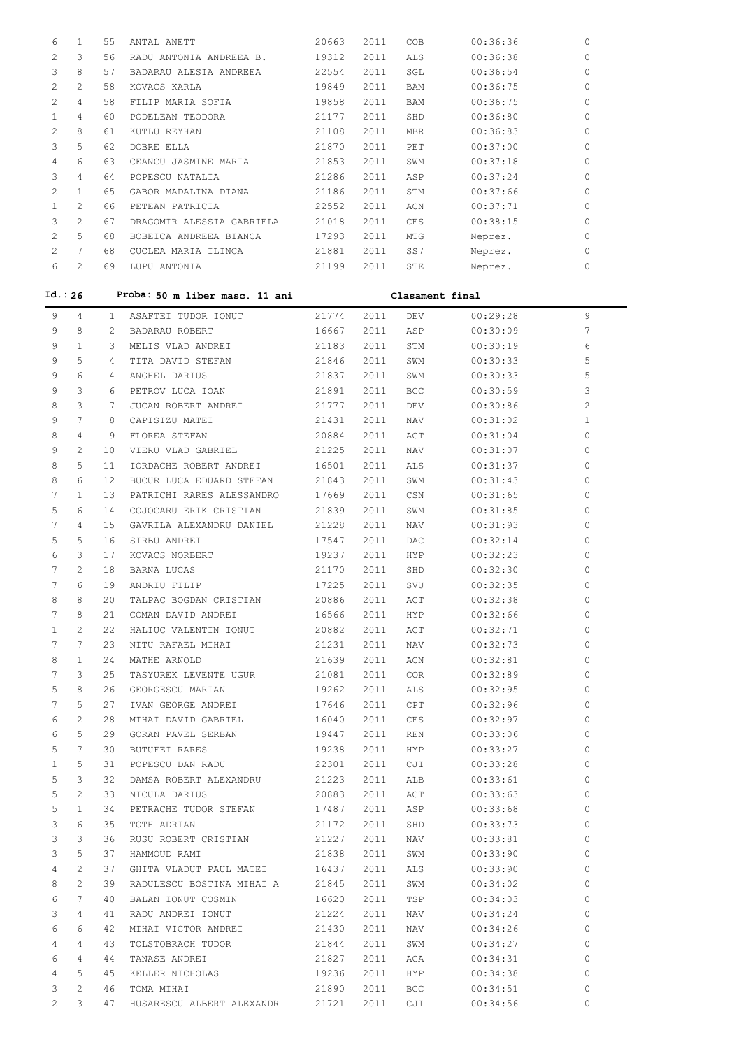| 6              | $\mathbf{1}$          | 55              | ANTAL ANETT                     | 20663 | 2011 | COB             | 00:36:36 | 0        |
|----------------|-----------------------|-----------------|---------------------------------|-------|------|-----------------|----------|----------|
| 2              | 3                     | 56              | RADU ANTONIA ANDREEA B.         | 19312 | 2011 | ALS             | 00:36:38 | 0        |
| 3              | 8                     | 57              | BADARAU ALESIA ANDREEA          | 22554 | 2011 | SGL             | 00:36:54 | 0        |
| 2              | $\mathbf{2}^{\prime}$ | 58              | KOVACS KARLA                    | 19849 | 2011 | BAM             | 00:36:75 | 0        |
| $\overline{2}$ | 4                     | 58              | FILIP MARIA SOFIA               | 19858 | 2011 | BAM             | 00:36:75 | 0        |
| $\mathbf{1}$   | 4                     | 60              | PODELEAN TEODORA                | 21177 | 2011 | SHD             | 00:36:80 | 0        |
| 2              | 8                     | 61              | KUTLU REYHAN                    | 21108 | 2011 | MBR             | 00:36:83 | 0        |
| 3              | 5                     | 62              | DOBRE ELLA                      | 21870 | 2011 | PET             | 00:37:00 | 0        |
| 4              | 6                     | 63              | CEANCU JASMINE MARIA            | 21853 | 2011 | SWM             | 00:37:18 | 0        |
| 3              | 4                     | 64              | POPESCU NATALIA                 | 21286 | 2011 | ASP             | 00:37:24 | 0        |
| 2              | $\mathbf{1}$          | 65              | GABOR MADALINA DIANA            | 21186 | 2011 | STM             | 00:37:66 | 0        |
| $\mathbf{1}$   | $\mathbf{2}^{\prime}$ | 66              | PETEAN PATRICIA                 | 22552 | 2011 | ACN             | 00:37:71 | 0        |
| 3              | $\overline{2}$        | 67              | DRAGOMIR ALESSIA GABRIELA       | 21018 | 2011 | CES             | 00:38:15 | 0        |
| 2              | 5                     | 68              | BOBEICA ANDREEA BIANCA          | 17293 | 2011 | MTG             | Neprez.  | 0        |
| 2              | $7\phantom{.0}$       | 68              | CUCLEA MARIA ILINCA             | 21881 | 2011 | SS7             | Neprez.  | 0        |
| 6              | $\overline{2}$        | 69              | LUPU ANTONIA                    | 21199 | 2011 | STE             | Neprez.  | 0        |
|                |                       |                 |                                 |       |      |                 |          |          |
| Id.: 26        |                       |                 | Proba: 50 m liber masc. 11 ani  |       |      | Clasament final |          |          |
|                |                       |                 |                                 |       |      |                 |          |          |
| 9              | 4                     | 1               | ASAFTEI TUDOR IONUT             | 21774 | 2011 | DEV             | 00:29:28 | 9        |
| 9              | 8                     | $2^{\circ}$     | BADARAU ROBERT                  | 16667 | 2011 | ASP             | 00:30:09 | 7        |
| 9              | $\mathbf{1}$          | 3               | MELIS VLAD ANDREI               | 21183 | 2011 | STM             | 00:30:19 | 6        |
| 9              | 5                     | 4               | TITA DAVID STEFAN               | 21846 | 2011 | SWM             | 00:30:33 | 5        |
| 9              | 6                     | 4               | ANGHEL DARIUS                   | 21837 | 2011 | SWM             | 00:30:33 | 5        |
| 9              | 3                     | 6               | PETROV LUCA IOAN                | 21891 | 2011 | <b>BCC</b>      | 00:30:59 | 3        |
| 8              | 3                     | 7               | JUCAN ROBERT ANDREI             | 21777 | 2011 | DEV             | 00:30:86 | 2        |
| 9              | 7                     | 8               | CAPISIZU MATEI                  | 21431 | 2011 | NAV             | 00:31:02 | 1        |
| 8              | 4                     | 9               | FLOREA STEFAN                   | 20884 | 2011 | ACT             | 00:31:04 | $\Omega$ |
| 9              | 2                     | 10 <sub>o</sub> | VIERU VLAD GABRIEL              | 21225 | 2011 | NAV             | 00:31:07 | 0        |
| 8              | 5                     | 11              | IORDACHE ROBERT ANDREI          | 16501 | 2011 | ALS             | 00:31:37 | 0        |
| 8              | 6                     | 12              | BUCUR LUCA EDUARD STEFAN        | 21843 | 2011 | SWM             | 00:31:43 | 0        |
| 7              | $\mathbf{1}$          | 13              | PATRICHI RARES ALESSANDRO       | 17669 | 2011 | CSN             | 00:31:65 | 0        |
| 5              | 6                     | 14              | COJOCARU ERIK CRISTIAN          | 21839 | 2011 | SWM             | 00:31:85 | 0        |
| 7              | $\overline{4}$        | 15              | GAVRILA ALEXANDRU DANIEL        | 21228 | 2011 | NAV             | 00:31:93 | 0        |
| 5              | 5                     | 16              | SIRBU ANDREI                    | 17547 | 2011 | DAC             | 00:32:14 | 0        |
| 6              | 3                     | 17              | KOVACS NORBERT                  | 19237 | 2011 | HYP             | 00:32:23 | 0        |
| 7              | $\overline{2}$        | 18              | BARNA LUCAS                     | 21170 | 2011 | SHD             | 00:32:30 | 0        |
| 7              | 6                     | 19              | ANDRIU FILIP                    | 17225 | 2011 | SVU             | 00:32:35 | 0        |
| 8              | 8                     | 20              | TALPAC BOGDAN CRISTIAN          | 20886 | 2011 | ACT             | 00:32:38 | 0        |
| 7              | 8                     | 21              | COMAN DAVID ANDREI              | 16566 | 2011 | HYP             | 00:32:66 | 0        |
| $\mathbf{1}$   | 2                     | 22              | HALIUC VALENTIN IONUT           | 20882 | 2011 | ACT             | 00:32:71 | 0        |
| 7              | 7                     | 23              | NITU RAFAEL MIHAI               | 21231 | 2011 | NAV             | 00:32:73 | 0        |
| 8              | $\mathbf{1}$          | 24              | MATHE ARNOLD                    | 21639 | 2011 | ACN             | 00:32:81 | 0        |
| 7              | 3                     | 25              | TASYUREK LEVENTE UGUR           | 21081 | 2011 | COR             | 00:32:89 | 0        |
| 5              | 8                     | 26              | GEORGESCU MARIAN                | 19262 | 2011 | ALS             | 00:32:95 | 0        |
| 7              | 5                     | 27              | IVAN GEORGE ANDREI              | 17646 | 2011 | CPT             | 00:32:96 | 0        |
| 6              | 2                     | 28              | MIHAI DAVID GABRIEL             | 16040 | 2011 | CES             | 00:32:97 | 0        |
| 6              | 5                     | 29              | GORAN PAVEL SERBAN              | 19447 | 2011 | REN             | 00:33:06 | 0        |
| 5              | 7                     | 30              | BUTUFEI RARES                   | 19238 | 2011 | HYP             | 00:33:27 | 0        |
| $\mathbf{1}$   | 5                     | 31              | POPESCU DAN RADU                | 22301 | 2011 | CJI             | 00:33:28 | 0        |
| 5              | 3                     | 32              | DAMSA ROBERT ALEXANDRU          | 21223 | 2011 | ALB             | 00:33:61 | 0        |
| 5              | 2                     | 33              | NICULA DARIUS                   | 20883 | 2011 | ACT             | 00:33:63 | 0        |
| 5              | $\mathbf{1}$          | 34              | PETRACHE TUDOR STEFAN           | 17487 | 2011 | ASP             | 00:33:68 | 0        |
| 3              | 6                     | 35              | TOTH ADRIAN                     | 21172 | 2011 | SHD             | 00:33:73 | 0        |
| 3              | 3                     | 36              | RUSU ROBERT CRISTIAN            | 21227 | 2011 | NAV             | 00:33:81 | 0        |
| 3              | 5                     | 37              | HAMMOUD RAMI                    | 21838 | 2011 | SWM             | 00:33:90 | 0        |
| 4              | 2                     | 37              | GHITA VLADUT PAUL MATEI         | 16437 | 2011 | ALS             | 00:33:90 | 0        |
| 8              | 2                     | 39              | RADULESCU BOSTINA MIHAI A       | 21845 | 2011 | SWM             | 00:34:02 | 0        |
| 6              | 7                     | 40              | BALAN IONUT COSMIN              | 16620 | 2011 | TSP             | 00:34:03 | 0        |
| 3              | 4                     | 41              | RADU ANDREI IONUT               | 21224 | 2011 | NAV             | 00:34:24 | 0        |
| 6              | 6                     | 42              | MIHAI VICTOR ANDREI             | 21430 | 2011 | NAV             | 00:34:26 | 0        |
| 4              | 4                     | 43              | TOLSTOBRACH TUDOR               | 21844 | 2011 | SWM             | 00:34:27 | 0        |
| 6              | 4                     | 44              | TANASE ANDREI                   | 21827 | 2011 | ACA             | 00:34:31 | 0        |
| 4              | 5                     | 45              | KELLER NICHOLAS                 | 19236 | 2011 | HYP             | 00:34:38 | 0        |
| 3              | 2                     | 46              | TOMA MIHAI                      | 21890 | 2011 | BCC             | 00:34:51 | 0        |
| 2              | 3                     | 47              | HUSARESCU ALBERT ALEXANDR 21721 |       | 2011 | CJI             | 00:34:56 | 0        |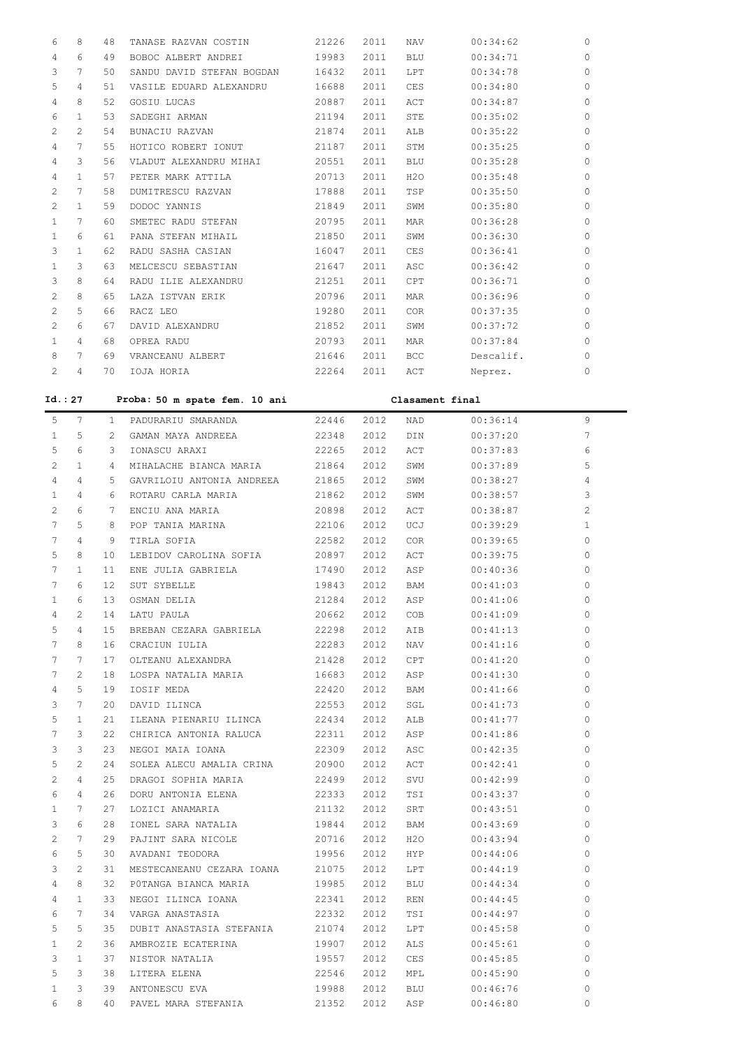| 6                     | 8              | 48             | TANASE RAZVAN COSTIN            | 21226 | 2011 | NAV             | 00:34:62  | 0            |
|-----------------------|----------------|----------------|---------------------------------|-------|------|-----------------|-----------|--------------|
| 4                     | 6              | 49             | BOBOC ALBERT ANDREI             | 19983 | 2011 | BLU             | 00:34:71  | 0            |
| 3                     | 7              | 50             | SANDU DAVID STEFAN BOGDAN       | 16432 | 2011 | LPT             | 00:34:78  | $\circ$      |
| 5                     | 4              | 51             | VASILE EDUARD ALEXANDRU         | 16688 | 2011 | CES             | 00:34:80  | $\circ$      |
| 4                     | 8              | 52             | GOSIU LUCAS                     | 20887 | 2011 | ACT             | 00:34:87  | $\circ$      |
| 6                     | $\mathbf{1}$   | 53             | SADEGHI ARMAN                   | 21194 | 2011 | STE             | 00:35:02  | $\circ$      |
|                       |                |                |                                 |       |      |                 |           |              |
| $\mathbf{2}^{\prime}$ | 2              | 54             | BUNACIU RAZVAN                  | 21874 | 2011 | ALB             | 00:35:22  | $\circ$      |
| 4                     | 7              | 55             | HOTICO ROBERT IONUT             | 21187 | 2011 | STM             | 00:35:25  | $\circ$      |
| 4                     | 3              | 56             | VLADUT ALEXANDRU MIHAI          | 20551 | 2011 | BLU             | 00:35:28  | $\circ$      |
| 4                     | $\mathbf{1}$   | 57             | PETER MARK ATTILA               | 20713 | 2011 | H2O             | 00:35:48  | $\circ$      |
| 2                     | 7              | 58             | DUMITRESCU RAZVAN               | 17888 | 2011 | TSP             | 00:35:50  | $\circ$      |
| 2                     | $\mathbf{1}$   | 59             | DODOC YANNIS                    | 21849 | 2011 | SWM             | 00:35:80  | $\circ$      |
| $\mathbf{1}$          | 7              | 60             | SMETEC RADU STEFAN              | 20795 | 2011 | MAR             | 00:36:28  | $\circ$      |
| $\mathbf{1}$          | 6              | 61             | PANA STEFAN MIHAIL              | 21850 | 2011 | SWM             | 00:36:30  | $\circ$      |
| 3                     | $\mathbf{1}$   | 62             | RADU SASHA CASIAN               | 16047 | 2011 | CES             | 00:36:41  | $\circ$      |
| $\mathbf{1}$          | 3              | 63             | MELCESCU SEBASTIAN              | 21647 | 2011 | ASC             | 00:36:42  | $\circ$      |
| 3                     | 8              | 64             | RADU ILIE ALEXANDRU             | 21251 | 2011 | CPT             | 00:36:71  | $\circ$      |
| $\mathbf{2}^{\prime}$ | 8              | 65             | LAZA ISTVAN ERIK                | 20796 | 2011 | MAR             | 00:36:96  | $\circ$      |
| $\mathbf{2}^{\prime}$ | 5              | 66             | RACZ LEO                        | 19280 | 2011 | COR             | 00:37:35  | $\circ$      |
| $\mathbf{2}^{\prime}$ | 6              | 67             | DAVID ALEXANDRU                 | 21852 | 2011 | SWM             | 00:37:72  | $\circ$      |
| $\mathbf{1}$          | 4              | 68             | OPREA RADU                      | 20793 | 2011 | MAR             | 00:37:84  | $\circ$      |
| 8                     | 7              | 69             | VRANCEANU ALBERT                | 21646 | 2011 | <b>BCC</b>      | Descalif. | $\circ$      |
| 2                     | 4              | 70             | IOJA HORIA                      | 22264 | 2011 | ACT             | Neprez.   | 0            |
|                       |                |                |                                 |       |      |                 |           |              |
| Id. : 27              |                |                | Proba: 50 m spate fem. 10 ani   |       |      | Clasament final |           |              |
| 5                     | 7              | 1              | PADURARIU SMARANDA              | 22446 | 2012 | NAD             | 00:36:14  | 9            |
| $\mathbf{1}$          | 5              | $\mathbf{2}^-$ | GAMAN MAYA ANDREEA              | 22348 | 2012 | DIN             | 00:37:20  | 7            |
| 5                     | 6              | 3              | IONASCU ARAXI                   | 22265 | 2012 | ACT             | 00:37:83  | 6            |
| $\mathbf{2}^{\prime}$ | $\mathbf{1}$   | 4              | MIHALACHE BIANCA MARIA          | 21864 | 2012 | SWM             | 00:37:89  | 5            |
| 4                     | 4              | 5              | GAVRILOIU ANTONIA ANDREEA       | 21865 | 2012 | SWM             | 00:38:27  | 4            |
| $\mathbf{1}$          | 4              | 6              | ROTARU CARLA MARIA              | 21862 | 2012 | SWM             | 00:38:57  | 3            |
| $\mathbf{2}^{\prime}$ | 6              | 7              | ENCIU ANA MARIA                 | 20898 | 2012 | ACT             | 00:38:87  | 2            |
| 7                     | 5              | 8              | POP TANIA MARINA                | 22106 | 2012 | UCJ             | 00:39:29  | $\mathbf{1}$ |
| 7                     | 4              | 9              | TIRLA SOFIA                     | 22582 | 2012 | COR             | 00:39:65  | $\circ$      |
| 5                     | 8              | 10             | LEBIDOV CAROLINA SOFIA          | 20897 | 2012 | ACT             | 00:39:75  | $\circ$      |
| 7                     | $\mathbf{1}$   | 11             | ENE JULIA GABRIELA              | 17490 | 2012 | ASP             | 00:40:36  | $\circ$      |
| 7                     | 6              | 12             | SUT SYBELLE                     | 19843 | 2012 | BAM             | 00:41:03  | $\circ$      |
| $\mathbf{1}$          | 6              | 13             | OSMAN DELIA                     | 21284 | 2012 | ASP             | 00:41:06  | $\mathbb O$  |
| 4                     | 2              | 14             | LATU PAULA                      | 20662 | 2012 | COB             | 00:41:09  | $\circ$      |
| 5                     | 4              | 15             | BREBAN CEZARA GABRIELA          | 22298 | 2012 | AIB             | 00:41:13  | $\circ$      |
| $7\phantom{.0}$       | 8              | 16             | CRACIUN IULIA                   | 22283 | 2012 | NAV             | 00:41:16  | $\Omega$     |
| 7                     | 7              | 17             | OLTEANU ALEXANDRA 21428         |       | 2012 | CPT             | 00:41:20  | $\Omega$     |
| 7                     | $\overline{2}$ | 18             | LOSPA NATALIA MARIA 16683       |       | 2012 | ASP             | 00:41:30  | $\Omega$     |
| 4                     | 5              | 19             |                                 |       |      |                 |           | $\Omega$     |
|                       |                |                | IOSIF MEDA                      | 22420 | 2012 | BAM             | 00:41:66  | $\Omega$     |
| 3                     | 7              | 20             | DAVID ILINCA                    | 22553 | 2012 | SGL             | 00:41:73  | $\Omega$     |
| 5                     | 1              | 21             | ILEANA PIENARIU ILINCA 22434    |       | 2012 | ALB             | 00:41:77  |              |
| 7                     | 3              | 22             | CHIRICA ANTONIA RALUCA 22311    |       | 2012 | ASP             | 00:41:86  | $\Omega$     |
| 3                     | 3              | 23             | NEGOI MAIA IOANA                | 22309 | 2012 | ASC             | 00:42:35  | $\Omega$     |
| 5                     | 2              | 24             | SOLEA ALECU AMALIA CRINA        | 20900 | 2012 | ACT             | 00:42:41  | $\circ$      |
| $\overline{c}$        | 4              | 25             | DRAGOI SOPHIA MARIA 22499       |       | 2012 | SVU             | 00:42:99  | $\Omega$     |
| 6                     | 4              | 26             | DORU ANTONIA ELENA 22333        |       | 2012 | TSI             | 00:43:37  | $\Omega$     |
| $\mathbf{1}$          | 7              | 27             | LOZICI ANAMARIA                 | 21132 | 2012 | SRT             | 00:43:51  | $\Omega$     |
| 3                     | 6              | 28             | IONEL SARA NATALIA              | 19844 | 2012 | BAM             | 00:43:69  | $\Omega$     |
| $\mathbf{2}^{\prime}$ | 7              | 29             | PAJINT SARA NICOLE 20716        |       | 2012 | H2O             | 00:43:94  | $\Omega$     |
| 6                     | 5              | 30             | AVADANI TEODORA 19956           |       | 2012 | HYP             | 00:44:06  | $\Omega$     |
| 3                     | 2              | 31             | MESTECANEANU CEZARA IOANA 21075 |       | 2012 | LPT             | 00:44:19  | $\Omega$     |
| 4                     | 8              | 32             | POTANGA BIANCA MARIA 19985      |       | 2012 | BLU             | 00:44:34  | $\Omega$     |
| 4                     | $\mathbf{1}$   | 33             | NEGOI ILINCA IOANA              | 22341 | 2012 | REN             | 00:44:45  | $\Omega$     |
| 6                     | 7              | 34             | VARGA ANASTASIA                 | 22332 | 2012 | TSI             | 00:44:97  | $\circ$      |
| 5                     | 5              | 35             | DUBIT ANASTASIA STEFANIA 21074  |       | 2012 | LPT             | 00:45:58  | $\circ$      |
| $\mathbf{1}$          | 2              | 36             | AMBROZIE ECATERINA 19907        |       | 2012 | ALS             | 00:45:61  | $\circ$      |
| 3                     | $\mathbf{1}$   | 37             | NISTOR NATALIA                  | 19557 | 2012 | CES             | 00:45:85  | $\Omega$     |
| 5                     | 3              | 38             | LITERA ELENA                    | 22546 | 2012 | MPL             | 00:45:90  | $\Omega$     |
| $\mathbf{1}$          | 3              | 39             | ANTONESCU EVA                   | 19988 | 2012 | BLU             | 00:46:76  | $\Omega$     |
| 6                     | 8              | 40             | PAVEL MARA STEFANIA 21352       |       | 2012 | ASP             | 00:46:80  | $\Omega$     |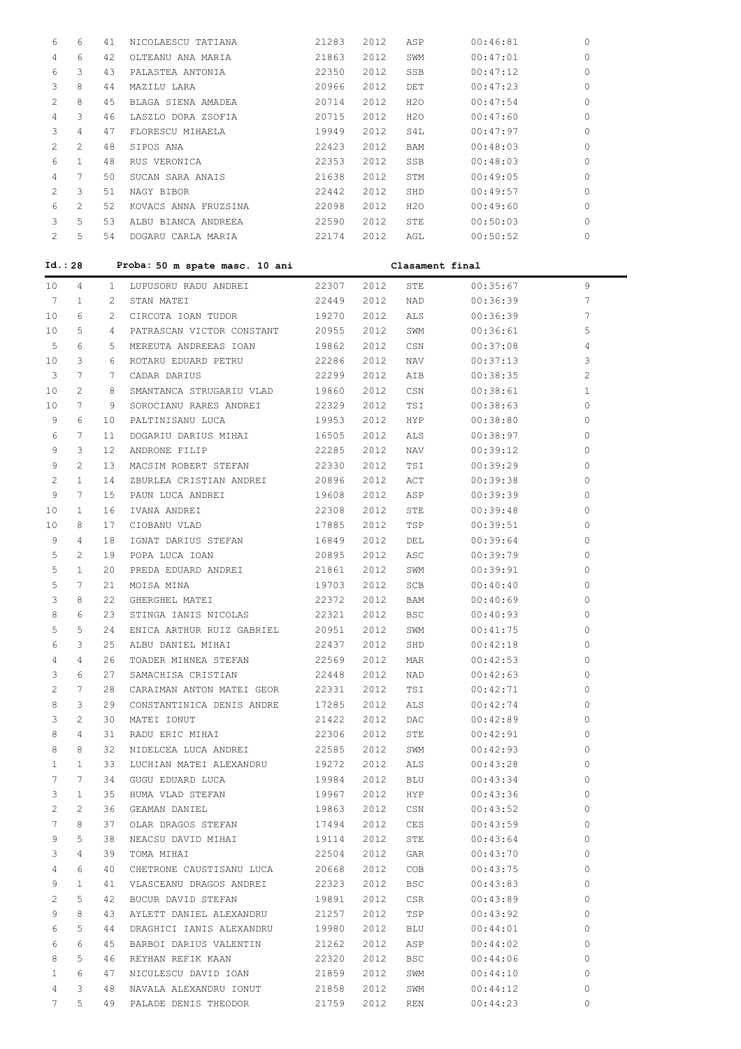| 6                     | 6              | 41              | NICOLAESCU TATIANA             | 21283          | 2012 | ASP             | 00:46:81 | 0            |
|-----------------------|----------------|-----------------|--------------------------------|----------------|------|-----------------|----------|--------------|
| 4                     | 6              | 42              | OLTEANU ANA MARIA              | 21863          | 2012 | SWM             | 00:47:01 | 0            |
| 6                     | 3              | 43              | PALASTEA ANTONIA               | 22350          | 2012 | SSB             | 00:47:12 | 0            |
| 3                     | 8              | 44              | MAZILU LARA                    | 20966          | 2012 | DET             | 00:47:23 | 0            |
| $\mathbf{2}^{\prime}$ | 8              | 45              | BLAGA SIENA AMADEA             |                |      | H2O             |          | 0            |
|                       |                |                 |                                | 20714          | 2012 |                 | 00:47:54 |              |
| $\overline{4}$        | 3              | 46              | LASZLO DORA ZSOFIA             | 20715          | 2012 | H2O             | 00:47:60 | 0            |
| 3                     | 4              | 47              | FLORESCU MIHAELA               | 19949          | 2012 | S4L             | 00:47:97 | 0            |
| $\mathbf{2}^{\prime}$ | 2              | 48              | SIPOS ANA                      | 22423          | 2012 | BAM             | 00:48:03 | 0            |
| 6                     | $\mathbf{1}$   | 48              | RUS VERONICA                   | 22353          | 2012 | SSB             | 00:48:03 | 0            |
| 4                     | 7              | 50              | SUCAN SARA ANAIS               | 21638          | 2012 | STM             | 00:49:05 | 0            |
| $\mathbf{2}^{\prime}$ | 3              | 51              | NAGY BIBOR                     | 22442          | 2012 | SHD             | 00:49:57 | 0            |
| 6                     | 2              | 52              | KOVACS ANNA FRUZSINA           | 22098          | 2012 | H2O             | 00:49:60 | 0            |
| 3                     | 5              |                 | 53 ALBU BIANCA ANDREEA         | 22590          | 2012 | STE             | 00:50:03 | 0            |
| $\mathbf{2}^{\prime}$ | 5              |                 | 54 DOGARU CARLA MARIA          | 22174 2012 AGL |      |                 | 00:50:52 | 0            |
|                       |                |                 |                                |                |      |                 |          |              |
|                       | Id. : 28       |                 | Proba: 50 m spate masc. 10 ani |                |      | Clasament final |          |              |
|                       |                |                 |                                |                |      |                 |          |              |
| 10 <sub>1</sub>       | 4              |                 | 1 LUPUSORU RADU ANDREI         | 22307          | 2012 | STE             | 00:35:67 | 9            |
| 7                     | $\mathbf{1}$   | $\mathbf{2}$    | STAN MATEI                     | 22449          | 2012 | NAD             | 00:36:39 | 7            |
| 10 <sub>o</sub>       | 6              | $2^{\circ}$     | CIRCOTA IOAN TUDOR             | 19270          | 2012 | ALS             | 00:36:39 | 7            |
| 10 <sub>o</sub>       | 5              | 4               | PATRASCAN VICTOR CONSTANT      | 20955          | 2012 | SWM             | 00:36:61 | 5            |
| 5                     | 6              | 5               | MEREUTA ANDREEAS IOAN          | 19862          | 2012 | CSN             | 00:37:08 | 4            |
| 10 <sub>o</sub>       | 3              | 6               | ROTARU EDUARD PETRU            | 22286          | 2012 | NAV             | 00:37:13 | 3            |
| 3                     | 7              | 7               | CADAR DARIUS                   | 22299          | 2012 | AIB             | 00:38:35 | 2            |
| 10                    | $\overline{2}$ | 8               | SMANTANCA STRUGARIU VLAD       | 19860          | 2012 | CSN             | 00:38:61 | $\mathbf{1}$ |
| 10 <sub>o</sub>       | 7              | 9               | SOROCIANU RARES ANDREI         | 22329          | 2012 | TSI             | 00:38:63 | 0            |
| 9                     | 6              | 10              | PALTINISANU LUCA               | 19953          | 2012 | HYP             | 00:38:80 | 0            |
| 6                     | 7              | 11              | DOGARIU DARIUS MIHAI           | 16505          | 2012 | ALS             | 00:38:97 | 0            |
| 9                     | 3              | 12 <sup>°</sup> | ANDRONE FILIP                  | 22285          | 2012 | NAV             | 00:39:12 | 0            |
|                       | 2              |                 |                                |                |      |                 |          | 0            |
| 9                     |                | 13              | MACSIM ROBERT STEFAN           | 22330          | 2012 | TSI             | 00:39:29 |              |
| 2                     | 1              | 14              | ZBURLEA CRISTIAN ANDREI        | 20896          | 2012 | ACT             | 00:39:38 | 0            |
| 9                     | 7              | 15              | PAUN LUCA ANDREI               | 19608          | 2012 | ASP             | 00:39:39 | 0            |
| 10                    | 1              | 16              | IVANA ANDREI                   | 22308          | 2012 | STE             | 00:39:48 | 0            |
| 10                    | 8              | 17              | CIOBANU VLAD                   | 17885          | 2012 | TSP             | 00:39:51 | 0            |
| 9                     | 4              | 18              | IGNAT DARIUS STEFAN            | 16849          | 2012 | DEL             | 00:39:64 | 0            |
| 5                     | 2              | 19              | POPA LUCA IOAN                 | 20895          | 2012 | ASC             | 00:39:79 | 0            |
| 5                     | $\mathbf{1}$   | 20              | PREDA EDUARD ANDREI            | 21861          | 2012 | SWM             | 00:39:91 | 0            |
| 5                     | $\tau$         | 21              | MOISA MINA                     | 19703          | 2012 | SCB             | 00:40:40 | 0            |
| 3                     | 8              | 22              | GHERGHEL MATEI                 | 22372          | 2012 | BAM             | 00:40:69 | 0            |
| 8                     | 6              | 23              | STINGA IANIS NICOLAS           | 22321          | 2012 | <b>BSC</b>      | 00:40:93 | 0            |
| 5                     | 5              | 24              | ENICA ARTHUR RUIZ GABRIEL      | 20951          | 2012 | SWM             | 00:41:75 | 0            |
| 6                     | 3              | 25              | ALBU DANIEL MIHAI              | 22437          | 2012 | SHD             | 00:42:18 | 0            |
|                       |                |                 |                                |                |      |                 |          |              |
| 4                     | 4              | 26              | TOADER MIHNEA STEFAN           | 22569          | 2012 | MAR             | 00:42:53 | 0            |
| 3                     | 6              | 27              | SAMACHISA CRISTIAN             | 22448          | 2012 | NAD             | 00:42:63 | 0            |
| $\mathbf{2}$          | 7              | 28              | CARAIMAN ANTON MATEI GEOR      | 22331          | 2012 | TSI             | 00:42:71 | 0            |
| 8                     | 3              | 29              | CONSTANTINICA DENIS ANDRE      | 17285          | 2012 | ALS             | 00:42:74 | 0            |
| 3                     | 2              | 30              | MATEI IONUT                    | 21422          | 2012 | DAC             | 00:42:89 | 0            |
| 8                     | 4              | 31              | RADU ERIC MIHAI                | 22306          | 2012 | STE             | 00:42:91 | 0            |
| 8                     | 8              | 32              | NIDELCEA LUCA ANDREI           | 22585          | 2012 | SWM             | 00:42:93 | 0            |
| $\mathbf{1}$          | $\mathbf{1}$   | 33              | LUCHIAN MATEI ALEXANDRU        | 19272          | 2012 | ALS             | 00:43:28 | 0            |
| 7                     | 7              | 34              | GUGU EDUARD LUCA               | 19984          | 2012 | BLU             | 00:43:34 | 0            |
| 3                     | $\mathbf{1}$   | 35              | HUMA VLAD STEFAN               | 19967          | 2012 | HYP             | 00:43:36 | 0            |
| $\overline{c}$        | 2              | 36              | GEAMAN DANIEL                  | 19863          | 2012 | CSN             | 00:43:52 | 0            |
| 7                     | 8              | 37              | OLAR DRAGOS STEFAN             | 17494          | 2012 | CES             | 00:43:59 | 0            |
| 9                     | 5              | 38              | NEACSU DAVID MIHAI             | 19114          | 2012 | STE             | 00:43:64 | 0            |
| 3                     | 4              | 39              | TOMA MIHAI                     | 22504          | 2012 | GAR             | 00:43:70 | 0            |
|                       |                |                 |                                |                |      |                 |          |              |
| 4                     | 6              | 40              | CHETRONE CAUSTISANU LUCA       | 20668          | 2012 | COB             | 00:43:75 | 0            |
| 9                     | $\mathbf{1}$   | 41              | VLASCEANU DRAGOS ANDREI        | 22323          | 2012 | <b>BSC</b>      | 00:43:83 | 0            |
| 2                     | 5              | 42              | BUCUR DAVID STEFAN             | 19891          | 2012 | CSR             | 00:43:89 | 0            |
| 9                     | 8              | 43              | AYLETT DANIEL ALEXANDRU        | 21257          | 2012 | TSP             | 00:43:92 | 0            |
| 6                     | 5              | 44              | DRAGHICI IANIS ALEXANDRU       | 19980          | 2012 | BLU             | 00:44:01 | 0            |
| 6                     | 6              | 45              | BARBOI DARIUS VALENTIN         | 21262          | 2012 | ASP             | 00:44:02 | 0            |
| 8                     | 5              | 46              | REYHAN REFIK KAAN              | 22320          | 2012 | BSC             | 00:44:06 | 0            |
| $\mathbf{1}$          | 6              | 47              | NICULESCU DAVID IOAN           | 21859          | 2012 | SWM             | 00:44:10 | 0            |
| 4                     | 3              | 48              | NAVALA ALEXANDRU IONUT         | 21858          | 2012 | SWM             | 00:44:12 | 0            |
| $7^{\circ}$           | 5              | 49              | PALADE DENIS THEODOR           | 21759          | 2012 | REN             | 00:44:23 | 0            |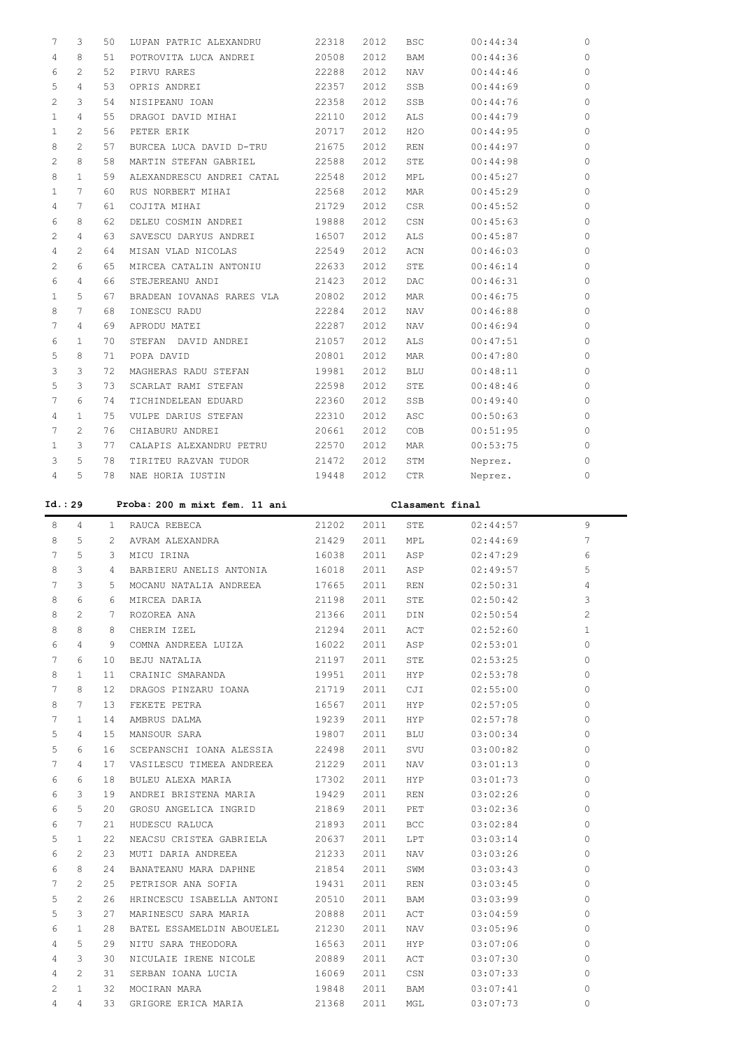| 7                     | 3              | 50 | LUPAN PATRIC ALEXANDRU    | 22318 | 2012 | <b>BSC</b> | 00:44:34 | $\circ$      |
|-----------------------|----------------|----|---------------------------|-------|------|------------|----------|--------------|
| 4                     | 8              | 51 | POTROVITA LUCA ANDREI     | 20508 | 2012 | BAM        | 00:44:36 | $\circ$      |
| 6                     | 2              | 52 | PIRVU RARES               | 22288 | 2012 | <b>NAV</b> | 00:44:46 | $\circ$      |
| 5                     | 4              | 53 | OPRIS ANDREI              | 22357 | 2012 | SSB        | 00:44:69 | $\Omega$     |
| 2                     | 3              | 54 | NISIPEANU IOAN            | 22358 | 2012 | SSB        | 00:44:76 | $\Omega$     |
| $\mathbf{1}$          | 4              | 55 | DRAGOI DAVID MIHAI        | 22110 | 2012 | ALS        | 00:44:79 | $\circ$      |
| $\mathbf{1}$          | $\overline{2}$ | 56 | PETER ERIK                | 20717 | 2012 | H2O        | 00:44:95 | $\mathbf{0}$ |
| 8                     | $2^{1}$        | 57 | BURCEA LUCA DAVID D-TRU   | 21675 | 2012 | REN        | 00:44:97 | $\circ$      |
| 2                     | 8              | 58 | MARTIN STEFAN GABRIEL     | 22588 | 2012 | STE        | 00:44:98 | $\circ$      |
| 8                     | $\mathbf{1}$   | 59 | ALEXANDRESCU ANDREI CATAL | 22548 | 2012 | MPL        | 00:45:27 | $\circ$      |
| $\mathbf{1}$          | 7              | 60 | RUS NORBERT MIHAI         | 22568 | 2012 | <b>MAR</b> | 00:45:29 | $\circ$      |
| 4                     | 7              | 61 | COJITA MIHAI              | 21729 | 2012 | CSR        | 00:45:52 | $\circ$      |
| 6                     | 8              | 62 | DELEU COSMIN ANDREI       | 19888 | 2012 | CSN        | 00:45:63 | $\Omega$     |
| $\mathbf{2}^{\prime}$ | 4              | 63 | SAVESCU DARYUS ANDREI     | 16507 | 2012 | <b>ALS</b> | 00:45:87 | $\Omega$     |
| 4                     | $\overline{2}$ | 64 | MISAN VLAD NICOLAS        | 22549 | 2012 | ACN        | 00:46:03 | $\mathbf{0}$ |
| 2                     | 6              | 65 | MIRCEA CATALIN ANTONIU    | 22633 | 2012 | STE        | 00:46:14 | $\mathbf{0}$ |
| 6                     | 4              | 66 | STEJEREANU ANDI           | 21423 | 2012 | DAC        | 00:46:31 | $\mathbf{0}$ |
| 1                     | 5              | 67 | BRADEAN IOVANAS RARES VLA | 20802 | 2012 | <b>MAR</b> | 00:46:75 | $\circ$      |
| 8                     | 7              | 68 | IONESCU RADU              | 22284 | 2012 | NAV        | 00:46:88 | $\circ$      |
| 7                     | 4              | 69 | APRODU MATEI              | 22287 | 2012 | NAV        | 00:46:94 | $\circ$      |
| 6                     | 1              | 70 | STEFAN DAVID ANDREI       | 21057 | 2012 | <b>ALS</b> | 00:47:51 | $\circ$      |
| 5                     | 8              | 71 | POPA DAVID                | 20801 | 2012 | MAR        | 00:47:80 | $\circ$      |
| 3                     | 3              | 72 | MAGHERAS RADU STEFAN      | 19981 | 2012 | <b>BLU</b> | 00:48:11 | $\Omega$     |
| 5                     | 3              | 73 | SCARLAT RAMI STEFAN       | 22598 | 2012 | STE        | 00:48:46 | $\mathbf{0}$ |
| 7                     | 6              | 74 | TICHINDELEAN EDUARD       | 22360 | 2012 | SSB        | 00:49:40 | $\mathbf{0}$ |
| 4                     | $\mathbf{1}$   | 75 | VULPE DARIUS STEFAN       | 22310 | 2012 | ASC        | 00:50:63 | $\Omega$     |
| 7                     | $\overline{2}$ | 76 | CHIABURU ANDREI           | 20661 | 2012 | COB        | 00:51:95 | $\circ$      |
| $\mathbf{1}$          | 3              | 77 | CALAPIS ALEXANDRU PETRU   | 22570 | 2012 | <b>MAR</b> | 00:53:75 | $\circ$      |
| 3                     | 5              | 78 | TIRITEU RAZVAN TUDOR      | 21472 | 2012 | STM        | Neprez.  | $\circ$      |
| 4                     | 5.             | 78 | NAE HORIA IUSTIN          | 19448 | 2012 | CTR        | Neprez.  | $\circ$      |
|                       |                |    |                           |       |      |            |          |              |

**Id.: 29 Proba: 200 m mixt fem. 11 ani Clasament final** 8 4 1 RAUCA REBECA 21202 2011 STE 02:44:57 9 8 5 2 AVRAM ALEXANDRA 21429 2011 MPL 02:44:69 7 7 5 3 MICU IRINA 16038 2011 ASP 02:47:29 6 8 3 4 BARBIERU ANELIS ANTONIA 16018 2011 ASP 02:49:57 5 7 3 5 MOCANU NATALIA ANDREEA 17665 2011 REN 02:50:31 4 8 6 6 MIRCEA DARIA 21198 2011 STE 02:50:42 3 8 2 7 ROZOREA ANA 21366 2011 DIN 02:50:54 2 8 8 8 CHERIM IZEL 21294 2011 ACT 02:52:60 1 6 4 9 COMNA ANDREEA LUIZA 16022 2011 ASP 02:53:01 0 7 6 10 BEJU NATALIA 21197 2011 STE 02:53:25 0 8 1 11 CRAINIC SMARANDA 19951 2011 HYP 02:53:78 0 7 8 12 DRAGOS PINZARU IOANA 21719 2011 CJI 02:55:00 0 8 7 13 FEKETE PETRA 16567 2011 HYP 02:57:05 0 7 1 14 AMBRUS DALMA 19239 2011 HYP 02:57:78 0 5 4 15 MANSOUR SARA 19807 2011 BLU 03:00:34 0 5 6 16 SCEPANSCHI IOANA ALESSIA 22498 2011 SVU 03:00:82 0 7 4 17 VASILESCU TIMEEA ANDREEA 21229 2011 NAV 03:01:13 0 6 6 18 BULEU ALEXA MARIA 17302 2011 HYP 03:01:73 0 6 3 19 ANDREI BRISTENA MARIA 19429 2011 REN 03:02:26 0 6 5 20 GROSU ANGELICA INGRID 21869 2011 PET 03:02:36 0 6 7 21 HUDESCU RALUCA 21893 2011 BCC 03:02:84 0 5 1 22 NEACSU CRISTEA GABRIELA 20637 2011 LPT 03:03:14 0 6 2 23 MUTI DARIA ANDREEA 21233 2011 NAV 03:03:26 0 6 8 24 BANATEANU MARA DAPHNE 21854 2011 SWM 03:03:43 0 7 2 25 PETRISOR ANA SOFIA 19431 2011 REN 03:03:45 0 5 2 26 HRINCESCU ISABELLA ANTONI 20510 2011 BAM 03:03:99 0 5 3 27 MARINESCU SARA MARIA 20888 2011 ACT 03:04:59 0 6 1 28 BATEL ESSAMELDIN ABOUELEL 21230 2011 NAV 03:05:96 0 4 5 29 NITU SARA THEODORA 16563 2011 HYP 03:07:06 0 4 3 30 NICULAIE IRENE NICOLE 20889 2011 ACT 03:07:30 0 4 2 31 SERBAN IOANA LUCIA 16069 2011 CSN 03:07:33 0 2 1 32 MOCIRAN MARA 19848 2011 BAM 03:07:41 0 4 4 33 GRIGORE ERICA MARIA 21368 2011 MGL 03:07:73 0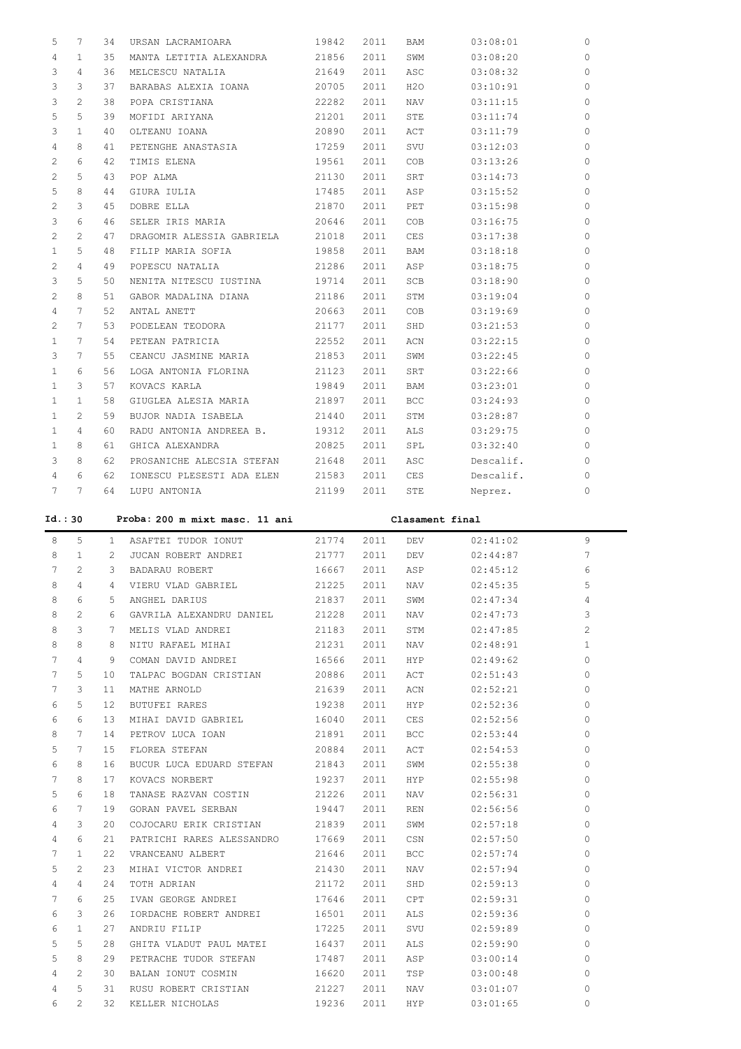| 5                     | 7            | 34 | URSAN LACRAMIOARA         | 19842 | 2011 | BAM        | 03:08:01  | $\circ$      |
|-----------------------|--------------|----|---------------------------|-------|------|------------|-----------|--------------|
| 4                     | 1            | 35 | MANTA LETITIA ALEXANDRA   | 21856 | 2011 | SWM        | 03:08:20  | $\circ$      |
| 3                     | 4            | 36 | MELCESCU NATALIA          | 21649 | 2011 | ASC        | 03:08:32  | $\mathbf{0}$ |
| 3                     | 3            | 37 | BARABAS ALEXIA IOANA      | 20705 | 2011 | H2O        | 03:10:91  | $\circ$      |
| 3                     | 2            | 38 | POPA CRISTIANA            | 22282 | 2011 | NAV        | 03:11:15  | $\Omega$     |
| 5                     | 5            | 39 | MOFIDI ARIYANA            | 21201 | 2011 | STE        | 03:11:74  | $\circ$      |
| 3                     | 1            | 40 | OLTEANU IOANA             | 20890 | 2011 | ACT        | 03:11:79  | $\circ$      |
| 4                     | 8            | 41 | PETENGHE ANASTASIA        | 17259 | 2011 | SVU        | 03:12:03  | $\circ$      |
| 2                     | 6            | 42 | TIMIS ELENA               | 19561 | 2011 | COB        | 03:13:26  | $\circ$      |
| 2                     | 5            | 43 | POP ALMA                  | 21130 | 2011 | SRT        | 03:14:73  | $\circ$      |
| 5                     | 8            | 44 | GIURA IULIA               | 17485 | 2011 | ASP        | 03:15:52  | $\circ$      |
| $\mathbf{2}^{\prime}$ | 3            | 45 | DOBRE ELLA                | 21870 | 2011 | PET        | 03:15:98  | $\circ$      |
| 3                     | 6            | 46 | SELER IRIS MARIA          | 20646 | 2011 | COB        | 03:16:75  | $\circ$      |
| 2                     | 2            | 47 | DRAGOMIR ALESSIA GABRIELA | 21018 | 2011 | CES        | 03:17:38  | $\circ$      |
| $\mathbf{1}$          | 5            | 48 | FILIP MARIA SOFIA         | 19858 | 2011 | <b>BAM</b> | 03:18:18  | $\circ$      |
| 2                     | 4            | 49 | POPESCU NATALIA           | 21286 | 2011 | ASP        | 03:18:75  | $\circ$      |
| 3                     | 5            | 50 | NENITA NITESCU IUSTINA    | 19714 | 2011 | SCB        | 03:18:90  | $\Omega$     |
| 2                     | 8            | 51 | GABOR MADALINA DIANA      | 21186 | 2011 | STM        | 03:19:04  | $\circ$      |
| 4                     | 7            | 52 | ANTAL ANETT               | 20663 | 2011 | COB        | 03:19:69  | $\circ$      |
| 2                     | 7            | 53 | PODELEAN TEODORA          | 21177 | 2011 | SHD        | 03:21:53  | $\circ$      |
| $\mathbf{1}$          | 7            | 54 | PETEAN PATRICIA           | 22552 | 2011 | ACN        | 03:22:15  | $\circ$      |
| 3                     | 7            | 55 | CEANCU JASMINE MARIA      | 21853 | 2011 | SWM        | 03:22:45  | $\circ$      |
| 1                     | 6            | 56 | LOGA ANTONIA FLORINA      | 21123 | 2011 | SRT        | 03:22:66  | $\circ$      |
| $\mathbf{1}$          | 3            | 57 | KOVACS KARLA              | 19849 | 2011 | BAM        | 03:23:01  | $\Omega$     |
| 1                     | $\mathbf{1}$ | 58 | GIUGLEA ALESIA MARIA      | 21897 | 2011 | <b>BCC</b> | 03:24:93  | 0            |
| 1                     | 2            | 59 | BUJOR NADIA ISABELA       | 21440 | 2011 | STM        | 03:28:87  | $\circ$      |
| $\mathbf{1}$          | 4            | 60 | RADU ANTONIA ANDREEA B.   | 19312 | 2011 | ALS        | 03:29:75  | $\Omega$     |
| 1                     | 8            | 61 | GHICA ALEXANDRA           | 20825 | 2011 | SPL        | 03:32:40  | 0            |
| 3                     | 8            | 62 | PROSANICHE ALECSIA STEFAN | 21648 | 2011 | ASC        | Descalif. | $\circ$      |
| 4                     | 6            | 62 | IONESCU PLESESTI ADA ELEN | 21583 | 2011 | CES        | Descalif. | $\Omega$     |
| 7                     | 7            | 64 | LUPU ANTONIA              | 21199 | 2011 | STE        | Neprez.   | $\circ$      |

| Id.: 30 |                 |                 | Proba: 200 m mixt masc. 11 ani  |            |      |                                                                                                                |          |                       |
|---------|-----------------|-----------------|---------------------------------|------------|------|----------------------------------------------------------------------------------------------------------------|----------|-----------------------|
| 8       | 5               |                 | 1 ASAFTEI TUDOR IONUT           | 21774 2011 |      | DEV                                                                                                            | 02:41:02 | 9                     |
| 8       | 1               | 2               | JUCAN ROBERT ANDREI 21777       |            | 2011 | DEV                                                                                                            | 02:44:87 | 7                     |
| 7       | $\mathbf{2}$    | 3               | BADARAU ROBERT 16667            |            | 2011 | ASP                                                                                                            | 02:45:12 | 6                     |
| 8       | 4               | 4               | VIERU VLAD GABRIEL 21225        |            | 2011 | NAV                                                                                                            | 02:45:35 | 5                     |
| 8       | 6               | 5.              | ANGHEL DARIUS                   | 21837      | 2011 | SWM                                                                                                            | 02:47:34 | $\overline{4}$        |
| 8       | $\overline{2}$  | 6               | GAVRILA ALEXANDRU DANIEL 21228  |            | 2011 | NAV 1999.                                                                                                      | 02:47:73 | 3                     |
| 8       | 3               | $7^{\circ}$     | MELIS VLAD ANDREI 21183         |            | 2011 | STM                                                                                                            | 02:47:85 | $\mathbf{2}^{\prime}$ |
| 8       | 8               | 8               | NITU RAFAEL MIHAI               | 21231      | 2011 | NAV                                                                                                            | 02:48:91 | $\mathbf{1}$          |
| 7       | 4               | 9               | COMAN DAVID ANDREI              | 16566      | 2011 | HYP                                                                                                            | 02:49:62 | $\circ$               |
| 7       | 5               | 10 <sup>°</sup> | TALPAC BOGDAN CRISTIAN 20886    |            | 2011 | ACT                                                                                                            | 02:51:43 | $\Omega$              |
| 7       | 3               | 11              | MATHE ARNOLD 21639              |            | 2011 | ACN                                                                                                            | 02:52:21 | $\Omega$              |
| 6       | 5               | 12              | BUTUFEI RARES                   | 19238      | 2011 | HYP                                                                                                            | 02:52:36 | $\Omega$              |
| 6       | 6               | 13              | MIHAI DAVID GABRIEL 16040       |            | 2011 | CES                                                                                                            | 02:52:56 | $\circ$               |
| 8       | $7\phantom{.0}$ | 14              | PETROV LUCA IOAN 21891          |            | 2011 | BCC                                                                                                            | 02:53:44 | $\bigcap$             |
| 5       | 7               | 15              | 20884<br>FLOREA STEFAN          |            | 2011 | ACT                                                                                                            | 02:54:53 | $\Omega$              |
| 6       | 8               | 16              | BUCUR LUCA EDUARD STEFAN 21843  |            | 2011 | SWM                                                                                                            | 02:55:38 | $\circ$               |
| 7       | 8               | 17              | KOVACS NORBERT 19237            |            | 2011 | HYP                                                                                                            | 02:55:98 | $\Omega$              |
| 5       | 6               | 18              | TANASE RAZVAN COSTIN 21226      |            | 2011 | NAV 1999. NAV                                                                                                  | 02:56:31 | $\Omega$              |
| 6       | 7               | 19              | GORAN PAVEL SERBAN              | 19447      | 2011 | REN                                                                                                            | 02:56:56 | $\Omega$              |
| 4       | 3               | 20              | COJOCARU ERIK CRISTIAN 21839    |            | 2011 | SWM                                                                                                            | 02:57:18 | $\circ$               |
| 4       | 6               | 21              | PATRICHI RARES ALESSANDRO 17669 |            | 2011 | CSN                                                                                                            | 02:57:50 | $\Omega$              |
| 7       | 1               | 22              | VRANCEANU ALBERT 21646          |            | 2011 | BCC FOR THE STATE OF THE STATE OF THE STATE OF THE STATE OF THE STATE OF THE STATE OF THE STATE OF THE STATE O | 02:57:74 | $\Omega$              |
| 5       | 2               | 23              | MIHAI VICTOR ANDREI 21430       |            | 2011 | NAV                                                                                                            | 02:57:94 | $\Omega$              |
| 4       | 4               | 24              | TOTH ADRIAN                     | 21172      | 2011 | SHD                                                                                                            | 02:59:13 | $\Omega$              |
| 7       | 6               | 25              | IVAN GEORGE ANDREI 17646        |            | 2011 | CPT                                                                                                            | 02:59:31 | $\Omega$              |
| 6       | 3               | 26              | IORDACHE ROBERT ANDREI 16501    |            | 2011 | ALS                                                                                                            | 02:59:36 | $\Omega$              |
| 6       | $\mathbf{1}$    | 27              | ANDRIU FILIP                    | 17225      | 2011 | SVU                                                                                                            | 02:59:89 | $\circ$               |
| 5       | 5               | 28              | GHITA VLADUT PAUL MATEI 16437   |            | 2011 | ALS                                                                                                            | 02:59:90 | $\Omega$              |
| 5       | 8               | 29              | PETRACHE TUDOR STEFAN 17487     |            | 2011 | ASP                                                                                                            | 03:00:14 | $\Omega$              |
| 4       | 2               | 30              | BALAN IONUT COSMIN 16620        |            | 2011 | TSP <sub>2</sub>                                                                                               | 03:00:48 | $\circ$               |
| 4       | 5               | 31              | RUSU ROBERT CRISTIAN            | 21227      | 2011 | NAV                                                                                                            | 03:01:07 | $\Omega$              |
| 6       | $\mathfrak{D}$  | 32              | KELLER NICHOLAS                 | 19236      | 2011 | <b>HYP</b>                                                                                                     | 03:01:65 | $\cap$                |